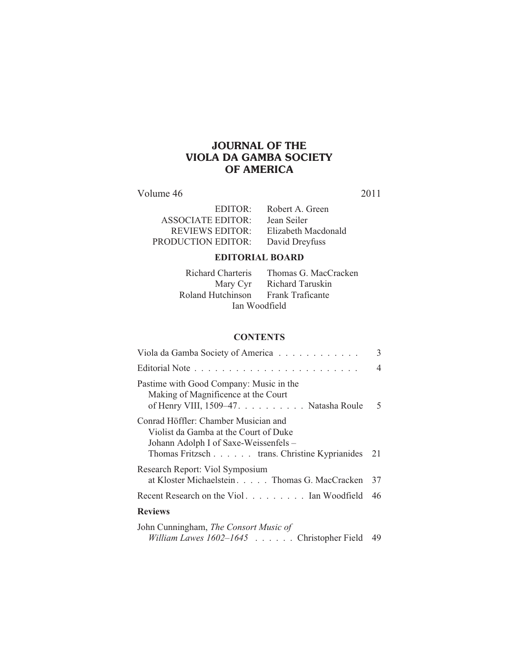# **JOURNAL OF THE VIOLA DA GAMBA SOCIETY OF AMERICA**

Volume 46 2011

| Robert A. Green     |
|---------------------|
| Jean Seiler         |
| Elizabeth Macdonald |
| David Dreyfuss      |
|                     |

## **EDITORIAL BOARD**

| Richard Charteris | Thomas G. MacCracken |  |
|-------------------|----------------------|--|
| Mary Cyr          | Richard Taruskin     |  |
| Roland Hutchinson | Frank Traficante     |  |
| Ian Woodfield     |                      |  |

### **CONTENTS**

| Viola da Gamba Society of America                                                                                                                                         | 3  |
|---------------------------------------------------------------------------------------------------------------------------------------------------------------------------|----|
|                                                                                                                                                                           | 4  |
| Pastime with Good Company: Music in the<br>Making of Magnificence at the Court<br>of Henry VIII, 1509–47. Natasha Roule                                                   | 5  |
| Conrad Höffler: Chamber Musician and<br>Violist da Gamba at the Court of Duke<br>Johann Adolph I of Saxe-Weissenfels –<br>Thomas Fritzsch trans. Christine Kyprianides 21 |    |
| Research Report: Viol Symposium<br>at Kloster Michaelstein. Thomas G. MacCracken                                                                                          | 37 |
| Recent Research on the Viol Ian Woodfield                                                                                                                                 | 46 |
| <b>Reviews</b>                                                                                                                                                            |    |
| John Cunningham, <i>The Consort Music of</i>                                                                                                                              |    |

*William Lawes 1602–1645* . . . . . . Christopher Field 49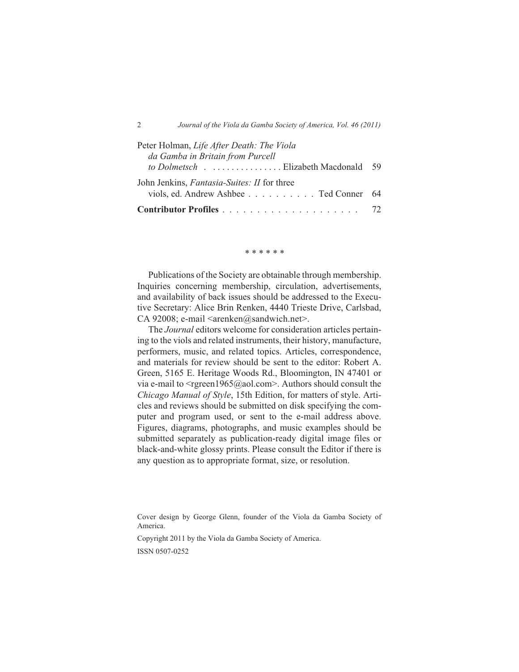| Peter Holman, Life After Death: The Viola                                                    |  |
|----------------------------------------------------------------------------------------------|--|
| da Gamba in Britain from Purcell                                                             |  |
| to Dolmetsch Elizabeth Macdonald 59                                                          |  |
| John Jenkins, <i>Fantasia-Suites: II</i> for three<br>viols, ed. Andrew Ashbee Ted Conner 64 |  |
|                                                                                              |  |
|                                                                                              |  |

\* \* \* \* \* \*

Publications of the Society are obtainable through membership. Inquiries concerning membership, circulation, advertisements, and availability of back issues should be addressed to the Executive Secretary: Alice Brin Renken, 4440 Trieste Drive, Carlsbad, CA 92008; e-mail <arenken@sandwich.net>.

The *Journal* editors welcome for consideration articles pertaining to the viols and related instruments, their history, manufacture, performers, music, and related topics. Articles, correspondence, and materials for review should be sent to the editor: Robert A. Green, 5165 E. Heritage Woods Rd., Bloomington, IN 47401 or via e-mail to  $\langle$ rgreen1965@aol.com>. Authors should consult the *Chicago Manual of Style*, 15th Edition, for matters of style. Articles and reviews should be submitted on disk specifying the computer and program used, or sent to the e-mail address above. Figures, diagrams, photographs, and music examples should be submitted separately as publication-ready digital image files or black-and-white glossy prints. Please consult the Editor if there is any question as to appropriate format, size, or resolution.

Copyright 2011 by the Viola da Gamba Society of America.

ISSN 0507-0252

Cover design by George Glenn, founder of the Viola da Gamba Society of America.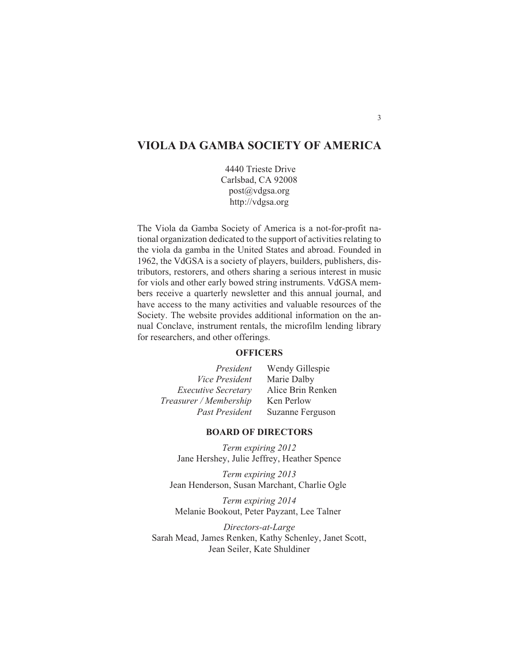# **VIOLA DA GAMBA SOCIETY OF AMERICA**

4440 Trieste Drive Carlsbad, CA 92008 post@vdgsa.org http://vdgsa.org

The Viola da Gamba Society of America is a not-for-profit national organization dedicated to the support of activities relating to the viola da gamba in the United States and abroad. Founded in 1962, the VdGSA is a society of players, builders, publishers, distributors, restorers, and others sharing a serious interest in music for viols and other early bowed string instruments. VdGSA members receive a quarterly newsletter and this annual journal, and have access to the many activities and valuable resources of the Society. The website provides additional information on the annual Conclave, instrument rentals, the microfilm lending library for researchers, and other offerings.

### **OFFICERS**

| President                  | Wendy Gillespie   |
|----------------------------|-------------------|
| <i>Vice President</i>      | Marie Dalby       |
| <b>Executive Secretary</b> | Alice Brin Renken |
| Treasurer / Membership     | Ken Perlow        |
| <b>Past President</b>      | Suzanne Ferguson  |

### **BOARD OF DIRECTORS**

*Term expiring 2012* Jane Hershey, Julie Jeffrey, Heather Spence

*Term expiring 2013* Jean Henderson, Susan Marchant, Charlie Ogle

*Term expiring 2014* Melanie Bookout, Peter Payzant, Lee Talner

*Directors-at-Large* Sarah Mead, James Renken, Kathy Schenley, Janet Scott, Jean Seiler, Kate Shuldiner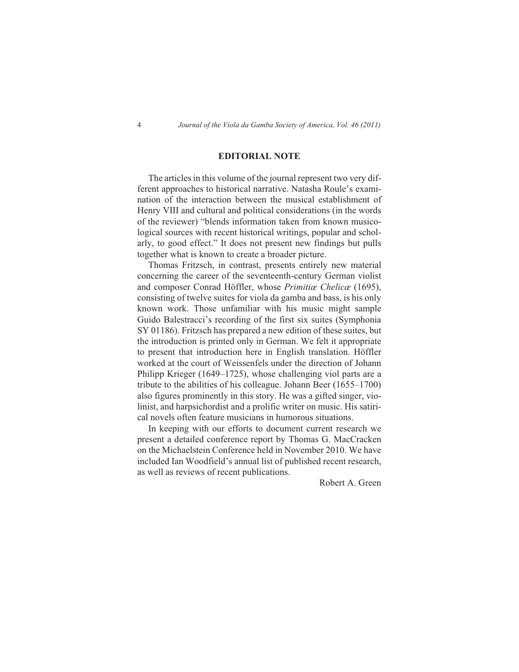### **EDITORIAL NOTE**

The articles in this volume of the journal represent two very different approaches to historical narrative. Natasha Roule's examination of the interaction between the musical establishment of Henry VIII and cultural and political considerations (in the words of the reviewer) "blends information taken from known musicological sources with recent historical writings, popular and scholarly, to good effect." It does not present new findings but pulls together what is known to create a broader picture.

Thomas Fritzsch, in contrast, presents entirely new material concerning the career of the seventeenth-century German violist and composer Conrad Höffler, whose *Primitiæ Chelicæ* (1695), consisting of twelve suites for viola da gamba and bass, is his only known work. Those unfamiliar with his music might sample Guido Balestracci's recording of the first six suites (Symphonia SY 01186). Fritzsch has prepared a new edition of these suites, but the introduction is printed only in German. We felt it appropriate to present that introduction here in English translation. Höffler worked at the court of Weissenfels under the direction of Johann Philipp Krieger (1649–1725), whose challenging viol parts are a tribute to the abilities of his colleague. Johann Beer (1655–1700) also figures prominently in this story. He was a gifted singer, violinist, and harpsichordist and a prolific writer on music. His satirical novels often feature musicians in humorous situations.

In keeping with our efforts to document current research we present a detailed conference report by Thomas G. MacCracken on the Michaelstein Conference held in November 2010. We have included Ian Woodfield's annual list of published recent research, as well as reviews of recent publications.

Robert A. Green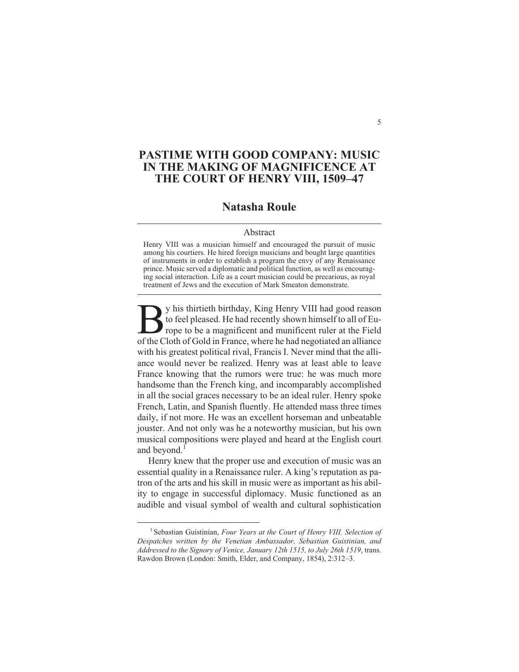## **PASTIME WITH GOOD COMPANY: MUSIC IN THE MAKING OF MAGNIFICENCE AT THE COURT OF HENRY VIII, 1509–47**

## **Natasha Roule**

#### Abstract

Henry VIII was a musician himself and encouraged the pursuit of music among his courtiers. He hired foreign musicians and bought large quantities of instruments in order to establish a program the envy of any Renaissance prince. Music served a diplomatic and political function, as well as encouraging social interaction. Life as a court musician could be precarious, as royal treatment of Jews and the execution of Mark Smeaton demonstrate.

By his thirtieth birthday, King Henry VIII had good reason<br>to feel pleased. He had recently shown himself to all of Europe to be a magnificent and munificent ruler at the Field<br>of the Cloth of Gold in France, where he had y his thirtieth birthday, King Henry VIII had good reason to feel pleased. He had recently shown himself to all of Europe to be a magnificent and munificent ruler at the Field with his greatest political rival, Francis I. Never mind that the alliance would never be realized. Henry was at least able to leave France knowing that the rumors were true: he was much more handsome than the French king, and incomparably accomplished in all the social graces necessary to be an ideal ruler. Henry spoke French, Latin, and Spanish fluently. He attended mass three times daily, if not more. He was an excellent horseman and unbeatable jouster. And not only was he a noteworthy musician, but his own musical compositions were played and heard at the English court and beyond.<sup>1</sup>

Henry knew that the proper use and execution of music was an essential quality in a Renaissance ruler. A king's reputation as patron of the arts and his skill in music were as important as his ability to engage in successful diplomacy. Music functioned as an audible and visual symbol of wealth and cultural sophistication

<sup>&</sup>lt;sup>1</sup> Sebastian Guistinian, *Four Years at the Court of Henry VIII. Selection of Despatches written by the Venetian Ambassador, Sebastian Guistinian, and Addressed to the Signory of Venice, January 12th 1515, to July 26th 1519*, trans. Rawdon Brown (London: Smith, Elder, and Company, 1854), 2:312–3.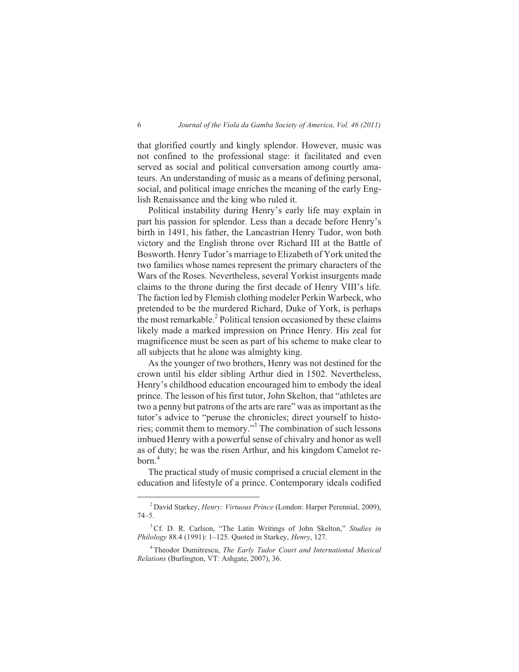that glorified courtly and kingly splendor. However, music was not confined to the professional stage: it facilitated and even served as social and political conversation among courtly amateurs. An understanding of music as a means of defining personal, social, and political image enriches the meaning of the early English Renaissance and the king who ruled it.

Political instability during Henry's early life may explain in part his passion for splendor. Less than a decade before Henry's birth in 1491, his father, the Lancastrian Henry Tudor, won both victory and the English throne over Richard III at the Battle of Bosworth. Henry Tudor's marriage to Elizabeth of York united the two families whose names represent the primary characters of the Wars of the Roses. Nevertheless, several Yorkist insurgents made claims to the throne during the first decade of Henry VIII's life. The faction led by Flemish clothing modeler Perkin Warbeck, who pretended to be the murdered Richard, Duke of York, is perhaps the most remarkable. $^{2}$  Political tension occasioned by these claims likely made a marked impression on Prince Henry. His zeal for magnificence must be seen as part of his scheme to make clear to all subjects that he alone was almighty king.

As the younger of two brothers, Henry was not destined for the crown until his elder sibling Arthur died in 1502. Nevertheless, Henry's childhood education encouraged him to embody the ideal prince. The lesson of his first tutor, John Skelton, that "athletes are two a penny but patrons of the arts are rare" was as important as the tutor's advice to "peruse the chronicles; direct yourself to histories; commit them to memory."<sup>3</sup> The combination of such lessons imbued Henry with a powerful sense of chivalry and honor as well as of duty; he was the risen Arthur, and his kingdom Camelot reborn.<sup>4</sup>

The practical study of music comprised a crucial element in the education and lifestyle of a prince. Contemporary ideals codified

<sup>2</sup> David Starkey, *Henry: Virtuous Prince* (London: Harper Perennial, 2009), 74–5.

<sup>3</sup>Cf. D. R. Carlson, "The Latin Writings of John Skelton," *Studies in Philology* 88.4 (1991): 1–125. Quoted in Starkey, *Henry*, 127.

<sup>4</sup> Theodor Dumitrescu, *The Early Tudor Court and International Musical Relations* (Burlington, VT: Ashgate, 2007), 36.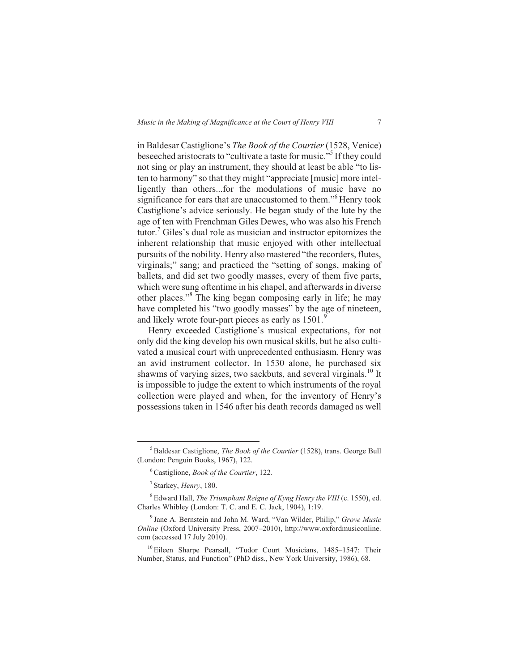in Baldesar Castiglione's *The Book of the Courtier* (1528, Venice) beseeched aristocrats to "cultivate a taste for music."<sup>5</sup> If they could not sing or play an instrument, they should at least be able "to listen to harmony" so that they might "appreciate [music] more intelligently than others...for the modulations of music have no significance for ears that are unaccustomed to them."<sup>6</sup> Henry took Castiglione's advice seriously. He began study of the lute by the age of ten with Frenchman Giles Dewes, who was also his French tutor.<sup>7</sup> Giles's dual role as musician and instructor epitomizes the inherent relationship that music enjoyed with other intellectual pursuits of the nobility. Henry also mastered "the recorders, flutes, virginals;" sang; and practiced the "setting of songs, making of ballets, and did set two goodly masses, every of them five parts, which were sung oftentime in his chapel, and afterwards in diverse other places."<sup>8</sup> The king began composing early in life; he may have completed his "two goodly masses" by the age of nineteen, and likely wrote four-part pieces as early as 1501.

Henry exceeded Castiglione's musical expectations, for not only did the king develop his own musical skills, but he also cultivated a musical court with unprecedented enthusiasm. Henry was an avid instrument collector. In 1530 alone, he purchased six shawms of varying sizes, two sackbuts, and several virginals.<sup>10</sup> It is impossible to judge the extent to which instruments of the royal collection were played and when, for the inventory of Henry's possessions taken in 1546 after his death records damaged as well

<sup>&</sup>lt;sup>5</sup>Baldesar Castiglione, *The Book of the Courtier* (1528), trans. George Bull (London: Penguin Books, 1967), 122.

<sup>6</sup>Castiglione, *Book of the Courtier*, 122.

<sup>7</sup> Starkey, *Henry*, 180.

<sup>8</sup> Edward Hall, *The Triumphant Reigne of Kyng Henry the VIII* (c. 1550), ed. Charles Whibley (London: T. C. and E. C. Jack, 1904), 1:19.

<sup>9</sup> Jane A. Bernstein and John M. Ward, "Van Wilder, Philip," *Grove Music Online* (Oxford University Press, 2007–2010), http://www.oxfordmusiconline. com (accessed 17 July 2010).

<sup>&</sup>lt;sup>10</sup> Eileen Sharpe Pearsall, "Tudor Court Musicians, 1485–1547: Their Number, Status, and Function" (PhD diss., New York University, 1986), 68.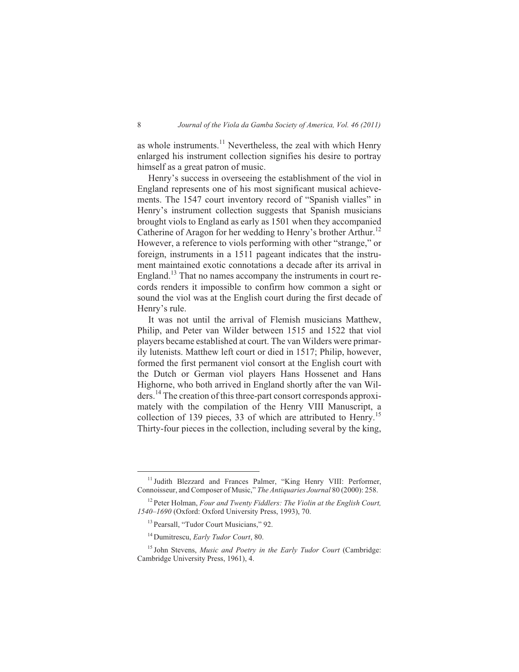as whole instruments. $^{11}$  Nevertheless, the zeal with which Henry enlarged his instrument collection signifies his desire to portray himself as a great patron of music.

Henry's success in overseeing the establishment of the viol in England represents one of his most significant musical achievements. The 1547 court inventory record of "Spanish vialles" in Henry's instrument collection suggests that Spanish musicians brought viols to England as early as 1501 when they accompanied Catherine of Aragon for her wedding to Henry's brother Arthur.<sup>12</sup> However, a reference to viols performing with other "strange," or foreign, instruments in a 1511 pageant indicates that the instrument maintained exotic connotations a decade after its arrival in England.<sup>13</sup> That no names accompany the instruments in court records renders it impossible to confirm how common a sight or sound the viol was at the English court during the first decade of Henry's rule.

It was not until the arrival of Flemish musicians Matthew, Philip, and Peter van Wilder between 1515 and 1522 that viol players became established at court. The van Wilders were primarily lutenists. Matthew left court or died in 1517; Philip, however, formed the first permanent viol consort at the English court with the Dutch or German viol players Hans Hossenet and Hans Highorne, who both arrived in England shortly after the van Wilders.<sup>14</sup> The creation of this three-part consort corresponds approximately with the compilation of the Henry VIII Manuscript, a collection of 139 pieces, 33 of which are attributed to Henry.<sup>15</sup> Thirty-four pieces in the collection, including several by the king,

<sup>&</sup>lt;sup>11</sup> Judith Blezzard and Frances Palmer, "King Henry VIII: Performer, Connoisseur, and Composer of Music," *The Antiquaries Journal* 80 (2000): 258.

<sup>12</sup> Peter Holman, *Four and Twenty Fiddlers: The Violin at the English Court, 1540–1690* (Oxford: Oxford University Press, 1993), 70.

<sup>&</sup>lt;sup>13</sup> Pearsall, "Tudor Court Musicians," 92.

<sup>14</sup> Dumitrescu, *Early Tudor Court*, 80.

<sup>15</sup> John Stevens, *Music and Poetry in the Early Tudor Court* (Cambridge: Cambridge University Press, 1961), 4.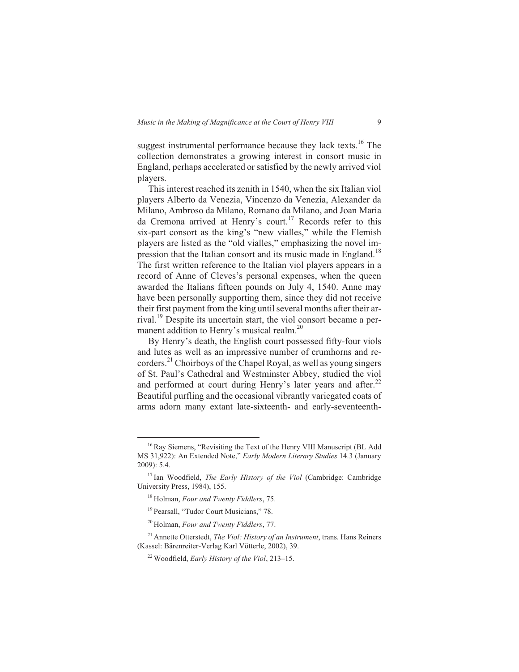suggest instrumental performance because they lack texts.<sup>16</sup> The collection demonstrates a growing interest in consort music in England, perhaps accelerated or satisfied by the newly arrived viol players.

This interest reached its zenith in 1540, when the six Italian viol players Alberto da Venezia, Vincenzo da Venezia, Alexander da Milano, Ambroso da Milano, Romano da Milano, and Joan Maria da Cremona arrived at Henry's court.<sup>17</sup> Records refer to this six-part consort as the king's "new vialles," while the Flemish players are listed as the "old vialles," emphasizing the novel impression that the Italian consort and its music made in England.<sup>18</sup> The first written reference to the Italian viol players appears in a record of Anne of Cleves's personal expenses, when the queen awarded the Italians fifteen pounds on July 4, 1540. Anne may have been personally supporting them, since they did not receive their first payment from the king until several months after their arrival.<sup>19</sup> Despite its uncertain start, the viol consort became a permanent addition to Henry's musical realm.<sup>20</sup>

By Henry's death, the English court possessed fifty-four viols and lutes as well as an impressive number of crumhorns and recorders.<sup>21</sup> Choirboys of the Chapel Royal, as well as young singers of St. Paul's Cathedral and Westminster Abbey, studied the viol and performed at court during Henry's later years and after.<sup>22</sup> Beautiful purfling and the occasional vibrantly variegated coats of arms adorn many extant late-sixteenth- and early-seventeenth-

<sup>&</sup>lt;sup>16</sup> Ray Siemens, "Revisiting the Text of the Henry VIII Manuscript (BL Add MS 31,922): An Extended Note," *Early Modern Literary Studies* 14.3 (January 2009): 5.4.

<sup>&</sup>lt;sup>17</sup> Ian Woodfield, *The Early History of the Viol* (Cambridge: Cambridge University Press, 1984), 155.

<sup>18</sup> Holman, *Four and Twenty Fiddlers*, 75.

<sup>&</sup>lt;sup>19</sup> Pearsall, "Tudor Court Musicians," 78.

<sup>20</sup> Holman, *Four and Twenty Fiddlers*, 77.

<sup>21</sup> Annette Otterstedt, *The Viol: History of an Instrument*, trans. Hans Reiners (Kassel: Bärenreiter-Verlag Karl Vötterle, 2002), 39.

<sup>22</sup> Woodfield, *Early History of the Viol*, 213–15.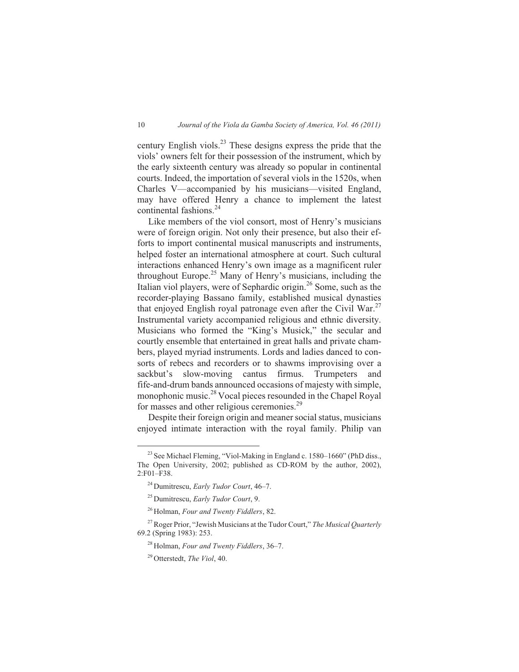century English viols.<sup>23</sup> These designs express the pride that the viols' owners felt for their possession of the instrument, which by the early sixteenth century was already so popular in continental courts. Indeed, the importation of several viols in the 1520s, when Charles V—accompanied by his musicians—visited England, may have offered Henry a chance to implement the latest continental fashions.<sup>24</sup>

Like members of the viol consort, most of Henry's musicians were of foreign origin. Not only their presence, but also their efforts to import continental musical manuscripts and instruments, helped foster an international atmosphere at court. Such cultural interactions enhanced Henry's own image as a magnificent ruler throughout Europe.<sup>25</sup> Many of Henry's musicians, including the Italian viol players, were of Sephardic origin.<sup>26</sup> Some, such as the recorder-playing Bassano family, established musical dynasties that enjoyed English royal patronage even after the Civil War.<sup>27</sup> Instrumental variety accompanied religious and ethnic diversity. Musicians who formed the "King's Musick," the secular and courtly ensemble that entertained in great halls and private chambers, played myriad instruments. Lords and ladies danced to consorts of rebecs and recorders or to shawms improvising over a sackbut's slow-moving cantus firmus. Trumpeters and fife-and-drum bands announced occasions of majesty with simple, monophonic music.<sup>28</sup> Vocal pieces resounded in the Chapel Royal for masses and other religious ceremonies.<sup>29</sup>

Despite their foreign origin and meaner social status, musicians enjoyed intimate interaction with the royal family. Philip van

<sup>&</sup>lt;sup>23</sup> See Michael Fleming, "Viol-Making in England c. 1580-1660" (PhD diss., The Open University, 2002; published as CD-ROM by the author, 2002), 2:F01–F38.

<sup>24</sup> Dumitrescu, *Early Tudor Court*, 46–7.

<sup>25</sup> Dumitrescu, *Early Tudor Court*, 9.

<sup>26</sup> Holman, *Four and Twenty Fiddlers*, 82.

<sup>27</sup>Roger Prior, "Jewish Musicians at the Tudor Court," *The Musical Quarterly* 69.2 (Spring 1983): 253.

<sup>28</sup> Holman, *Four and Twenty Fiddlers*, 36–7.

<sup>29</sup> Otterstedt, *The Viol*, 40.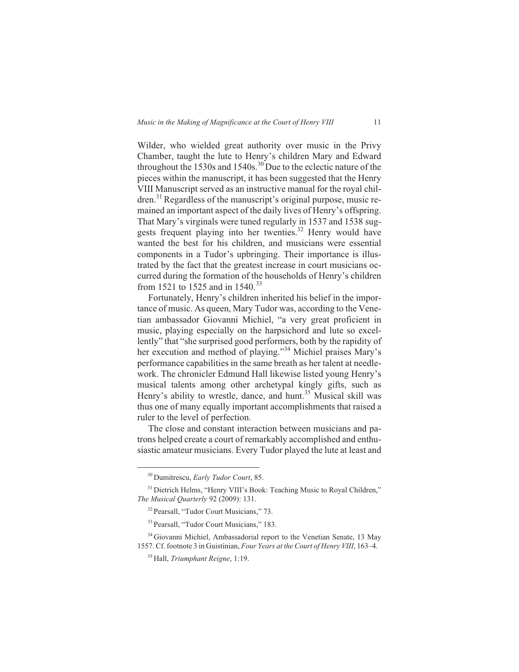Wilder, who wielded great authority over music in the Privy Chamber, taught the lute to Henry's children Mary and Edward throughout the 1530s and  $1540s$ .<sup>30</sup> Due to the eclectic nature of the pieces within the manuscript, it has been suggested that the Henry VIII Manuscript served as an instructive manual for the royal children.<sup>31</sup> Regardless of the manuscript's original purpose, music remained an important aspect of the daily lives of Henry's offspring. That Mary's virginals were tuned regularly in 1537 and 1538 suggests frequent playing into her twenties.<sup>32</sup> Henry would have wanted the best for his children, and musicians were essential components in a Tudor's upbringing. Their importance is illustrated by the fact that the greatest increase in court musicians occurred during the formation of the households of Henry's children from 1521 to 1525 and in 1540.<sup>33</sup>

Fortunately, Henry's children inherited his belief in the importance of music. As queen, Mary Tudor was, according to the Venetian ambassador Giovanni Michiel, "a very great proficient in music, playing especially on the harpsichord and lute so excellently" that "she surprised good performers, both by the rapidity of her execution and method of playing."<sup>34</sup> Michiel praises Mary's performance capabilities in the same breath as her talent at needlework. The chronicler Edmund Hall likewise listed young Henry's musical talents among other archetypal kingly gifts, such as Henry's ability to wrestle, dance, and hunt.<sup>35</sup> Musical skill was thus one of many equally important accomplishments that raised a ruler to the level of perfection.

The close and constant interaction between musicians and patrons helped create a court of remarkably accomplished and enthusiastic amateur musicians. Every Tudor played the lute at least and

<sup>30</sup> Dumitrescu, *Early Tudor Court*, 85.

<sup>&</sup>lt;sup>31</sup> Dietrich Helms, "Henry VIII's Book: Teaching Music to Royal Children," *The Musical Quarterly* 92 (2009): 131.

<sup>32</sup> Pearsall, "Tudor Court Musicians," 73.

<sup>&</sup>lt;sup>33</sup> Pearsall, "Tudor Court Musicians," 183.

<sup>34</sup> Giovanni Michiel, Ambassadorial report to the Venetian Senate, 13 May 1557. Cf. footnote 3 in Guistinian, *Four Years at the Court of Henry VIII*, 163–4.

<sup>35</sup> Hall, *Triumphant Reigne*, 1:19.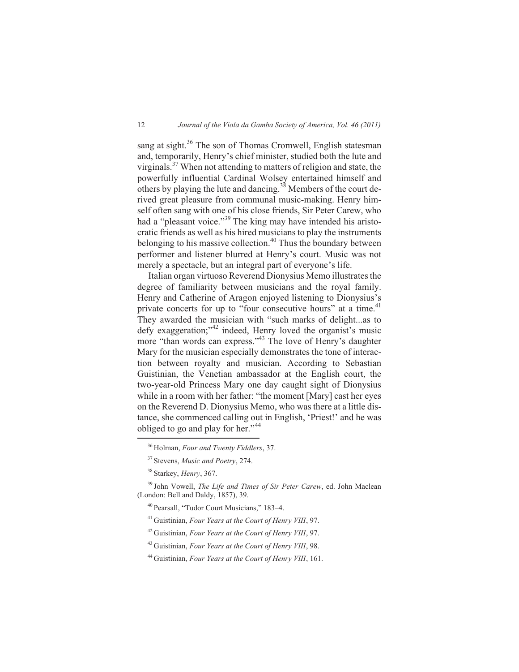sang at sight.<sup>36</sup> The son of Thomas Cromwell, English statesman and, temporarily, Henry's chief minister, studied both the lute and virginals.<sup>37</sup> When not attending to matters of religion and state, the powerfully influential Cardinal Wolsey entertained himself and others by playing the lute and dancing.<sup>38</sup> Members of the court derived great pleasure from communal music-making. Henry himself often sang with one of his close friends, Sir Peter Carew, who had a "pleasant voice."<sup>39</sup> The king may have intended his aristocratic friends as well as his hired musicians to play the instruments belonging to his massive collection.<sup>40</sup> Thus the boundary between performer and listener blurred at Henry's court. Music was not merely a spectacle, but an integral part of everyone's life.

Italian organ virtuoso Reverend Dionysius Memo illustrates the degree of familiarity between musicians and the royal family. Henry and Catherine of Aragon enjoyed listening to Dionysius's private concerts for up to "four consecutive hours" at a time.<sup>41</sup> They awarded the musician with "such marks of delight...as to defy exaggeration;"<sup>42</sup> indeed, Henry loved the organist's music more "than words can express."<sup>43</sup> The love of Henry's daughter Mary for the musician especially demonstrates the tone of interaction between royalty and musician. According to Sebastian Guistinian, the Venetian ambassador at the English court, the two-year-old Princess Mary one day caught sight of Dionysius while in a room with her father: "the moment [Mary] cast her eyes on the Reverend D. Dionysius Memo, who was there at a little distance, she commenced calling out in English, 'Priest!' and he was obliged to go and play for her."<sup>44</sup>

<sup>36</sup> Holman, *Four and Twenty Fiddlers*, 37.

<sup>37</sup> Stevens, *Music and Poetry*, 274.

<sup>38</sup> Starkey, *Henry*, 367.

<sup>39</sup> John Vowell, *The Life and Times of Sir Peter Carew*, ed. John Maclean (London: Bell and Daldy, 1857), 39.

<sup>40</sup> Pearsall, "Tudor Court Musicians," 183–4.

<sup>41</sup> Guistinian, *Four Years at the Court of Henry VIII*, 97.

<sup>42</sup> Guistinian, *Four Years at the Court of Henry VIII*, 97.

<sup>43</sup> Guistinian, *Four Years at the Court of Henry VIII*, 98.

<sup>44</sup> Guistinian, *Four Years at the Court of Henry VIII*, 161.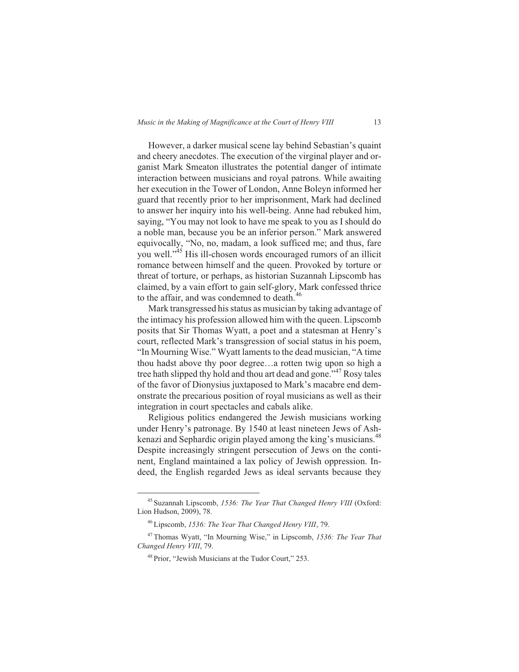However, a darker musical scene lay behind Sebastian's quaint and cheery anecdotes. The execution of the virginal player and organist Mark Smeaton illustrates the potential danger of intimate interaction between musicians and royal patrons. While awaiting her execution in the Tower of London, Anne Boleyn informed her guard that recently prior to her imprisonment, Mark had declined to answer her inquiry into his well-being. Anne had rebuked him, saying, "You may not look to have me speak to you as I should do a noble man, because you be an inferior person." Mark answered equivocally, "No, no, madam, a look sufficed me; and thus, fare you well."<sup>45</sup> His ill-chosen words encouraged rumors of an illicit romance between himself and the queen. Provoked by torture or threat of torture, or perhaps, as historian Suzannah Lipscomb has claimed, by a vain effort to gain self-glory, Mark confessed thrice to the affair, and was condemned to death.<sup>46</sup>

Mark transgressed his status as musician by taking advantage of the intimacy his profession allowed him with the queen. Lipscomb posits that Sir Thomas Wyatt, a poet and a statesman at Henry's court, reflected Mark's transgression of social status in his poem, "In Mourning Wise." Wyatt laments to the dead musician, "A time thou hadst above thy poor degree…a rotten twig upon so high a tree hath slipped thy hold and thou art dead and gone."<sup>47</sup> Rosy tales of the favor of Dionysius juxtaposed to Mark's macabre end demonstrate the precarious position of royal musicians as well as their integration in court spectacles and cabals alike.

Religious politics endangered the Jewish musicians working under Henry's patronage. By 1540 at least nineteen Jews of Ashkenazi and Sephardic origin played among the king's musicians.<sup>48</sup> Despite increasingly stringent persecution of Jews on the continent, England maintained a lax policy of Jewish oppression. Indeed, the English regarded Jews as ideal servants because they

<sup>45</sup> Suzannah Lipscomb, *1536: The Year That Changed Henry VIII* (Oxford: Lion Hudson, 2009), 78.

<sup>46</sup> Lipscomb, *1536: The Year That Changed Henry VIII*, 79.

<sup>47</sup> Thomas Wyatt, "In Mourning Wise," in Lipscomb, *1536: The Year That Changed Henry VIII*, 79.

<sup>48</sup> Prior, "Jewish Musicians at the Tudor Court," 253.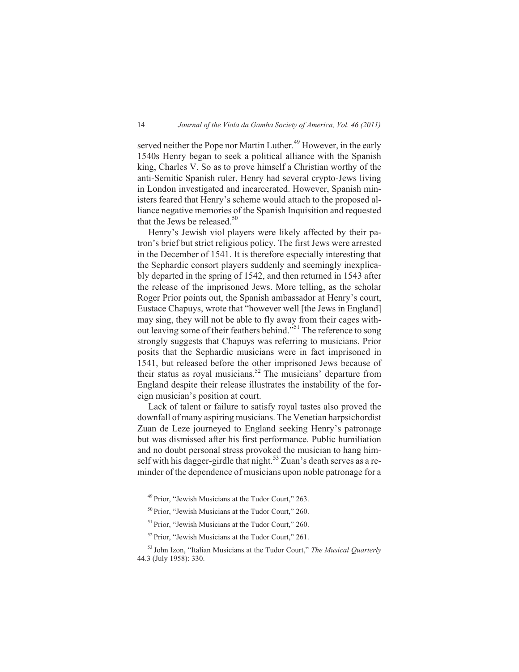served neither the Pope nor Martin Luther.<sup>49</sup> However, in the early 1540s Henry began to seek a political alliance with the Spanish king, Charles V. So as to prove himself a Christian worthy of the anti-Semitic Spanish ruler, Henry had several crypto-Jews living in London investigated and incarcerated. However, Spanish ministers feared that Henry's scheme would attach to the proposed alliance negative memories of the Spanish Inquisition and requested that the Jews be released. $50$ 

Henry's Jewish viol players were likely affected by their patron's brief but strict religious policy. The first Jews were arrested in the December of 1541. It is therefore especially interesting that the Sephardic consort players suddenly and seemingly inexplicably departed in the spring of 1542, and then returned in 1543 after the release of the imprisoned Jews. More telling, as the scholar Roger Prior points out, the Spanish ambassador at Henry's court, Eustace Chapuys, wrote that "however well [the Jews in England] may sing, they will not be able to fly away from their cages without leaving some of their feathers behind."<sup>51</sup> The reference to song strongly suggests that Chapuys was referring to musicians. Prior posits that the Sephardic musicians were in fact imprisoned in 1541, but released before the other imprisoned Jews because of their status as royal musicians.<sup>52</sup> The musicians' departure from England despite their release illustrates the instability of the foreign musician's position at court.

Lack of talent or failure to satisfy royal tastes also proved the downfall of many aspiring musicians. The Venetian harpsichordist Zuan de Leze journeyed to England seeking Henry's patronage but was dismissed after his first performance. Public humiliation and no doubt personal stress provoked the musician to hang himself with his dagger-girdle that night.<sup>53</sup> Zuan's death serves as a reminder of the dependence of musicians upon noble patronage for a

<sup>49</sup> Prior, "Jewish Musicians at the Tudor Court," 263.

<sup>50</sup> Prior, "Jewish Musicians at the Tudor Court," 260.

<sup>&</sup>lt;sup>51</sup> Prior, "Jewish Musicians at the Tudor Court," 260.

<sup>52</sup> Prior, "Jewish Musicians at the Tudor Court," 261.

<sup>53</sup> John Izon, "Italian Musicians at the Tudor Court," *The Musical Quarterly* 44.3 (July 1958): 330.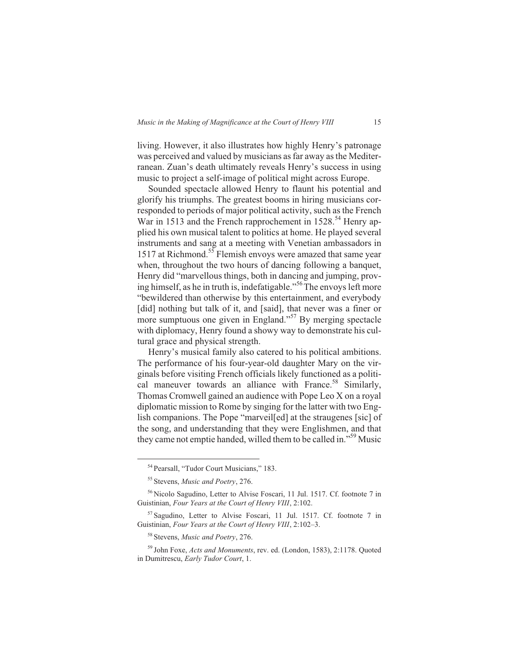living. However, it also illustrates how highly Henry's patronage was perceived and valued by musicians as far away as the Mediterranean. Zuan's death ultimately reveals Henry's success in using music to project a self-image of political might across Europe.

Sounded spectacle allowed Henry to flaunt his potential and glorify his triumphs. The greatest booms in hiring musicians corresponded to periods of major political activity, such as the French War in 1513 and the French rapprochement in  $1528$ <sup>54</sup> Henry applied his own musical talent to politics at home. He played several instruments and sang at a meeting with Venetian ambassadors in 1517 at Richmond.<sup>55</sup> Flemish envoys were amazed that same year when, throughout the two hours of dancing following a banquet, Henry did "marvellous things, both in dancing and jumping, proving himself, as he in truth is, indefatigable."<sup>56</sup>The envoys left more "bewildered than otherwise by this entertainment, and everybody [did] nothing but talk of it, and [said], that never was a finer or more sumptuous one given in England."<sup>57</sup> By merging spectacle with diplomacy, Henry found a showy way to demonstrate his cultural grace and physical strength.

Henry's musical family also catered to his political ambitions. The performance of his four-year-old daughter Mary on the virginals before visiting French officials likely functioned as a political maneuver towards an alliance with France.<sup>58</sup> Similarly, Thomas Cromwell gained an audience with Pope Leo X on a royal diplomatic mission to Rome by singing for the latter with two English companions. The Pope "marveil[ed] at the straugenes [sic] of the song, and understanding that they were Englishmen, and that they came not emptie handed, willed them to be called in."<sup>59</sup> Music

<sup>54</sup> Pearsall, "Tudor Court Musicians," 183.

<sup>55</sup> Stevens, *Music and Poetry*, 276.

<sup>56</sup> Nicolo Sagudino, Letter to Alvise Foscari, 11 Jul. 1517. Cf. footnote 7 in Guistinian, *Four Years at the Court of Henry VIII*, 2:102.

<sup>&</sup>lt;sup>57</sup> Sagudino, Letter to Alvise Foscari, 11 Jul. 1517. Cf. footnote 7 in Guistinian, *Four Years at the Court of Henry VIII*, 2:102–3.

<sup>58</sup> Stevens, *Music and Poetry*, 276.

<sup>59</sup> John Foxe, *Acts and Monuments*, rev. ed. (London, 1583), 2:1178. Quoted in Dumitrescu, *Early Tudor Court*, 1.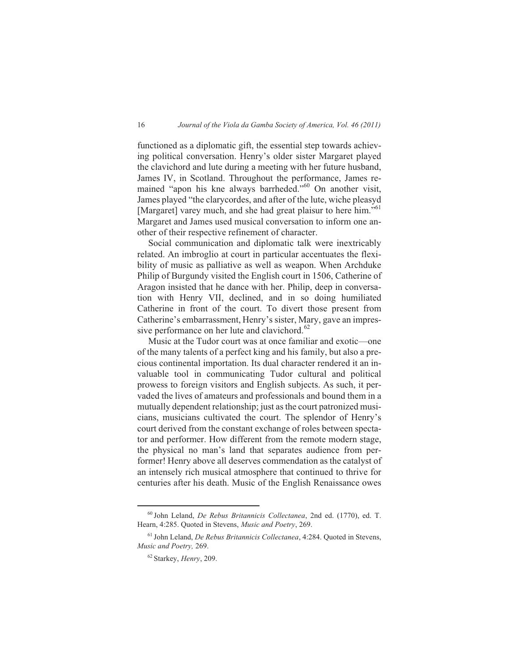functioned as a diplomatic gift, the essential step towards achieving political conversation. Henry's older sister Margaret played the clavichord and lute during a meeting with her future husband, James IV, in Scotland. Throughout the performance, James remained "apon his kne always barrheded."<sup>60</sup> On another visit, James played "the clarycordes, and after of the lute, wiche pleasyd [Margaret] varey much, and she had great plaisur to here him."<sup>61</sup> Margaret and James used musical conversation to inform one another of their respective refinement of character.

Social communication and diplomatic talk were inextricably related. An imbroglio at court in particular accentuates the flexibility of music as palliative as well as weapon. When Archduke Philip of Burgundy visited the English court in 1506, Catherine of Aragon insisted that he dance with her. Philip, deep in conversation with Henry VII, declined, and in so doing humiliated Catherine in front of the court. To divert those present from Catherine's embarrassment, Henry's sister, Mary, gave an impressive performance on her lute and clavichord.<sup>62</sup>

Music at the Tudor court was at once familiar and exotic—one of the many talents of a perfect king and his family, but also a precious continental importation. Its dual character rendered it an invaluable tool in communicating Tudor cultural and political prowess to foreign visitors and English subjects. As such, it pervaded the lives of amateurs and professionals and bound them in a mutually dependent relationship; just as the court patronized musicians, musicians cultivated the court. The splendor of Henry's court derived from the constant exchange of roles between spectator and performer. How different from the remote modern stage, the physical no man's land that separates audience from performer! Henry above all deserves commendation as the catalyst of an intensely rich musical atmosphere that continued to thrive for centuries after his death. Music of the English Renaissance owes

<sup>60</sup> John Leland, *De Rebus Britannicis Collectanea*, 2nd ed. (1770), ed. T. Hearn, 4:285. Quoted in Stevens, *Music and Poetry*, 269.

<sup>61</sup> John Leland, *De Rebus Britannicis Collectanea*, 4:284. Quoted in Stevens, *Music and Poetry,* 269.

<sup>62</sup> Starkey, *Henry*, 209.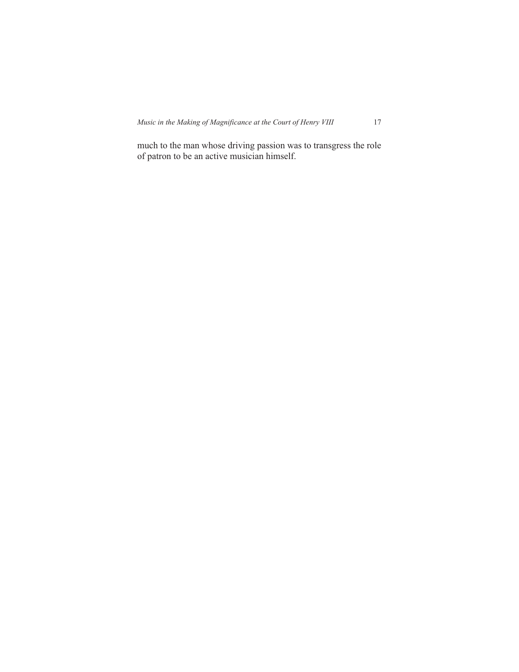much to the man whose driving passion was to transgress the role of patron to be an active musician himself.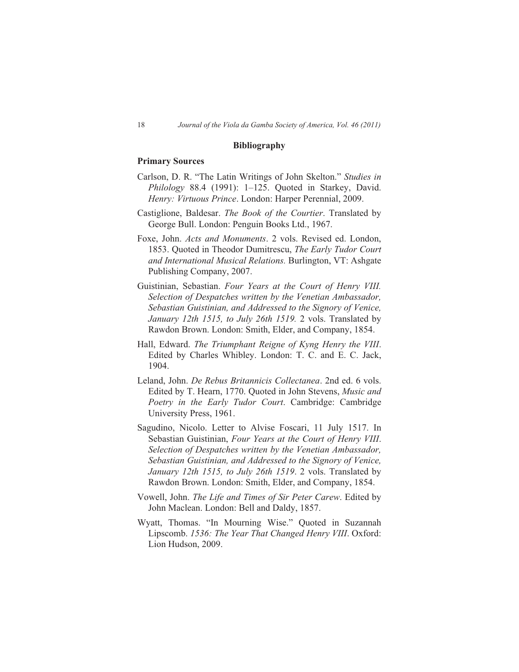#### **Bibliography**

### **Primary Sources**

- Carlson, D. R. "The Latin Writings of John Skelton." *Studies in Philology* 88.4 (1991): 1–125. Quoted in Starkey, David. *Henry: Virtuous Prince*. London: Harper Perennial, 2009.
- Castiglione, Baldesar. *The Book of the Courtier*. Translated by George Bull. London: Penguin Books Ltd., 1967.
- Foxe, John. *Acts and Monuments*. 2 vols. Revised ed. London, 1853. Quoted in Theodor Dumitrescu, *The Early Tudor Court and International Musical Relations.* Burlington, VT: Ashgate Publishing Company, 2007.
- Guistinian, Sebastian. *Four Years at the Court of Henry VIII. Selection of Despatches written by the Venetian Ambassador, Sebastian Guistinian, and Addressed to the Signory of Venice, January 12th 1515, to July 26th 1519.* 2 vols. Translated by Rawdon Brown. London: Smith, Elder, and Company, 1854.
- Hall, Edward. *The Triumphant Reigne of Kyng Henry the VIII*. Edited by Charles Whibley. London: T. C. and E. C. Jack, 1904.
- Leland, John. *De Rebus Britannicis Collectanea*. 2nd ed. 6 vols. Edited by T. Hearn, 1770. Quoted in John Stevens, *Music and Poetry in the Early Tudor Court*. Cambridge: Cambridge University Press, 1961.
- Sagudino, Nicolo. Letter to Alvise Foscari, 11 July 1517. In Sebastian Guistinian, *Four Years at the Court of Henry VIII*. *Selection of Despatches written by the Venetian Ambassador, Sebastian Guistinian, and Addressed to the Signory of Venice, January 12th 1515, to July 26th 1519*. 2 vols. Translated by Rawdon Brown. London: Smith, Elder, and Company, 1854.
- Vowell, John. *The Life and Times of Sir Peter Carew*. Edited by John Maclean. London: Bell and Daldy, 1857.
- Wyatt, Thomas. "In Mourning Wise." Quoted in Suzannah Lipscomb. *1536: The Year That Changed Henry VIII*. Oxford: Lion Hudson, 2009.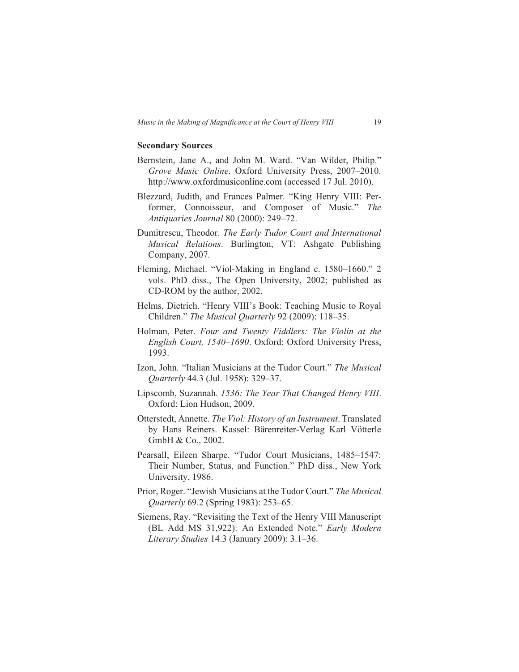#### **Secondary Sources**

- Bernstein, Jane A., and John M. Ward. "Van Wilder, Philip." *Grove Music Online*. Oxford University Press, 2007–2010. http://www.oxfordmusiconline.com (accessed 17 Jul. 2010).
- Blezzard, Judith, and Frances Palmer. "King Henry VIII: Performer, Connoisseur, and Composer of Music." *The Antiquaries Journal* 80 (2000): 249–72.
- Dumitrescu, Theodor. *The Early Tudor Court and International Musical Relations*. Burlington, VT: Ashgate Publishing Company, 2007.
- Fleming, Michael. "Viol-Making in England c. 1580–1660." 2 vols. PhD diss., The Open University, 2002; published as CD-ROM by the author, 2002.
- Helms, Dietrich. "Henry VIII's Book: Teaching Music to Royal Children." *The Musical Quarterly* 92 (2009): 118–35.
- Holman, Peter. *Four and Twenty Fiddlers: The Violin at the English Court, 1540–1690*. Oxford: Oxford University Press, 1993.
- Izon, John. "Italian Musicians at the Tudor Court." *The Musical Quarterly* 44.3 (Jul. 1958): 329–37.
- Lipscomb, Suzannah. *1536: The Year That Changed Henry VIII*. Oxford: Lion Hudson, 2009.
- Otterstedt, Annette. *The Viol: History of an Instrument*. Translated by Hans Reiners. Kassel: Bärenreiter-Verlag Karl Vötterle GmbH & Co., 2002.
- Pearsall, Eileen Sharpe. "Tudor Court Musicians, 1485–1547: Their Number, Status, and Function." PhD diss., New York University, 1986.
- Prior, Roger. "Jewish Musicians at the Tudor Court." *The Musical Quarterly* 69.2 (Spring 1983): 253–65.
- Siemens, Ray. "Revisiting the Text of the Henry VIII Manuscript (BL Add MS 31,922): An Extended Note." *Early Modern Literary Studies* 14.3 (January 2009): 3.1–36.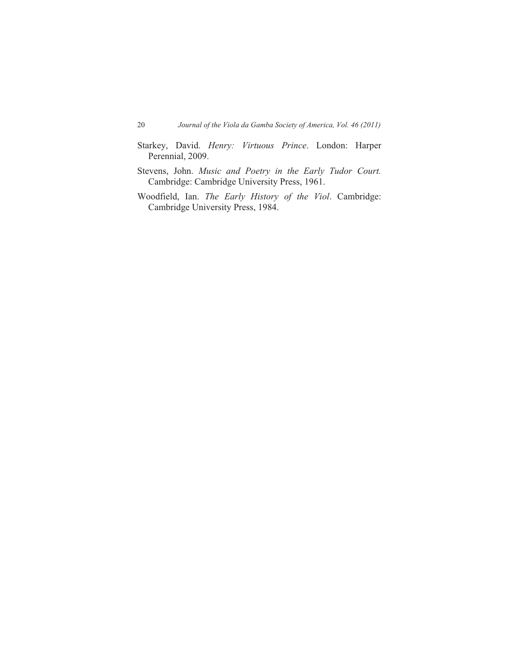- Starkey, David. *Henry: Virtuous Prince*. London: Harper Perennial, 2009.
- Stevens, John. *Music and Poetry in the Early Tudor Court.* Cambridge: Cambridge University Press, 1961.
- Woodfield, Ian. *The Early History of the Viol*. Cambridge: Cambridge University Press, 1984.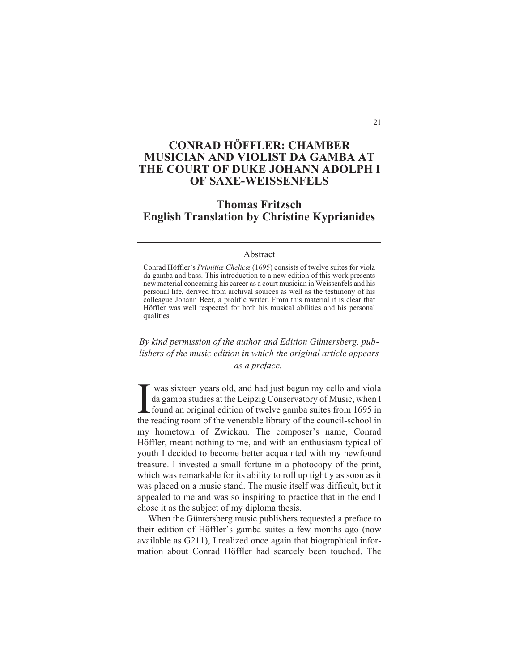# **CONRAD HÖFFLER: CHAMBER MUSICIAN AND VIOLIST DA GAMBA AT THE COURT OF DUKE JOHANN ADOLPH I OF SAXE-WEISSENFELS**

## **Thomas Fritzsch English Translation by Christine Kyprianides**

#### Abstract

Conrad Höffler's *Primitiæ Chelicæ* (1695) consists of twelve suites for viola da gamba and bass. This introduction to a new edition of this work presents new material concerning his career as a court musician in Weissenfels and his personal life, derived from archival sources as well as the testimony of his colleague Johann Beer, a prolific writer. From this material it is clear that Höffler was well respected for both his musical abilities and his personal qualities.

*By kind permission of the author and Edition Güntersberg, publishers of the music edition in which the original article appears as a preface.*

 $\prod_{\text{the }i}$ was sixteen years old, and had just begun my cello and viola da gamba studies at the Leipzig Conservatory of Music, when I found an original edition of twelve gamba suites from 1695 in the reading room of the venerable library of the council-school in my hometown of Zwickau. The composer's name, Conrad Höffler, meant nothing to me, and with an enthusiasm typical of youth I decided to become better acquainted with my newfound treasure. I invested a small fortune in a photocopy of the print, which was remarkable for its ability to roll up tightly as soon as it was placed on a music stand. The music itself was difficult, but it appealed to me and was so inspiring to practice that in the end I chose it as the subject of my diploma thesis.

When the Güntersberg music publishers requested a preface to their edition of Höffler's gamba suites a few months ago (now available as G211), I realized once again that biographical information about Conrad Höffler had scarcely been touched. The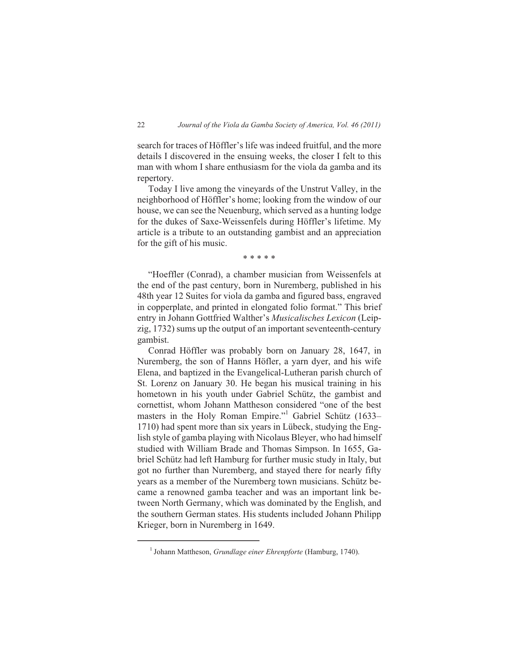search for traces of Höffler's life was indeed fruitful, and the more details I discovered in the ensuing weeks, the closer I felt to this man with whom I share enthusiasm for the viola da gamba and its repertory.

Today I live among the vineyards of the Unstrut Valley, in the neighborhood of Höffler's home; looking from the window of our house, we can see the Neuenburg, which served as a hunting lodge for the dukes of Saxe-Weissenfels during Höffler's lifetime. My article is a tribute to an outstanding gambist and an appreciation for the gift of his music.

\* \* \* \* \*

"Hoeffler (Conrad), a chamber musician from Weissenfels at the end of the past century, born in Nuremberg, published in his 48th year 12 Suites for viola da gamba and figured bass, engraved in copperplate, and printed in elongated folio format." This brief entry in Johann Gottfried Walther's *Musicalisches Lexicon* (Leipzig, 1732) sums up the output of an important seventeenth-century gambist.

Conrad Höffler was probably born on January 28, 1647, in Nuremberg, the son of Hanns Höfler, a yarn dyer, and his wife Elena, and baptized in the Evangelical-Lutheran parish church of St. Lorenz on January 30. He began his musical training in his hometown in his youth under Gabriel Schütz, the gambist and cornettist, whom Johann Mattheson considered "one of the best masters in the Holy Roman Empire."<sup>1</sup> Gabriel Schütz (1633– 1710) had spent more than six years in Lübeck, studying the English style of gamba playing with Nicolaus Bleyer, who had himself studied with William Brade and Thomas Simpson. In 1655, Gabriel Schütz had left Hamburg for further music study in Italy, but got no further than Nuremberg, and stayed there for nearly fifty years as a member of the Nuremberg town musicians. Schütz became a renowned gamba teacher and was an important link between North Germany, which was dominated by the English, and the southern German states. His students included Johann Philipp Krieger, born in Nuremberg in 1649.

<sup>1</sup> Johann Mattheson, *Grundlage einer Ehrenpforte* (Hamburg, 1740).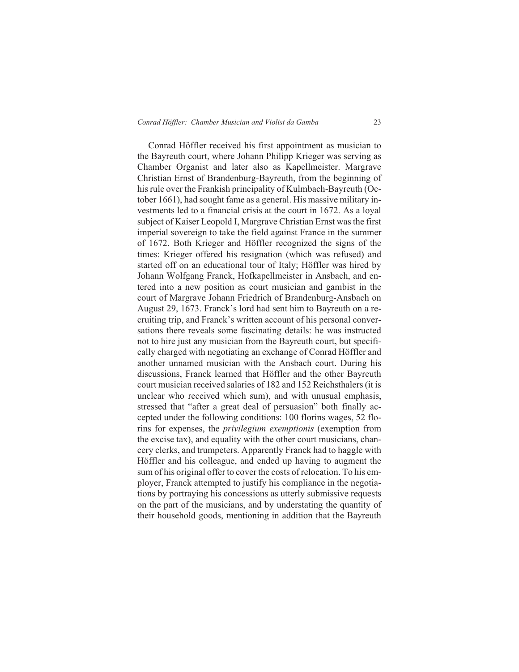Conrad Höffler received his first appointment as musician to the Bayreuth court, where Johann Philipp Krieger was serving as Chamber Organist and later also as Kapellmeister. Margrave Christian Ernst of Brandenburg-Bayreuth, from the beginning of his rule over the Frankish principality of Kulmbach-Bayreuth (October 1661), had sought fame as a general. His massive military investments led to a financial crisis at the court in 1672. As a loyal subject of Kaiser Leopold I, Margrave Christian Ernst was the first imperial sovereign to take the field against France in the summer of 1672. Both Krieger and Höffler recognized the signs of the times: Krieger offered his resignation (which was refused) and started off on an educational tour of Italy; Höffler was hired by Johann Wolfgang Franck, Hofkapellmeister in Ansbach, and entered into a new position as court musician and gambist in the court of Margrave Johann Friedrich of Brandenburg-Ansbach on August 29, 1673. Franck's lord had sent him to Bayreuth on a recruiting trip, and Franck's written account of his personal conversations there reveals some fascinating details: he was instructed not to hire just any musician from the Bayreuth court, but specifically charged with negotiating an exchange of Conrad Höffler and another unnamed musician with the Ansbach court. During his discussions, Franck learned that Höffler and the other Bayreuth court musician received salaries of 182 and 152 Reichsthalers (it is unclear who received which sum), and with unusual emphasis, stressed that "after a great deal of persuasion" both finally accepted under the following conditions: 100 florins wages, 52 florins for expenses, the *privilegium exemptionis* (exemption from the excise tax), and equality with the other court musicians, chancery clerks, and trumpeters. Apparently Franck had to haggle with Höffler and his colleague, and ended up having to augment the sum of his original offer to cover the costs of relocation. To his employer, Franck attempted to justify his compliance in the negotiations by portraying his concessions as utterly submissive requests on the part of the musicians, and by understating the quantity of their household goods, mentioning in addition that the Bayreuth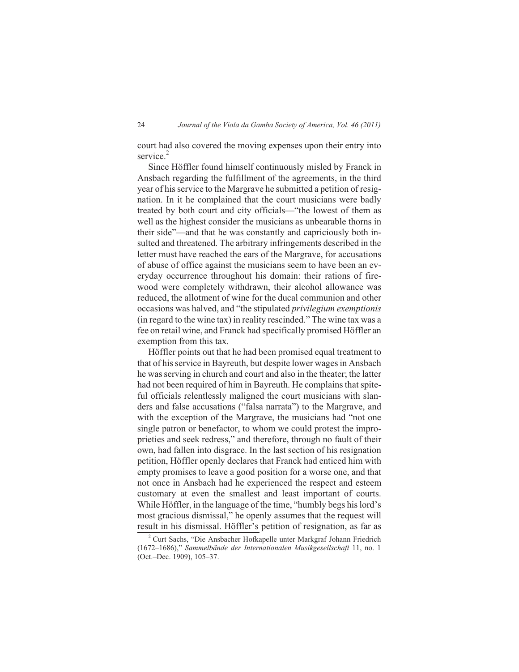court had also covered the moving expenses upon their entry into service.<sup>2</sup>

Since Höffler found himself continuously misled by Franck in Ansbach regarding the fulfillment of the agreements, in the third year of his service to the Margrave he submitted a petition of resignation. In it he complained that the court musicians were badly treated by both court and city officials—"the lowest of them as well as the highest consider the musicians as unbearable thorns in their side"—and that he was constantly and capriciously both insulted and threatened. The arbitrary infringements described in the letter must have reached the ears of the Margrave, for accusations of abuse of office against the musicians seem to have been an everyday occurrence throughout his domain: their rations of firewood were completely withdrawn, their alcohol allowance was reduced, the allotment of wine for the ducal communion and other occasions was halved, and "the stipulated *privilegium exemptionis* (in regard to the wine tax) in reality rescinded." The wine tax was a fee on retail wine, and Franck had specifically promised Höffler an exemption from this tax.

Höffler points out that he had been promised equal treatment to that of his service in Bayreuth, but despite lower wages in Ansbach he was serving in church and court and also in the theater; the latter had not been required of him in Bayreuth. He complains that spiteful officials relentlessly maligned the court musicians with slanders and false accusations ("falsa narrata") to the Margrave, and with the exception of the Margrave, the musicians had "not one single patron or benefactor, to whom we could protest the improprieties and seek redress," and therefore, through no fault of their own, had fallen into disgrace. In the last section of his resignation petition, Höffler openly declares that Franck had enticed him with empty promises to leave a good position for a worse one, and that not once in Ansbach had he experienced the respect and esteem customary at even the smallest and least important of courts. While Höffler, in the language of the time, "humbly begs his lord's most gracious dismissal," he openly assumes that the request will result in his dismissal. Höffler's petition of resignation, as far as

<sup>&</sup>lt;sup>2</sup> Curt Sachs, "Die Ansbacher Hofkapelle unter Markgraf Johann Friedrich (1672–1686)," *Sammelbände der Internationalen Musikgesellschaft* 11, no. 1 (Oct.–Dec. 1909), 105–37.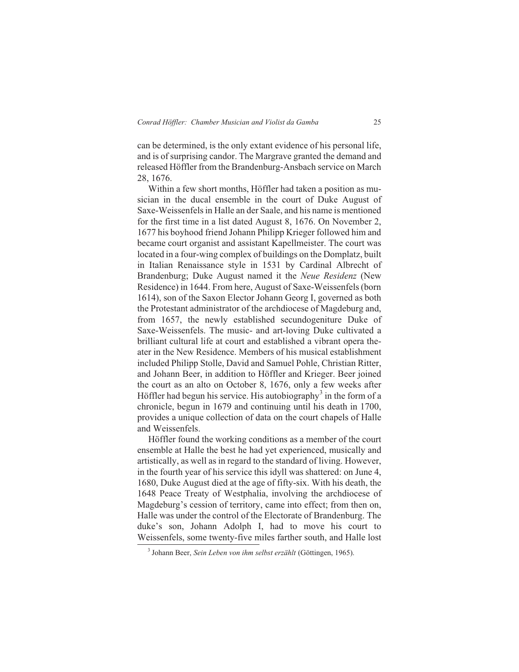can be determined, is the only extant evidence of his personal life, and is of surprising candor. The Margrave granted the demand and released Höffler from the Brandenburg-Ansbach service on March 28, 1676.

Within a few short months, Höffler had taken a position as musician in the ducal ensemble in the court of Duke August of Saxe-Weissenfels in Halle an der Saale, and his name is mentioned for the first time in a list dated August 8, 1676. On November 2, 1677 his boyhood friend Johann Philipp Krieger followed him and became court organist and assistant Kapellmeister. The court was located in a four-wing complex of buildings on the Domplatz, built in Italian Renaissance style in 1531 by Cardinal Albrecht of Brandenburg; Duke August named it the *Neue Residenz* (New Residence) in 1644. From here, August of Saxe-Weissenfels (born 1614), son of the Saxon Elector Johann Georg I, governed as both the Protestant administrator of the archdiocese of Magdeburg and, from 1657, the newly established secundogeniture Duke of Saxe-Weissenfels. The music- and art-loving Duke cultivated a brilliant cultural life at court and established a vibrant opera theater in the New Residence. Members of his musical establishment included Philipp Stolle, David and Samuel Pohle, Christian Ritter, and Johann Beer, in addition to Höffler and Krieger. Beer joined the court as an alto on October 8, 1676, only a few weeks after Höffler had begun his service. His autobiography<sup>3</sup> in the form of a chronicle, begun in 1679 and continuing until his death in 1700, provides a unique collection of data on the court chapels of Halle and Weissenfels.

Höffler found the working conditions as a member of the court ensemble at Halle the best he had yet experienced, musically and artistically, as well as in regard to the standard of living. However, in the fourth year of his service this idyll was shattered: on June 4, 1680, Duke August died at the age of fifty-six. With his death, the 1648 Peace Treaty of Westphalia, involving the archdiocese of Magdeburg's cession of territory, came into effect; from then on, Halle was under the control of the Electorate of Brandenburg. The duke's son, Johann Adolph I, had to move his court to Weissenfels, some twenty-five miles farther south, and Halle lost

<sup>3</sup> Johann Beer, *Sein Leben von ihm selbst erzählt* (Göttingen, 1965).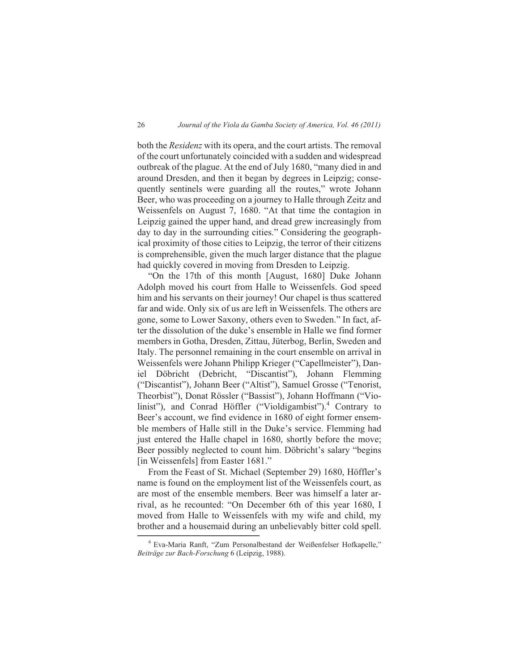both the *Residenz* with its opera, and the court artists. The removal of the court unfortunately coincided with a sudden and widespread outbreak of the plague. At the end of July 1680, "many died in and around Dresden, and then it began by degrees in Leipzig; consequently sentinels were guarding all the routes," wrote Johann Beer, who was proceeding on a journey to Halle through Zeitz and Weissenfels on August 7, 1680. "At that time the contagion in Leipzig gained the upper hand, and dread grew increasingly from day to day in the surrounding cities." Considering the geographical proximity of those cities to Leipzig, the terror of their citizens is comprehensible, given the much larger distance that the plague had quickly covered in moving from Dresden to Leipzig.

"On the 17th of this month [August, 1680] Duke Johann Adolph moved his court from Halle to Weissenfels. God speed him and his servants on their journey! Our chapel is thus scattered far and wide. Only six of us are left in Weissenfels. The others are gone, some to Lower Saxony, others even to Sweden." In fact, after the dissolution of the duke's ensemble in Halle we find former members in Gotha, Dresden, Zittau, Jüterbog, Berlin, Sweden and Italy. The personnel remaining in the court ensemble on arrival in Weissenfels were Johann Philipp Krieger ("Capellmeister"), Dan-Döbricht (Debricht, "Discantist"), Johann Flemming ("Discantist"), Johann Beer ("Altist"), Samuel Grosse ("Tenorist, Theorbist"), Donat Rössler ("Bassist"), Johann Hoffmann ("Violinist"), and Conrad Höffler ("Violdigambist"). $4$  Contrary to Beer's account, we find evidence in 1680 of eight former ensemble members of Halle still in the Duke's service. Flemming had just entered the Halle chapel in 1680, shortly before the move; Beer possibly neglected to count him. Döbricht's salary "begins [in Weissenfels] from Easter 1681."

From the Feast of St. Michael (September 29) 1680, Höffler's name is found on the employment list of the Weissenfels court, as are most of the ensemble members. Beer was himself a later arrival, as he recounted: "On December 6th of this year 1680, I moved from Halle to Weissenfels with my wife and child, my brother and a housemaid during an unbelievably bitter cold spell.

<sup>4</sup> Eva-Maria Ranft, "Zum Personalbestand der Weißenfelser Hofkapelle," *Beiträge zur Bach-Forschung* 6 (Leipzig, 1988).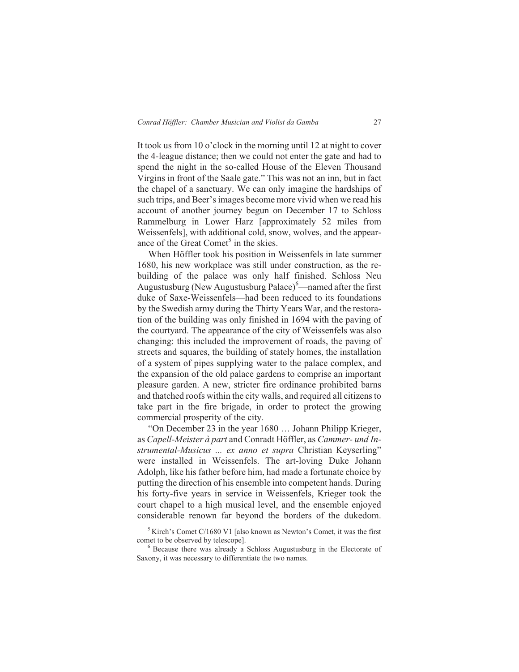It took us from 10 o'clock in the morning until 12 at night to cover the 4-league distance; then we could not enter the gate and had to spend the night in the so-called House of the Eleven Thousand Virgins in front of the Saale gate." This was not an inn, but in fact the chapel of a sanctuary. We can only imagine the hardships of such trips, and Beer's images become more vivid when we read his account of another journey begun on December 17 to Schloss Rammelburg in Lower Harz [approximately 52 miles from Weissenfels], with additional cold, snow, wolves, and the appearance of the Great Comet<sup>5</sup> in the skies.

When Höffler took his position in Weissenfels in late summer 1680, his new workplace was still under construction, as the rebuilding of the palace was only half finished. Schloss Neu Augustusburg (New Augustusburg Palace) $^6$ —named after the first duke of Saxe-Weissenfels—had been reduced to its foundations by the Swedish army during the Thirty Years War, and the restoration of the building was only finished in 1694 with the paving of the courtyard. The appearance of the city of Weissenfels was also changing: this included the improvement of roads, the paving of streets and squares, the building of stately homes, the installation of a system of pipes supplying water to the palace complex, and the expansion of the old palace gardens to comprise an important pleasure garden. A new, stricter fire ordinance prohibited barns and thatched roofs within the city walls, and required all citizens to take part in the fire brigade, in order to protect the growing commercial prosperity of the city.

"On December 23 in the year 1680 … Johann Philipp Krieger, as *Capell-Meister à part* and Conradt Höffler, as *Cammer- und Instrumental-Musicus ... ex anno et supra* Christian Keyserling" were installed in Weissenfels. The art-loving Duke Johann Adolph, like his father before him, had made a fortunate choice by putting the direction of his ensemble into competent hands. During his forty-five years in service in Weissenfels, Krieger took the court chapel to a high musical level, and the ensemble enjoyed considerable renown far beyond the borders of the dukedom.

 $5$  Kirch's Comet C/1680 V1 [also known as Newton's Comet, it was the first comet to be observed by telescope].

<sup>6</sup> Because there was already a Schloss Augustusburg in the Electorate of Saxony, it was necessary to differentiate the two names.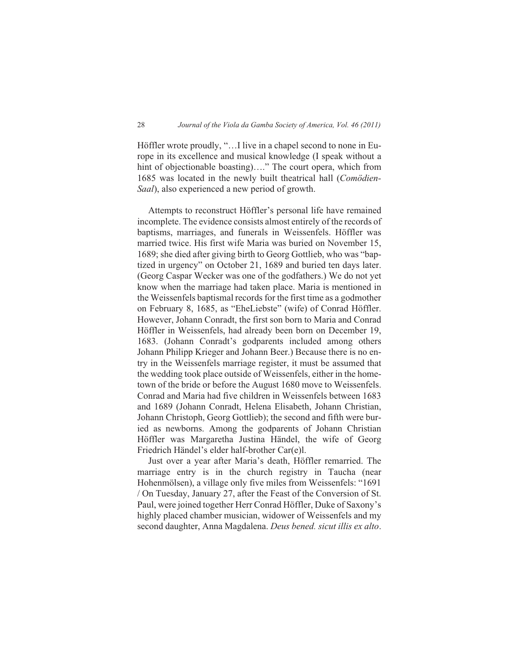Höffler wrote proudly, "…I live in a chapel second to none in Europe in its excellence and musical knowledge (I speak without a hint of objectionable boasting)...." The court opera, which from 1685 was located in the newly built theatrical hall (*Comödien-Saal*), also experienced a new period of growth.

Attempts to reconstruct Höffler's personal life have remained incomplete. The evidence consists almost entirely of the records of baptisms, marriages, and funerals in Weissenfels. Höffler was married twice. His first wife Maria was buried on November 15, 1689; she died after giving birth to Georg Gottlieb, who was "baptized in urgency" on October 21, 1689 and buried ten days later. (Georg Caspar Wecker was one of the godfathers.) We do not yet know when the marriage had taken place. Maria is mentioned in the Weissenfels baptismal records for the first time as a godmother on February 8, 1685, as "EheLiebste" (wife) of Conrad Höffler. However, Johann Conradt, the first son born to Maria and Conrad Höffler in Weissenfels, had already been born on December 19, 1683. (Johann Conradt's godparents included among others Johann Philipp Krieger and Johann Beer.) Because there is no entry in the Weissenfels marriage register, it must be assumed that the wedding took place outside of Weissenfels, either in the hometown of the bride or before the August 1680 move to Weissenfels. Conrad and Maria had five children in Weissenfels between 1683 and 1689 (Johann Conradt, Helena Elisabeth, Johann Christian, Johann Christoph, Georg Gottlieb); the second and fifth were buried as newborns. Among the godparents of Johann Christian Höffler was Margaretha Justina Händel, the wife of Georg Friedrich Händel's elder half-brother Car(e)l.

Just over a year after Maria's death, Höffler remarried. The marriage entry is in the church registry in Taucha (near Hohenmölsen), a village only five miles from Weissenfels: "1691 / On Tuesday, January 27, after the Feast of the Conversion of St. Paul, were joined together Herr Conrad Höffler, Duke of Saxony's highly placed chamber musician, widower of Weissenfels and my second daughter, Anna Magdalena. *Deus bened. sicut illis ex alto*.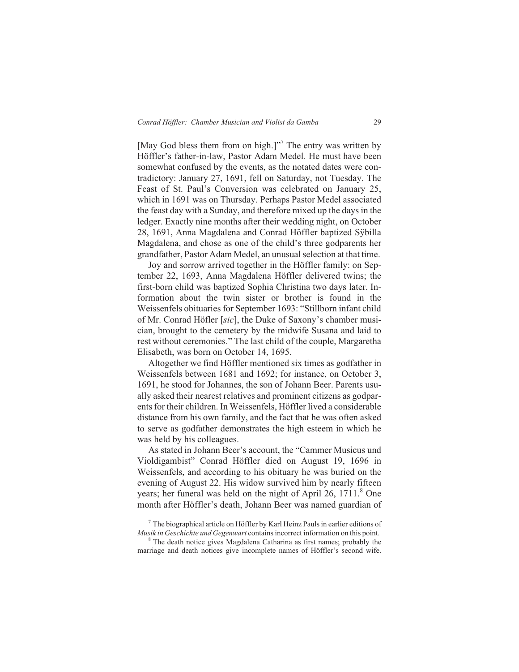[May God bless them from on high.]"<sup>7</sup> The entry was written by Höffler's father-in-law, Pastor Adam Medel. He must have been somewhat confused by the events, as the notated dates were contradictory: January 27, 1691, fell on Saturday, not Tuesday. The Feast of St. Paul's Conversion was celebrated on January 25, which in 1691 was on Thursday. Perhaps Pastor Medel associated the feast day with a Sunday, and therefore mixed up the days in the ledger. Exactly nine months after their wedding night, on October 28, 1691, Anna Magdalena and Conrad Höffler baptized Sÿbilla Magdalena, and chose as one of the child's three godparents her grandfather, Pastor Adam Medel, an unusual selection at that time.

Joy and sorrow arrived together in the Höffler family: on September 22, 1693, Anna Magdalena Höffler delivered twins; the first-born child was baptized Sophia Christina two days later. Information about the twin sister or brother is found in the Weissenfels obituaries for September 1693: "Stillborn infant child of Mr. Conrad Höfler [*sic*], the Duke of Saxony's chamber musician, brought to the cemetery by the midwife Susana and laid to rest without ceremonies." The last child of the couple, Margaretha Elisabeth, was born on October 14, 1695.

Altogether we find Höffler mentioned six times as godfather in Weissenfels between 1681 and 1692; for instance, on October 3, 1691, he stood for Johannes, the son of Johann Beer. Parents usually asked their nearest relatives and prominent citizens as godparents for their children. In Weissenfels, Höffler lived a considerable distance from his own family, and the fact that he was often asked to serve as godfather demonstrates the high esteem in which he was held by his colleagues.

As stated in Johann Beer's account, the "Cammer Musicus und Violdigambist" Conrad Höffler died on August 19, 1696 in Weissenfels, and according to his obituary he was buried on the evening of August 22. His widow survived him by nearly fifteen years; her funeral was held on the night of April 26, 1711.<sup>8</sup> One month after Höffler's death, Johann Beer was named guardian of

 $<sup>7</sup>$  The biographical article on Höffler by Karl Heinz Pauls in earlier editions of</sup> *Musik in Geschichte und Gegenwart* contains incorrect information on this point.

<sup>&</sup>lt;sup>8</sup> The death notice gives Magdalena Catharina as first names; probably the marriage and death notices give incomplete names of Höffler's second wife.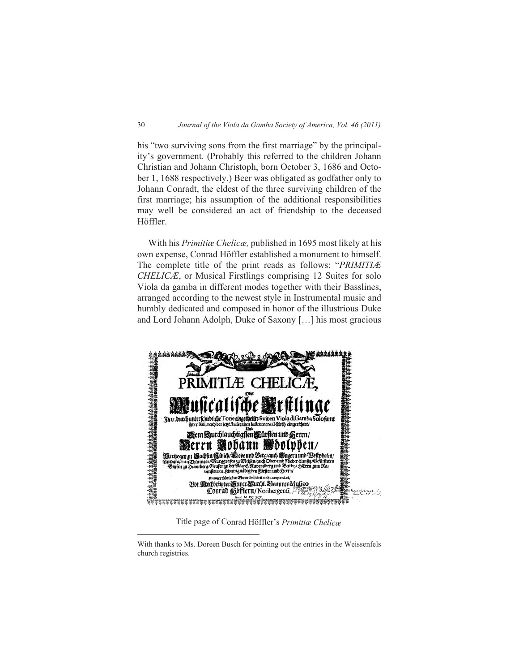his "two surviving sons from the first marriage" by the principality's government. (Probably this referred to the children Johann Christian and Johann Christoph, born October 3, 1686 and October 1, 1688 respectively.) Beer was obligated as godfather only to Johann Conradt, the eldest of the three surviving children of the first marriage; his assumption of the additional responsibilities may well be considered an act of friendship to the deceased Höffler.

With his *Primitiæ Chelicæ,* published in 1695 most likely at his own expense, Conrad Höffler established a monument to himself. The complete title of the print reads as follows: "*PRIMITIÆ CHELICÆ*, or Musical Firstlings comprising 12 Suites for solo Viola da gamba in different modes together with their Basslines, arranged according to the newest style in Instrumental music and humbly dedicated and composed in honor of the illustrious Duke and Lord Johann Adolph, Duke of Saxony […] his most gracious



Title page of Conrad Höffler's *Primitiæ Chelicæ*

With thanks to Ms. Doreen Busch for pointing out the entries in the Weissenfels church registries.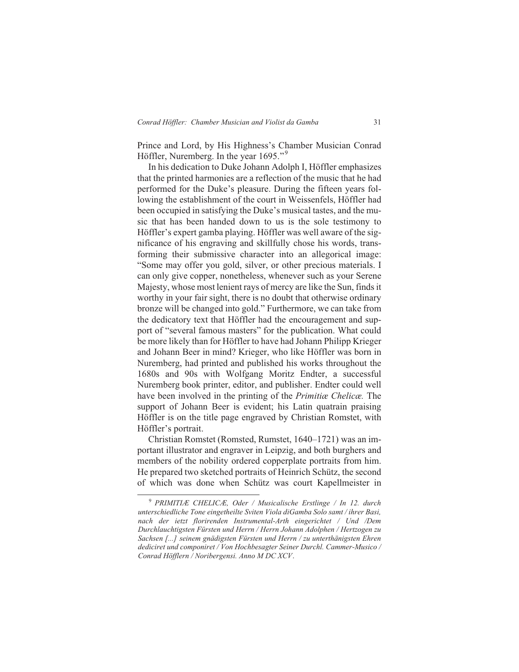Prince and Lord, by His Highness's Chamber Musician Conrad Höffler, Nuremberg. In the year 1695."<sup>9</sup>

In his dedication to Duke Johann Adolph I, Höffler emphasizes that the printed harmonies are a reflection of the music that he had performed for the Duke's pleasure. During the fifteen years following the establishment of the court in Weissenfels, Höffler had been occupied in satisfying the Duke's musical tastes, and the music that has been handed down to us is the sole testimony to Höffler's expert gamba playing. Höffler was well aware of the significance of his engraving and skillfully chose his words, transforming their submissive character into an allegorical image: "Some may offer you gold, silver, or other precious materials. I can only give copper, nonetheless, whenever such as your Serene Majesty, whose most lenient rays of mercy are like the Sun, finds it worthy in your fair sight, there is no doubt that otherwise ordinary bronze will be changed into gold." Furthermore, we can take from the dedicatory text that Höffler had the encouragement and support of "several famous masters" for the publication. What could be more likely than for Höffler to have had Johann Philipp Krieger and Johann Beer in mind? Krieger, who like Höffler was born in Nuremberg, had printed and published his works throughout the 1680s and 90s with Wolfgang Moritz Endter, a successful Nuremberg book printer, editor, and publisher. Endter could well have been involved in the printing of the *Primitiæ Chelicæ.* The support of Johann Beer is evident; his Latin quatrain praising Höffler is on the title page engraved by Christian Romstet, with Höffler's portrait.

Christian Romstet (Romsted, Rumstet, 1640–1721) was an important illustrator and engraver in Leipzig, and both burghers and members of the nobility ordered copperplate portraits from him. He prepared two sketched portraits of Heinrich Schütz, the second of which was done when Schütz was court Kapellmeister in

<sup>9</sup> *PRIMITIÆ CHELICÆ, Oder / Musicalische Erstlinge / In 12. durch unterschiedliche Tone eingetheilte Sviten Viola diGamba Solo samt / ihrer Basi, nach der ietzt florirenden Instrumental-Arth eingerichtet / Und /Dem Durchlauchtigsten Fürsten und Herrn / Herrn Johann Adolphen / Hertzogen zu Sachsen [...] seinem gnädigsten Fürsten und Herrn / zu unterthänigsten Ehren dediciret und componiret / Von Hochbesagter Seiner Durchl. Cammer-Musico / Conrad Höfflern / Noribergensi. Anno M DC XCV*.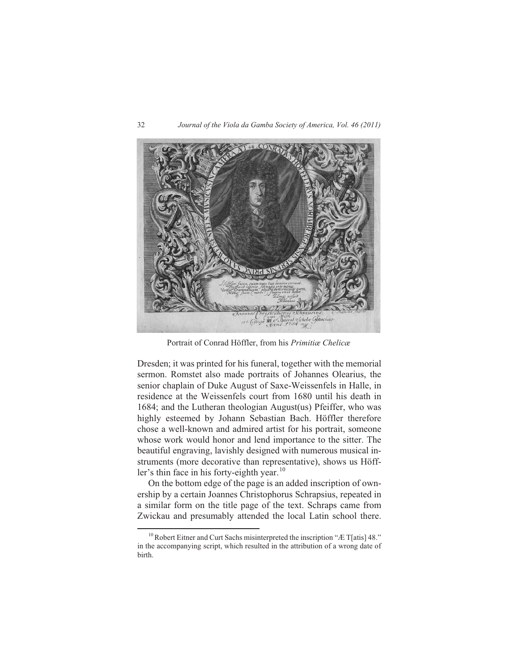

Portrait of Conrad Höffler, from his *Primitiæ Chelicæ*

Dresden; it was printed for his funeral, together with the memorial sermon. Romstet also made portraits of Johannes Olearius, the senior chaplain of Duke August of Saxe-Weissenfels in Halle, in residence at the Weissenfels court from 1680 until his death in 1684; and the Lutheran theologian August(us) Pfeiffer, who was highly esteemed by Johann Sebastian Bach. Höffler therefore chose a well-known and admired artist for his portrait, someone whose work would honor and lend importance to the sitter. The beautiful engraving, lavishly designed with numerous musical instruments (more decorative than representative), shows us Höffler's thin face in his forty-eighth year. $^{10}$ 

On the bottom edge of the page is an added inscription of ownership by a certain Joannes Christophorus Schrapsius, repeated in a similar form on the title page of the text. Schraps came from Zwickau and presumably attended the local Latin school there.

 $10$  Robert Eitner and Curt Sachs misinterpreted the inscription "Æ T[atis] 48." in the accompanying script, which resulted in the attribution of a wrong date of birth.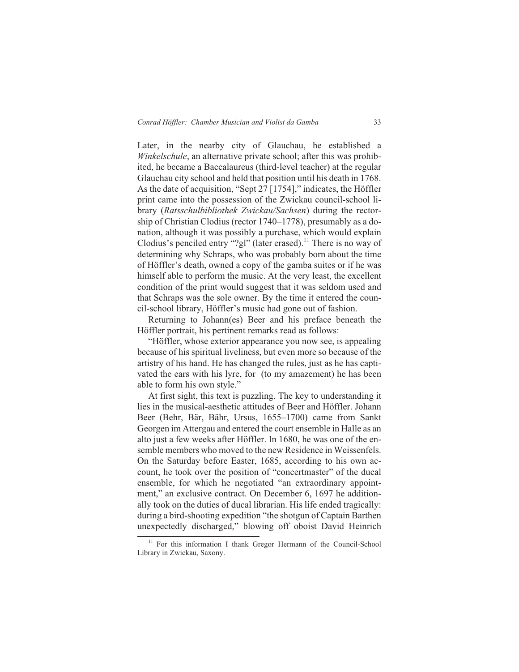Later, in the nearby city of Glauchau, he established a *Winkelschule*, an alternative private school; after this was prohibited, he became a Baccalaureus (third-level teacher) at the regular Glauchau city school and held that position until his death in 1768. As the date of acquisition, "Sept 27 [1754]," indicates, the Höffler print came into the possession of the Zwickau council-school library (*Ratsschulbibliothek Zwickau/Sachsen*) during the rectorship of Christian Clodius (rector 1740–1778), presumably as a donation, although it was possibly a purchase, which would explain Clodius's penciled entry "?gl" (later erased).<sup>11</sup> There is no way of determining why Schraps, who was probably born about the time of Höffler's death, owned a copy of the gamba suites or if he was himself able to perform the music. At the very least, the excellent condition of the print would suggest that it was seldom used and that Schraps was the sole owner. By the time it entered the council-school library, Höffler's music had gone out of fashion.

Returning to Johann(es) Beer and his preface beneath the Höffler portrait, his pertinent remarks read as follows:

"Höffler, whose exterior appearance you now see, is appealing because of his spiritual liveliness, but even more so because of the artistry of his hand. He has changed the rules, just as he has captivated the ears with his lyre, for (to my amazement) he has been able to form his own style."

At first sight, this text is puzzling. The key to understanding it lies in the musical-aesthetic attitudes of Beer and Höffler. Johann Beer (Behr, Bär, Bähr, Ursus, 1655–1700) came from Sankt Georgen im Attergau and entered the court ensemble in Halle as an alto just a few weeks after Höffler. In 1680, he was one of the ensemble members who moved to the new Residence in Weissenfels. On the Saturday before Easter, 1685, according to his own account, he took over the position of "concertmaster" of the ducal ensemble, for which he negotiated "an extraordinary appointment," an exclusive contract. On December 6, 1697 he additionally took on the duties of ducal librarian. His life ended tragically: during a bird-shooting expedition "the shotgun of Captain Barthen unexpectedly discharged," blowing off oboist David Heinrich

<sup>&</sup>lt;sup>11</sup> For this information I thank Gregor Hermann of the Council-School Library in Zwickau, Saxony.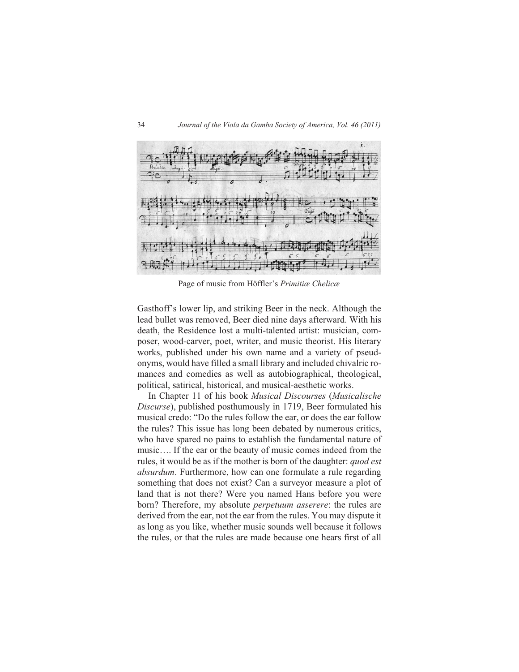

Page of music from Höffler's *Primitiæ Chelicæ*

Gasthoff's lower lip, and striking Beer in the neck. Although the lead bullet was removed, Beer died nine days afterward. With his death, the Residence lost a multi-talented artist: musician, composer, wood-carver, poet, writer, and music theorist. His literary works, published under his own name and a variety of pseudonyms, would have filled a small library and included chivalric romances and comedies as well as autobiographical, theological, political, satirical, historical, and musical-aesthetic works.

In Chapter 11 of his book *Musical Discourses* (*Musicalische Discurse*), published posthumously in 1719, Beer formulated his musical credo: "Do the rules follow the ear, or does the ear follow the rules? This issue has long been debated by numerous critics, who have spared no pains to establish the fundamental nature of music…. If the ear or the beauty of music comes indeed from the rules, it would be as if the mother is born of the daughter: *quod est absurdum*. Furthermore, how can one formulate a rule regarding something that does not exist? Can a surveyor measure a plot of land that is not there? Were you named Hans before you were born? Therefore, my absolute *perpetuum asserere*: the rules are derived from the ear, not the ear from the rules. You may dispute it as long as you like, whether music sounds well because it follows the rules, or that the rules are made because one hears first of all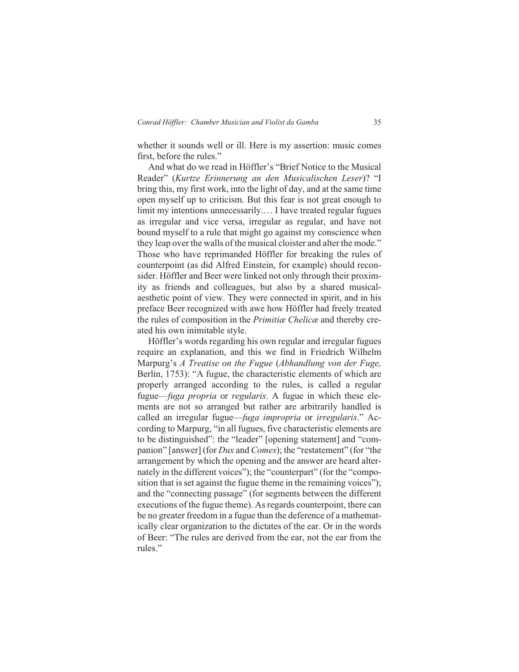whether it sounds well or ill. Here is my assertion: music comes first, before the rules."

And what do we read in Höffler's "Brief Notice to the Musical Reader" (*Kurtze Erinnerung an den Musicalischen Leser*)? "I bring this, my first work, into the light of day, and at the same time open myself up to criticism. But this fear is not great enough to limit my intentions unnecessarily.… I have treated regular fugues as irregular and vice versa, irregular as regular, and have not bound myself to a rule that might go against my conscience when they leap over the walls of the musical cloister and alter the mode." Those who have reprimanded Höffler for breaking the rules of counterpoint (as did Alfred Einstein, for example) should reconsider. Höffler and Beer were linked not only through their proximity as friends and colleagues, but also by a shared musicalaesthetic point of view. They were connected in spirit, and in his preface Beer recognized with awe how Höffler had freely treated the rules of composition in the *Primitiæ Chelicæ* and thereby created his own inimitable style.

Höffler's words regarding his own regular and irregular fugues require an explanation, and this we find in Friedrich Wilhelm Marpurg's *A Treatise on the Fugue* (*Abhandlung von der Fuge,* Berlin, 1753): "A fugue, the characteristic elements of which are properly arranged according to the rules, is called a regular fugue—*fuga propria* or *regularis*. A fugue in which these elements are not so arranged but rather are arbitrarily handled is called an irregular fugue—*fuga impropria* or *irregularis*." According to Marpurg, "in all fugues, five characteristic elements are to be distinguished": the "leader" [opening statement] and "companion" [answer] (for *Dux* and *Comes*); the "restatement" (for "the arrangement by which the opening and the answer are heard alternately in the different voices"); the "counterpart" (for the "composition that is set against the fugue theme in the remaining voices"); and the "connecting passage" (for segments between the different executions of the fugue theme). As regards counterpoint, there can be no greater freedom in a fugue than the deference of a mathematically clear organization to the dictates of the ear. Or in the words of Beer: "The rules are derived from the ear, not the ear from the rules."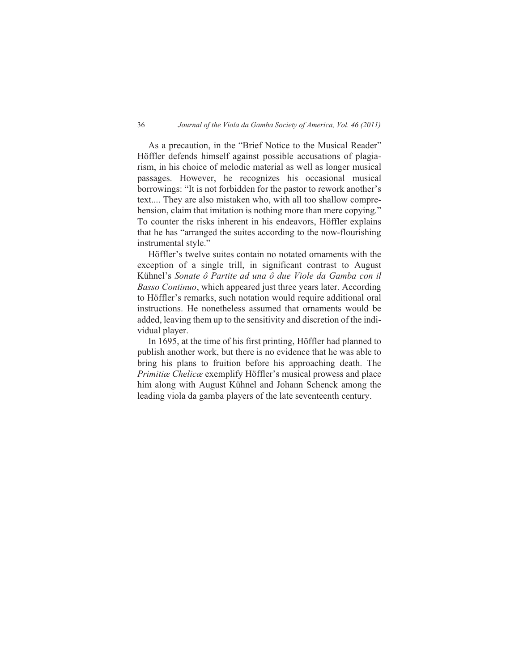#### 36 *Journal of the Viola da Gamba Society of America, Vol. 46 (2011)*

As a precaution, in the "Brief Notice to the Musical Reader" Höffler defends himself against possible accusations of plagiarism, in his choice of melodic material as well as longer musical passages. However, he recognizes his occasional musical borrowings: "It is not forbidden for the pastor to rework another's text.... They are also mistaken who, with all too shallow comprehension, claim that imitation is nothing more than mere copying." To counter the risks inherent in his endeavors, Höffler explains that he has "arranged the suites according to the now-flourishing instrumental style."

Höffler's twelve suites contain no notated ornaments with the exception of a single trill, in significant contrast to August Kühnel's *Sonate ô Partite ad una ô due Viole da Gamba con il Basso Continuo*, which appeared just three years later. According to Höffler's remarks, such notation would require additional oral instructions. He nonetheless assumed that ornaments would be added, leaving them up to the sensitivity and discretion of the individual player.

In 1695, at the time of his first printing, Höffler had planned to publish another work, but there is no evidence that he was able to bring his plans to fruition before his approaching death. The *Primitiæ Chelicæ* exemplify Höffler's musical prowess and place him along with August Kühnel and Johann Schenck among the leading viola da gamba players of the late seventeenth century.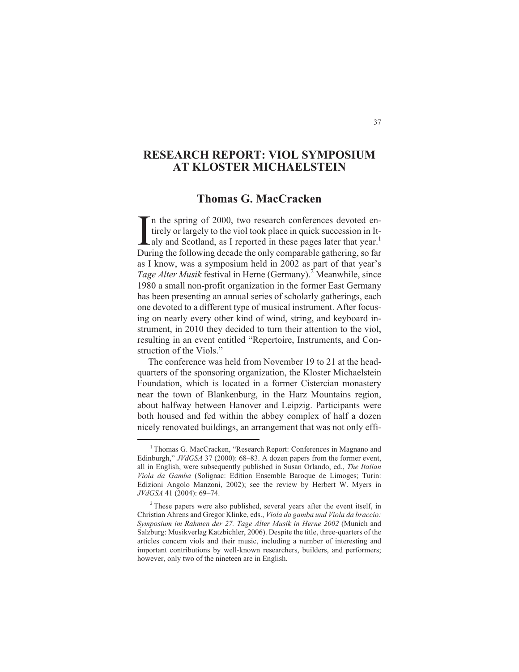# **RESEARCH REPORT: VIOL SYMPOSIUM AT KLOSTER MICHAELSTEIN**

## **Thomas G. MacCracken**

In the spring of 2000, two research conferences devoted entirely or largely to the viol took place in quick succession in It-<br>aly and Scotland, as I reported in these pages later that year.<sup>1</sup><br>During the following decade t In the spring of 2000, two research conferences devoted entirely or largely to the viol took place in quick succession in It-Laly and Scotland, as I reported in these pages later that year.<sup>1</sup> as I know, was a symposium held in 2002 as part of that year's *Tage Alter Musik* festival in Herne (Germany).<sup>2</sup> Meanwhile, since 1980 a small non-profit organization in the former East Germany has been presenting an annual series of scholarly gatherings, each one devoted to a different type of musical instrument. After focusing on nearly every other kind of wind, string, and keyboard instrument, in 2010 they decided to turn their attention to the viol, resulting in an event entitled "Repertoire, Instruments, and Construction of the Viols."

The conference was held from November 19 to 21 at the headquarters of the sponsoring organization, the Kloster Michaelstein Foundation, which is located in a former Cistercian monastery near the town of Blankenburg, in the Harz Mountains region, about halfway between Hanover and Leipzig. Participants were both housed and fed within the abbey complex of half a dozen nicely renovated buildings, an arrangement that was not only effi-

<sup>&</sup>lt;sup>1</sup> Thomas G. MacCracken, "Research Report: Conferences in Magnano and Edinburgh," *JVdGSA* 37 (2000): 68–83. A dozen papers from the former event, all in English, were subsequently published in Susan Orlando, ed., *The Italian Viola da Gamba* (Solignac: Edition Ensemble Baroque de Limoges; Turin: Edizioni Angolo Manzoni, 2002); see the review by Herbert W. Myers in *JVdGSA* 41 (2004): 69–74.

<sup>&</sup>lt;sup>2</sup> These papers were also published, several years after the event itself, in Christian Ahrens and Gregor Klinke, eds., *Viola da gamba und Viola da braccio: Symposium im Rahmen der 27. Tage Alter Musik in Herne 2002* (Munich and Salzburg: Musikverlag Katzbichler, 2006). Despite the title, three-quarters of the articles concern viols and their music, including a number of interesting and important contributions by well-known researchers, builders, and performers; however, only two of the nineteen are in English.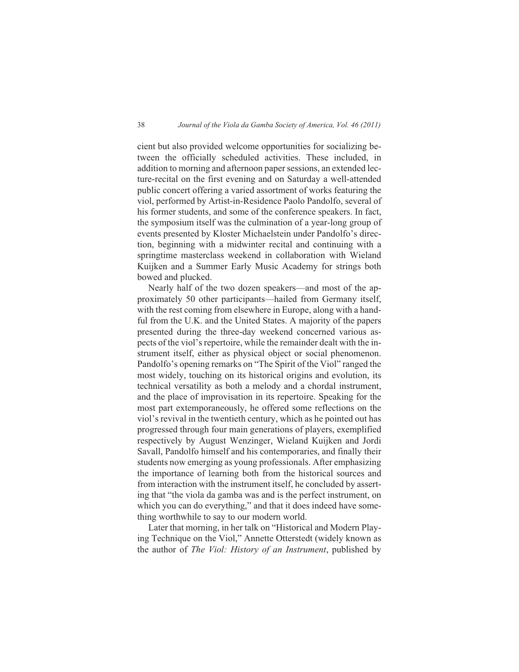cient but also provided welcome opportunities for socializing between the officially scheduled activities. These included, in addition to morning and afternoon paper sessions, an extended lecture-recital on the first evening and on Saturday a well-attended public concert offering a varied assortment of works featuring the viol, performed by Artist-in-Residence Paolo Pandolfo, several of his former students, and some of the conference speakers. In fact, the symposium itself was the culmination of a year-long group of events presented by Kloster Michaelstein under Pandolfo's direction, beginning with a midwinter recital and continuing with a springtime masterclass weekend in collaboration with Wieland Kuijken and a Summer Early Music Academy for strings both bowed and plucked.

Nearly half of the two dozen speakers—and most of the approximately 50 other participants—hailed from Germany itself, with the rest coming from elsewhere in Europe, along with a handful from the U.K. and the United States. A majority of the papers presented during the three-day weekend concerned various aspects of the viol's repertoire, while the remainder dealt with the instrument itself, either as physical object or social phenomenon. Pandolfo's opening remarks on "The Spirit of the Viol" ranged the most widely, touching on its historical origins and evolution, its technical versatility as both a melody and a chordal instrument, and the place of improvisation in its repertoire. Speaking for the most part extemporaneously, he offered some reflections on the viol's revival in the twentieth century, which as he pointed out has progressed through four main generations of players, exemplified respectively by August Wenzinger, Wieland Kuijken and Jordi Savall, Pandolfo himself and his contemporaries, and finally their students now emerging as young professionals. After emphasizing the importance of learning both from the historical sources and from interaction with the instrument itself, he concluded by asserting that "the viola da gamba was and is the perfect instrument, on which you can do everything," and that it does indeed have something worthwhile to say to our modern world.

Later that morning, in her talk on "Historical and Modern Playing Technique on the Viol," Annette Otterstedt (widely known as the author of *The Viol: History of an Instrument*, published by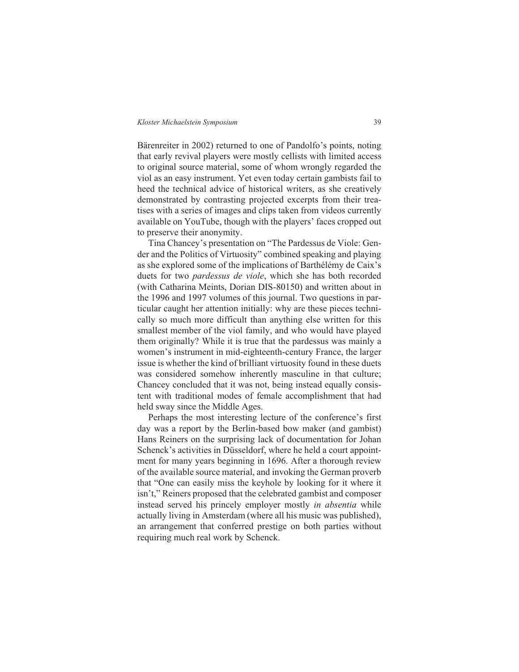Bärenreiter in 2002) returned to one of Pandolfo's points, noting that early revival players were mostly cellists with limited access to original source material, some of whom wrongly regarded the viol as an easy instrument. Yet even today certain gambists fail to heed the technical advice of historical writers, as she creatively demonstrated by contrasting projected excerpts from their treatises with a series of images and clips taken from videos currently available on YouTube, though with the players' faces cropped out to preserve their anonymity.

Tina Chancey's presentation on "The Pardessus de Viole: Gender and the Politics of Virtuosity" combined speaking and playing as she explored some of the implications of Barthélémy de Caix's duets for two *pardessus de viole*, which she has both recorded (with Catharina Meints, Dorian DIS-80150) and written about in the 1996 and 1997 volumes of this journal. Two questions in particular caught her attention initially: why are these pieces technically so much more difficult than anything else written for this smallest member of the viol family, and who would have played them originally? While it is true that the pardessus was mainly a women's instrument in mid-eighteenth-century France, the larger issue is whether the kind of brilliant virtuosity found in these duets was considered somehow inherently masculine in that culture; Chancey concluded that it was not, being instead equally consistent with traditional modes of female accomplishment that had held sway since the Middle Ages.

Perhaps the most interesting lecture of the conference's first day was a report by the Berlin-based bow maker (and gambist) Hans Reiners on the surprising lack of documentation for Johan Schenck's activities in Düsseldorf, where he held a court appointment for many years beginning in 1696. After a thorough review of the available source material, and invoking the German proverb that "One can easily miss the keyhole by looking for it where it isn't," Reiners proposed that the celebrated gambist and composer instead served his princely employer mostly *in absentia* while actually living in Amsterdam (where all his music was published), an arrangement that conferred prestige on both parties without requiring much real work by Schenck.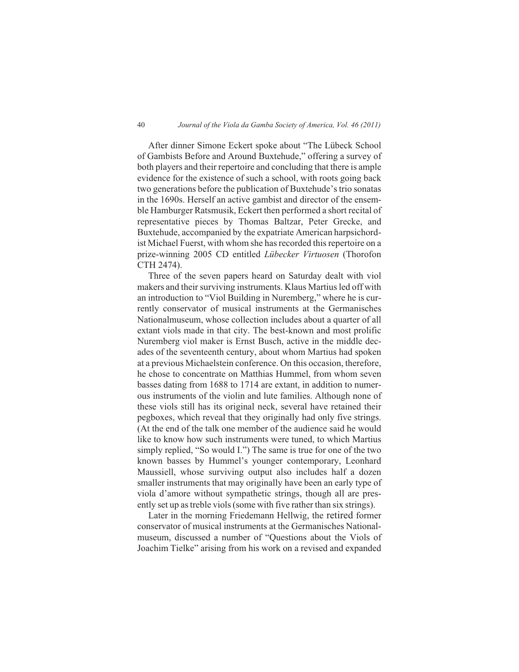### 40 *Journal of the Viola da Gamba Society of America, Vol. 46 (2011)*

After dinner Simone Eckert spoke about "The Lübeck School of Gambists Before and Around Buxtehude," offering a survey of both players and their repertoire and concluding that there is ample evidence for the existence of such a school, with roots going back two generations before the publication of Buxtehude's trio sonatas in the 1690s. Herself an active gambist and director of the ensemble Hamburger Ratsmusik, Eckert then performed a short recital of representative pieces by Thomas Baltzar, Peter Grecke, and Buxtehude, accompanied by the expatriate American harpsichordist Michael Fuerst, with whom she has recorded this repertoire on a prize-winning 2005 CD entitled *Lübecker Virtuosen* (Thorofon CTH 2474).

Three of the seven papers heard on Saturday dealt with viol makers and their surviving instruments. Klaus Martius led off with an introduction to "Viol Building in Nuremberg," where he is currently conservator of musical instruments at the Germanisches Nationalmuseum, whose collection includes about a quarter of all extant viols made in that city. The best-known and most prolific Nuremberg viol maker is Ernst Busch, active in the middle decades of the seventeenth century, about whom Martius had spoken at a previous Michaelstein conference. On this occasion, therefore, he chose to concentrate on Matthias Hummel, from whom seven basses dating from 1688 to 1714 are extant, in addition to numerous instruments of the violin and lute families. Although none of these viols still has its original neck, several have retained their pegboxes, which reveal that they originally had only five strings. (At the end of the talk one member of the audience said he would like to know how such instruments were tuned, to which Martius simply replied, "So would I.") The same is true for one of the two known basses by Hummel's younger contemporary, Leonhard Maussiell, whose surviving output also includes half a dozen smaller instruments that may originally have been an early type of viola d'amore without sympathetic strings, though all are presently set up as treble viols (some with five rather than six strings).

Later in the morning Friedemann Hellwig, the retired former conservator of musical instruments at the Germanisches Nationalmuseum, discussed a number of "Questions about the Viols of Joachim Tielke" arising from his work on a revised and expanded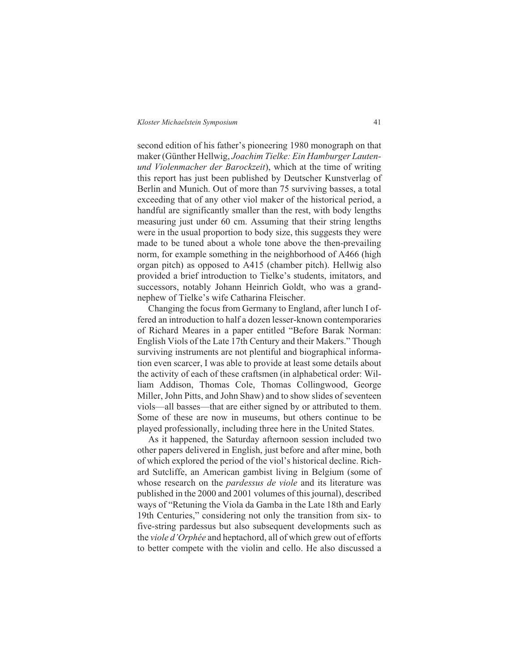second edition of his father's pioneering 1980 monograph on that maker (Günther Hellwig, *Joachim Tielke: Ein Hamburger Lautenund Violenmacher der Barockzeit*), which at the time of writing this report has just been published by Deutscher Kunstverlag of Berlin and Munich. Out of more than 75 surviving basses, a total exceeding that of any other viol maker of the historical period, a handful are significantly smaller than the rest, with body lengths measuring just under 60 cm. Assuming that their string lengths were in the usual proportion to body size, this suggests they were made to be tuned about a whole tone above the then-prevailing norm, for example something in the neighborhood of A466 (high organ pitch) as opposed to A415 (chamber pitch). Hellwig also provided a brief introduction to Tielke's students, imitators, and successors, notably Johann Heinrich Goldt, who was a grandnephew of Tielke's wife Catharina Fleischer.

Changing the focus from Germany to England, after lunch I offered an introduction to half a dozen lesser-known contemporaries of Richard Meares in a paper entitled "Before Barak Norman: English Viols of the Late 17th Century and their Makers." Though surviving instruments are not plentiful and biographical information even scarcer, I was able to provide at least some details about the activity of each of these craftsmen (in alphabetical order: William Addison, Thomas Cole, Thomas Collingwood, George Miller, John Pitts, and John Shaw) and to show slides of seventeen viols—all basses—that are either signed by or attributed to them. Some of these are now in museums, but others continue to be played professionally, including three here in the United States.

As it happened, the Saturday afternoon session included two other papers delivered in English, just before and after mine, both of which explored the period of the viol's historical decline. Richard Sutcliffe, an American gambist living in Belgium (some of whose research on the *pardessus de viole* and its literature was published in the 2000 and 2001 volumes of this journal), described ways of "Retuning the Viola da Gamba in the Late 18th and Early 19th Centuries," considering not only the transition from six- to five-string pardessus but also subsequent developments such as the *viole d'Orphée* and heptachord, all of which grew out of efforts to better compete with the violin and cello. He also discussed a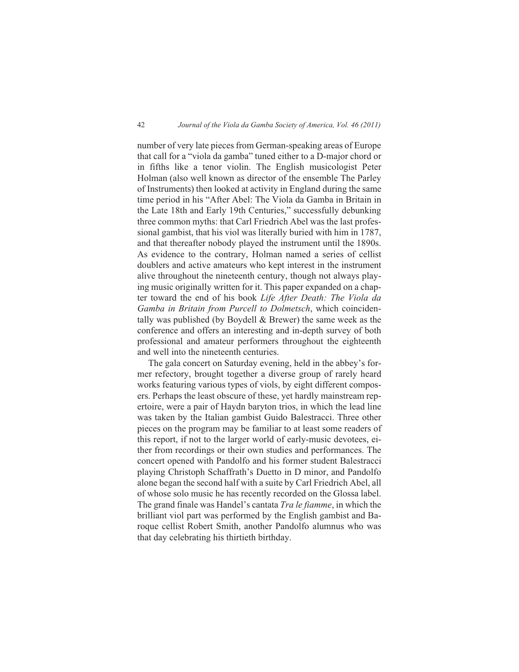number of very late pieces from German-speaking areas of Europe that call for a "viola da gamba" tuned either to a D-major chord or in fifths like a tenor violin. The English musicologist Peter Holman (also well known as director of the ensemble The Parley of Instruments) then looked at activity in England during the same time period in his "After Abel: The Viola da Gamba in Britain in the Late 18th and Early 19th Centuries," successfully debunking three common myths: that Carl Friedrich Abel was the last professional gambist, that his viol was literally buried with him in 1787, and that thereafter nobody played the instrument until the 1890s. As evidence to the contrary, Holman named a series of cellist doublers and active amateurs who kept interest in the instrument alive throughout the nineteenth century, though not always playing music originally written for it. This paper expanded on a chapter toward the end of his book *Life After Death: The Viola da Gamba in Britain from Purcell to Dolmetsch*, which coincidentally was published (by Boydell & Brewer) the same week as the conference and offers an interesting and in-depth survey of both professional and amateur performers throughout the eighteenth and well into the nineteenth centuries.

The gala concert on Saturday evening, held in the abbey's former refectory, brought together a diverse group of rarely heard works featuring various types of viols, by eight different composers. Perhaps the least obscure of these, yet hardly mainstream repertoire, were a pair of Haydn baryton trios, in which the lead line was taken by the Italian gambist Guido Balestracci. Three other pieces on the program may be familiar to at least some readers of this report, if not to the larger world of early-music devotees, either from recordings or their own studies and performances. The concert opened with Pandolfo and his former student Balestracci playing Christoph Schaffrath's Duetto in D minor, and Pandolfo alone began the second half with a suite by Carl Friedrich Abel, all of whose solo music he has recently recorded on the Glossa label. The grand finale was Handel's cantata *Tra le fiamme*, in which the brilliant viol part was performed by the English gambist and Baroque cellist Robert Smith, another Pandolfo alumnus who was that day celebrating his thirtieth birthday.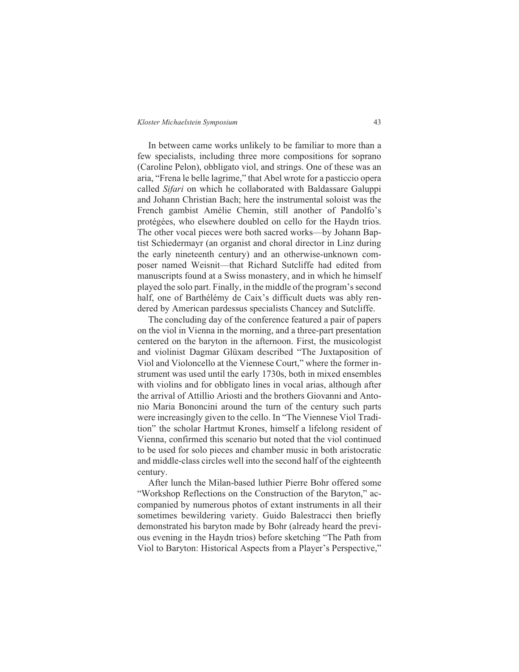In between came works unlikely to be familiar to more than a few specialists, including three more compositions for soprano (Caroline Pelon), obbligato viol, and strings. One of these was an aria, "Frena le belle lagrime," that Abel wrote for a pasticcio opera called *Sifari* on which he collaborated with Baldassare Galuppi and Johann Christian Bach; here the instrumental soloist was the French gambist Amélie Chemin, still another of Pandolfo's protégées, who elsewhere doubled on cello for the Haydn trios. The other vocal pieces were both sacred works—by Johann Baptist Schiedermayr (an organist and choral director in Linz during the early nineteenth century) and an otherwise-unknown composer named Weisnit—that Richard Sutcliffe had edited from manuscripts found at a Swiss monastery, and in which he himself played the solo part. Finally, in the middle of the program's second half, one of Barthélémy de Caix's difficult duets was ably rendered by American pardessus specialists Chancey and Sutcliffe.

The concluding day of the conference featured a pair of papers on the viol in Vienna in the morning, and a three-part presentation centered on the baryton in the afternoon. First, the musicologist and violinist Dagmar Glüxam described "The Juxtaposition of Viol and Violoncello at the Viennese Court," where the former instrument was used until the early 1730s, both in mixed ensembles with violins and for obbligato lines in vocal arias, although after the arrival of Attillio Ariosti and the brothers Giovanni and Antonio Maria Bononcini around the turn of the century such parts were increasingly given to the cello. In "The Viennese Viol Tradition" the scholar Hartmut Krones, himself a lifelong resident of Vienna, confirmed this scenario but noted that the viol continued to be used for solo pieces and chamber music in both aristocratic and middle-class circles well into the second half of the eighteenth century.

After lunch the Milan-based luthier Pierre Bohr offered some "Workshop Reflections on the Construction of the Baryton," accompanied by numerous photos of extant instruments in all their sometimes bewildering variety. Guido Balestracci then briefly demonstrated his baryton made by Bohr (already heard the previous evening in the Haydn trios) before sketching "The Path from Viol to Baryton: Historical Aspects from a Player's Perspective,"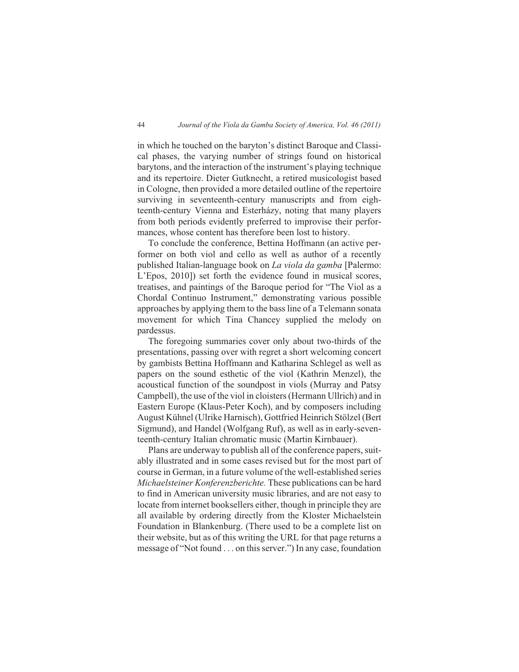in which he touched on the baryton's distinct Baroque and Classical phases, the varying number of strings found on historical barytons, and the interaction of the instrument's playing technique and its repertoire. Dieter Gutknecht, a retired musicologist based in Cologne, then provided a more detailed outline of the repertoire surviving in seventeenth-century manuscripts and from eighteenth-century Vienna and Esterházy, noting that many players from both periods evidently preferred to improvise their performances, whose content has therefore been lost to history.

To conclude the conference, Bettina Hoffmann (an active performer on both viol and cello as well as author of a recently published Italian-language book on *La viola da gamba* [Palermo: L'Epos, 2010]) set forth the evidence found in musical scores, treatises, and paintings of the Baroque period for "The Viol as a Chordal Continuo Instrument," demonstrating various possible approaches by applying them to the bass line of a Telemann sonata movement for which Tina Chancey supplied the melody on pardessus.

The foregoing summaries cover only about two-thirds of the presentations, passing over with regret a short welcoming concert by gambists Bettina Hoffmann and Katharina Schlegel as well as papers on the sound esthetic of the viol (Kathrin Menzel), the acoustical function of the soundpost in viols (Murray and Patsy Campbell), the use of the viol in cloisters (Hermann Ullrich) and in Eastern Europe (Klaus-Peter Koch), and by composers including August Kühnel (Ulrike Harnisch), Gottfried Heinrich Stölzel (Bert Sigmund), and Handel (Wolfgang Ruf), as well as in early-seventeenth-century Italian chromatic music (Martin Kirnbauer).

Plans are underway to publish all of the conference papers, suitably illustrated and in some cases revised but for the most part of course in German, in a future volume of the well-established series *Michaelsteiner Konferenzberichte.* These publications can be hard to find in American university music libraries, and are not easy to locate from internet booksellers either, though in principle they are all available by ordering directly from the Kloster Michaelstein Foundation in Blankenburg. (There used to be a complete list on their website, but as of this writing the URL for that page returns a message of "Not found . . . on this server.") In any case, foundation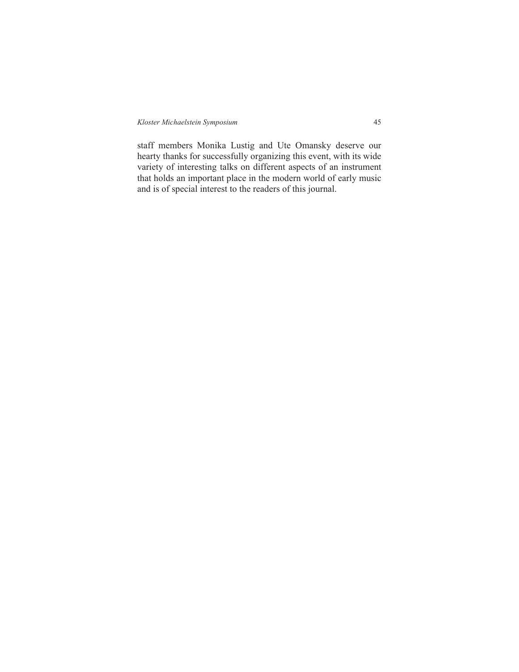staff members Monika Lustig and Ute Omansky deserve our hearty thanks for successfully organizing this event, with its wide variety of interesting talks on different aspects of an instrument that holds an important place in the modern world of early music and is of special interest to the readers of this journal.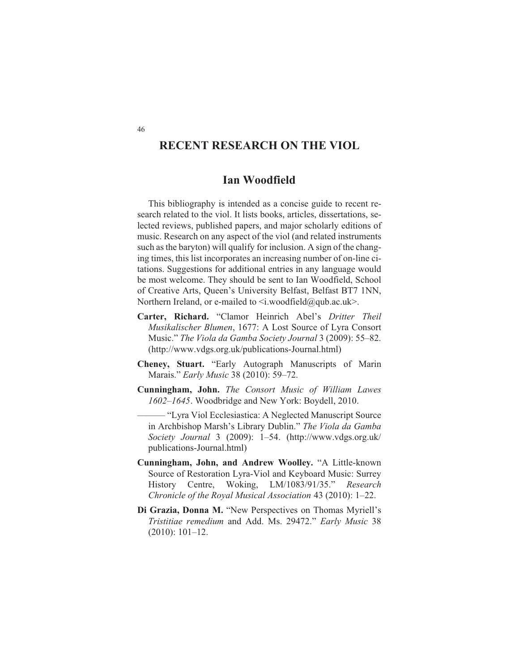# **RECENT RESEARCH ON THE VIOL**

## **Ian Woodfield**

This bibliography is intended as a concise guide to recent research related to the viol. It lists books, articles, dissertations, selected reviews, published papers, and major scholarly editions of music. Research on any aspect of the viol (and related instruments such as the baryton) will qualify for inclusion. A sign of the changing times, this list incorporates an increasing number of on-line citations. Suggestions for additional entries in any language would be most welcome. They should be sent to Ian Woodfield, School of Creative Arts, Queen's University Belfast, Belfast BT7 1NN, Northern Ireland, or e-mailed to  $\leq i$ .woodfield@qub.ac.uk>.

- **Carter, Richard.** "Clamor Heinrich Abel's *Dritter Theil Musikalischer Blumen*, 1677: A Lost Source of Lyra Consort Music." *The Viola da Gamba Society Journal* 3 (2009): 55–82. (http://www.vdgs.org.uk/publications-Journal.html)
- **Cheney, Stuart.** "Early Autograph Manuscripts of Marin Marais." *Early Music* 38 (2010): 59–72.
- **Cunningham, John.** *The Consort Music of William Lawes 1602–1645*. Woodbridge and New York: Boydell, 2010.
	- "Lyra Viol Ecclesiastica: A Neglected Manuscript Source in Archbishop Marsh's Library Dublin." *The Viola da Gamba Society Journal* 3 (2009): 1–54. (http://www.vdgs.org.uk/ publications-Journal.html)
- **Cunningham, John, and Andrew Woolley.** "A Little-known Source of Restoration Lyra-Viol and Keyboard Music: Surrey History Centre, Woking, LM/1083/91/35." *Research Chronicle of the Royal Musical Association* 43 (2010): 1–22.
- **Di Grazia, Donna M.** "New Perspectives on Thomas Myriell's *Tristitiae remedium* and Add. Ms. 29472." *Early Music* 38 (2010): 101–12.

46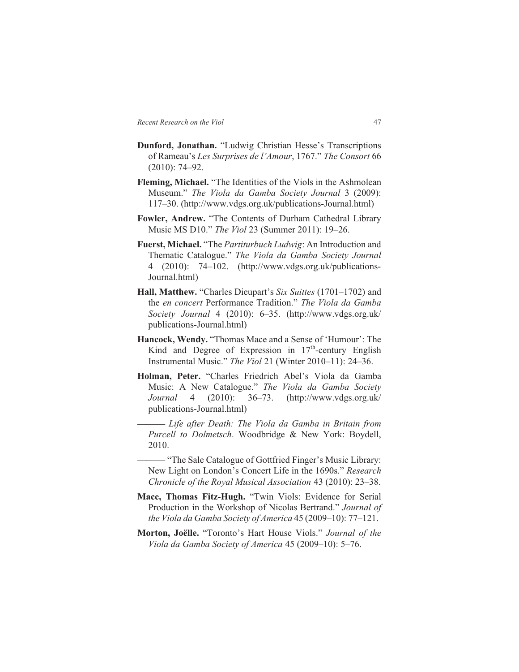- **Dunford, Jonathan.** "Ludwig Christian Hesse's Transcriptions of Rameau's *Les Surprises de l'Amour*, 1767." *The Consort* 66 (2010): 74–92.
- **Fleming, Michael.** "The Identities of the Viols in the Ashmolean Museum." *The Viola da Gamba Society Journal* 3 (2009): 117–30. (http://www.vdgs.org.uk/publications-Journal.html)
- **Fowler, Andrew.** "The Contents of Durham Cathedral Library Music MS D10." *The Viol* 23 (Summer 2011): 19–26.
- **Fuerst, Michael.** "The *Partiturbuch Ludwig*: An Introduction and Thematic Catalogue." *The Viola da Gamba Society Journal* 4 (2010): 74–102. (http://www.vdgs.org.uk/publications-Journal.html)
- **Hall, Matthew.** "Charles Dieupart's *Six Suittes* (1701–1702) and the *en concert* Performance Tradition." *The Viola da Gamba Society Journal* 4 (2010): 6–35. (http://www.vdgs.org.uk/ publications-Journal.html)
- **Hancock, Wendy.** "Thomas Mace and a Sense of 'Humour': The Kind and Degree of Expression in  $17<sup>th</sup>$ -century English Instrumental Music." *The Viol* 21 (Winter 2010–11): 24–36.
- **Holman, Peter.** "Charles Friedrich Abel's Viola da Gamba Music: A New Catalogue." *The Viola da Gamba Society Journal* 4 (2010): 36–73. (http://www.vdgs.org.uk/ publications-Journal.html)
	- **———** *Life after Death: The Viola da Gamba in Britain from Purcell to Dolmetsch*. Woodbridge & New York: Boydell, 2010.
	- "The Sale Catalogue of Gottfried Finger's Music Library: New Light on London's Concert Life in the 1690s." *Research Chronicle of the Royal Musical Association* 43 (2010): 23–38.
- **Mace, Thomas Fitz-Hugh.** "Twin Viols: Evidence for Serial Production in the Workshop of Nicolas Bertrand." *Journal of the Viola da Gamba Society of America* 45 (2009–10): 77–121.
- **Morton, Joëlle.** "Toronto's Hart House Viols." *Journal of the Viola da Gamba Society of America* 45 (2009–10): 5–76.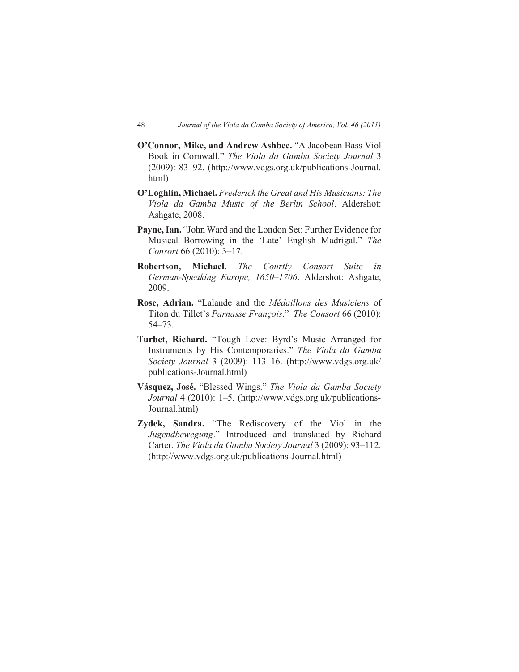- **O'Connor, Mike, and Andrew Ashbee.** "A Jacobean Bass Viol Book in Cornwall." *The Viola da Gamba Society Journal* 3 (2009): 83–92. (http://www.vdgs.org.uk/publications-Journal. html)
- **O'Loghlin, Michael.** *Frederick the Great and His Musicians: The Viola da Gamba Music of the Berlin School*. Aldershot: Ashgate, 2008.
- **Payne, Ian.** "John Ward and the London Set: Further Evidence for Musical Borrowing in the 'Late' English Madrigal." *The Consort* 66 (2010): 3–17.
- **Robertson, Michael.** *The Courtly Consort Suite in German-Speaking Europe, 1650–1706*. Aldershot: Ashgate, 2009.
- **Rose, Adrian.** "Lalande and the *Médaillons des Musiciens* of Titon du Tillet's *Parnasse François*." *The Consort* 66 (2010): 54–73.
- **Turbet, Richard.** "Tough Love: Byrd's Music Arranged for Instruments by His Contemporaries." *The Viola da Gamba Society Journal* 3 (2009): 113–16. (http://www.vdgs.org.uk/ publications-Journal.html)
- **Vásquez, José.** "Blessed Wings." *The Viola da Gamba Society Journal* 4 (2010): 1–5. (http://www.vdgs.org.uk/publications-Journal.html)
- **Zydek, Sandra.** "The Rediscovery of the Viol in the *Jugendbewegung*." Introduced and translated by Richard Carter. *The Viola da Gamba Society Journal* 3 (2009): 93–112. (http://www.vdgs.org.uk/publications-Journal.html)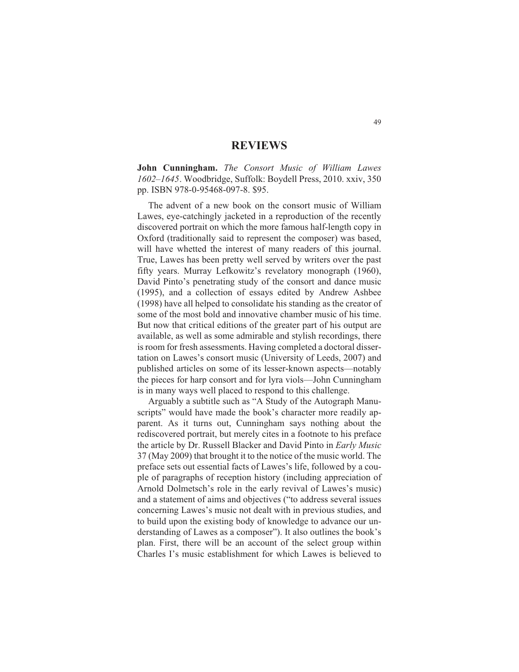## **REVIEWS**

**John Cunningham.** *The Consort Music of William Lawes 1602–1645*. Woodbridge, Suffolk: Boydell Press, 2010. xxiv, 350 pp. ISBN 978-0-95468-097-8. \$95.

The advent of a new book on the consort music of William Lawes, eye-catchingly jacketed in a reproduction of the recently discovered portrait on which the more famous half-length copy in Oxford (traditionally said to represent the composer) was based, will have whetted the interest of many readers of this journal. True, Lawes has been pretty well served by writers over the past fifty years. Murray Lefkowitz's revelatory monograph (1960), David Pinto's penetrating study of the consort and dance music (1995), and a collection of essays edited by Andrew Ashbee (1998) have all helped to consolidate his standing as the creator of some of the most bold and innovative chamber music of his time. But now that critical editions of the greater part of his output are available, as well as some admirable and stylish recordings, there is room for fresh assessments. Having completed a doctoral dissertation on Lawes's consort music (University of Leeds, 2007) and published articles on some of its lesser-known aspects—notably the pieces for harp consort and for lyra viols—John Cunningham is in many ways well placed to respond to this challenge.

Arguably a subtitle such as "A Study of the Autograph Manuscripts" would have made the book's character more readily apparent. As it turns out, Cunningham says nothing about the rediscovered portrait, but merely cites in a footnote to his preface the article by Dr. Russell Blacker and David Pinto in *Early Music* 37 (May 2009) that brought it to the notice of the music world. The preface sets out essential facts of Lawes's life, followed by a couple of paragraphs of reception history (including appreciation of Arnold Dolmetsch's role in the early revival of Lawes's music) and a statement of aims and objectives ("to address several issues concerning Lawes's music not dealt with in previous studies, and to build upon the existing body of knowledge to advance our understanding of Lawes as a composer"). It also outlines the book's plan. First, there will be an account of the select group within Charles I's music establishment for which Lawes is believed to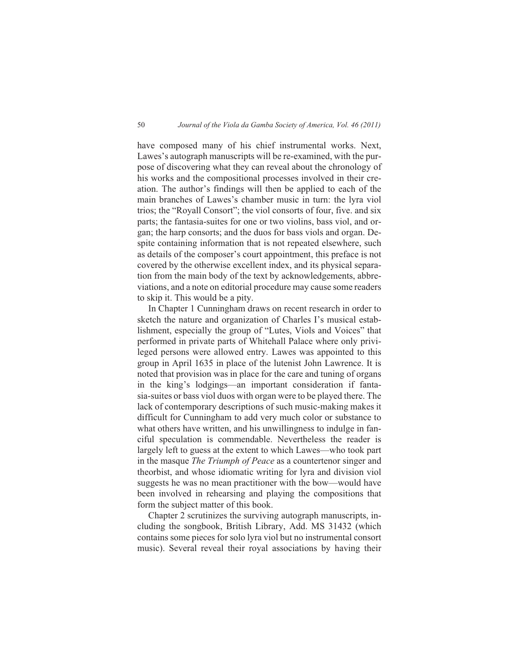have composed many of his chief instrumental works. Next, Lawes's autograph manuscripts will be re-examined, with the purpose of discovering what they can reveal about the chronology of his works and the compositional processes involved in their creation. The author's findings will then be applied to each of the main branches of Lawes's chamber music in turn: the lyra viol trios; the "Royall Consort"; the viol consorts of four, five. and six parts; the fantasia-suites for one or two violins, bass viol, and organ; the harp consorts; and the duos for bass viols and organ. Despite containing information that is not repeated elsewhere, such as details of the composer's court appointment, this preface is not covered by the otherwise excellent index, and its physical separation from the main body of the text by acknowledgements, abbreviations, and a note on editorial procedure may cause some readers to skip it. This would be a pity.

In Chapter 1 Cunningham draws on recent research in order to sketch the nature and organization of Charles I's musical establishment, especially the group of "Lutes, Viols and Voices" that performed in private parts of Whitehall Palace where only privileged persons were allowed entry. Lawes was appointed to this group in April 1635 in place of the lutenist John Lawrence. It is noted that provision was in place for the care and tuning of organs in the king's lodgings—an important consideration if fantasia-suites or bass viol duos with organ were to be played there. The lack of contemporary descriptions of such music-making makes it difficult for Cunningham to add very much color or substance to what others have written, and his unwillingness to indulge in fanciful speculation is commendable. Nevertheless the reader is largely left to guess at the extent to which Lawes—who took part in the masque *The Triumph of Peace* as a countertenor singer and theorbist, and whose idiomatic writing for lyra and division viol suggests he was no mean practitioner with the bow—would have been involved in rehearsing and playing the compositions that form the subject matter of this book.

Chapter 2 scrutinizes the surviving autograph manuscripts, including the songbook, British Library, Add. MS 31432 (which contains some pieces for solo lyra viol but no instrumental consort music). Several reveal their royal associations by having their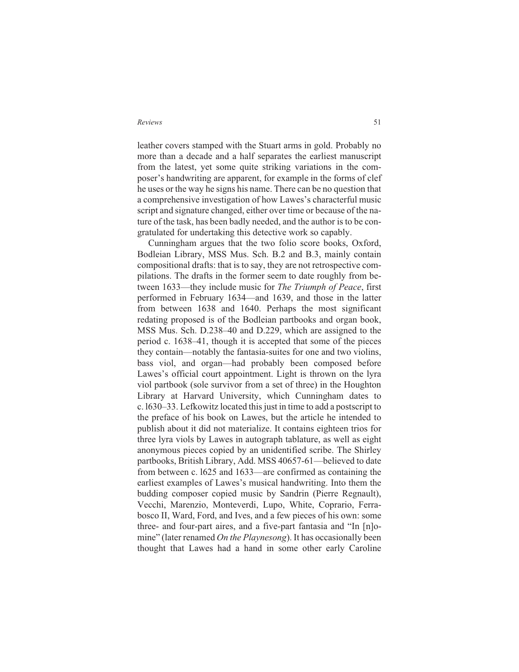leather covers stamped with the Stuart arms in gold. Probably no more than a decade and a half separates the earliest manuscript from the latest, yet some quite striking variations in the composer's handwriting are apparent, for example in the forms of clef he uses or the way he signs his name. There can be no question that a comprehensive investigation of how Lawes's characterful music script and signature changed, either over time or because of the nature of the task, has been badly needed, and the author is to be congratulated for undertaking this detective work so capably.

Cunningham argues that the two folio score books, Oxford, Bodleian Library, MSS Mus. Sch. B.2 and B.3, mainly contain compositional drafts: that is to say, they are not retrospective compilations. The drafts in the former seem to date roughly from between 1633—they include music for *The Triumph of Peace*, first performed in February 1634—and 1639, and those in the latter from between 1638 and 1640. Perhaps the most significant redating proposed is of the Bodleian partbooks and organ book, MSS Mus. Sch. D.238–40 and D.229, which are assigned to the period c. 1638–41, though it is accepted that some of the pieces they contain—notably the fantasia-suites for one and two violins, bass viol, and organ—had probably been composed before Lawes's official court appointment. Light is thrown on the lyra viol partbook (sole survivor from a set of three) in the Houghton Library at Harvard University, which Cunningham dates to c. l630–33. Lefkowitz located this just in time to add a postscript to the preface of his book on Lawes, but the article he intended to publish about it did not materialize. It contains eighteen trios for three lyra viols by Lawes in autograph tablature, as well as eight anonymous pieces copied by an unidentified scribe. The Shirley partbooks, British Library, Add. MSS 40657-61—believed to date from between c. l625 and 1633—are confirmed as containing the earliest examples of Lawes's musical handwriting. Into them the budding composer copied music by Sandrin (Pierre Regnault), Vecchi, Marenzio, Monteverdi, Lupo, White, Coprario, Ferrabosco II, Ward, Ford, and Ives, and a few pieces of his own: some three- and four-part aires, and a five-part fantasia and "In [n]omine" (later renamed *On the Playnesong*). It has occasionally been thought that Lawes had a hand in some other early Caroline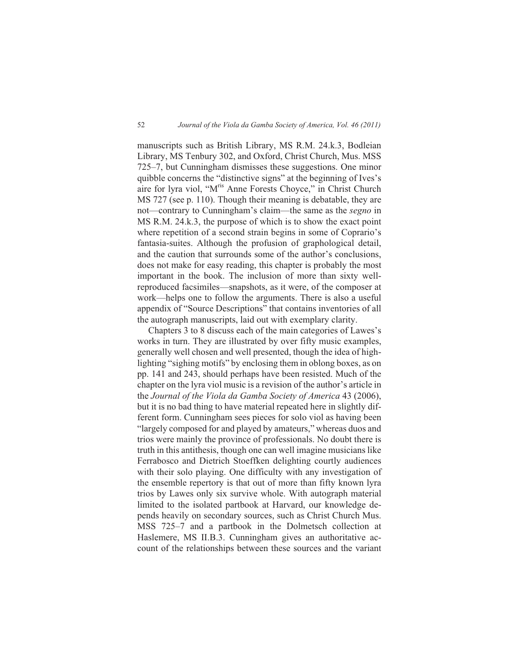manuscripts such as British Library, MS R.M. 24.k.3, Bodleian Library, MS Tenbury 302, and Oxford, Christ Church, Mus. MSS 725–7, but Cunningham dismisses these suggestions. One minor quibble concerns the "distinctive signs" at the beginning of Ives's aire for lyra viol, "Mris Anne Forests Choyce," in Christ Church MS 727 (see p. 110). Though their meaning is debatable, they are not—contrary to Cunningham's claim—the same as the *segno* in MS R.M. 24.k.3, the purpose of which is to show the exact point where repetition of a second strain begins in some of Coprario's fantasia-suites. Although the profusion of graphological detail, and the caution that surrounds some of the author's conclusions, does not make for easy reading, this chapter is probably the most important in the book. The inclusion of more than sixty wellreproduced facsimiles—snapshots, as it were, of the composer at work—helps one to follow the arguments. There is also a useful appendix of "Source Descriptions" that contains inventories of all the autograph manuscripts, laid out with exemplary clarity.

Chapters 3 to 8 discuss each of the main categories of Lawes's works in turn. They are illustrated by over fifty music examples, generally well chosen and well presented, though the idea of highlighting "sighing motifs" by enclosing them in oblong boxes, as on pp. 141 and 243, should perhaps have been resisted. Much of the chapter on the lyra viol music is a revision of the author's article in the *Journal of the Viola da Gamba Society of America* 43 (2006), but it is no bad thing to have material repeated here in slightly different form. Cunningham sees pieces for solo viol as having been "largely composed for and played by amateurs," whereas duos and trios were mainly the province of professionals. No doubt there is truth in this antithesis, though one can well imagine musicians like Ferrabosco and Dietrich Stoeffken delighting courtly audiences with their solo playing. One difficulty with any investigation of the ensemble repertory is that out of more than fifty known lyra trios by Lawes only six survive whole. With autograph material limited to the isolated partbook at Harvard, our knowledge depends heavily on secondary sources, such as Christ Church Mus. MSS 725–7 and a partbook in the Dolmetsch collection at Haslemere, MS II.B.3. Cunningham gives an authoritative account of the relationships between these sources and the variant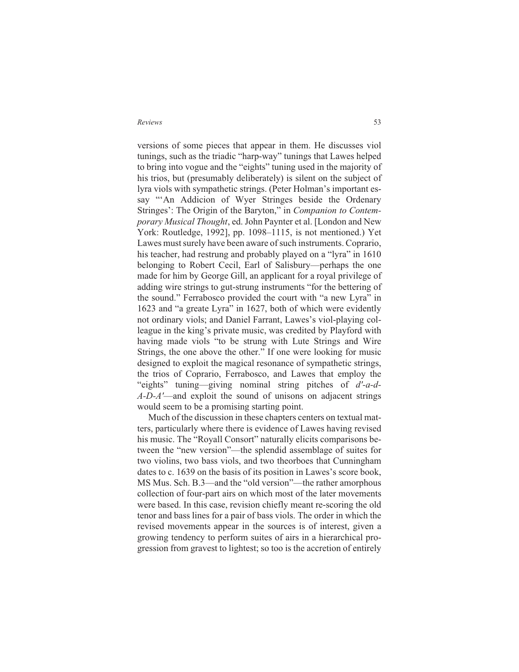versions of some pieces that appear in them. He discusses viol tunings, such as the triadic "harp-way" tunings that Lawes helped to bring into vogue and the "eights" tuning used in the majority of his trios, but (presumably deliberately) is silent on the subject of lyra viols with sympathetic strings. (Peter Holman's important essay "'An Addicion of Wyer Stringes beside the Ordenary Stringes': The Origin of the Baryton," in *Companion to Contemporary Musical Thought*, ed. John Paynter et al. [London and New York: Routledge, 1992], pp. 1098–1115, is not mentioned.) Yet Lawes must surely have been aware of such instruments. Coprario, his teacher, had restrung and probably played on a "lyra" in 1610 belonging to Robert Cecil, Earl of Salisbury—perhaps the one made for him by George Gill, an applicant for a royal privilege of adding wire strings to gut-strung instruments "for the bettering of the sound." Ferrabosco provided the court with "a new Lyra" in 1623 and "a greate Lyra" in 1627, both of which were evidently not ordinary viols; and Daniel Farrant, Lawes's viol-playing colleague in the king's private music, was credited by Playford with having made viols "to be strung with Lute Strings and Wire Strings, the one above the other." If one were looking for music designed to exploit the magical resonance of sympathetic strings, the trios of Coprario, Ferrabosco, and Lawes that employ the "eights" tuning—giving nominal string pitches of *d'-a-d-A-D-A'*—and exploit the sound of unisons on adjacent strings would seem to be a promising starting point.

Much of the discussion in these chapters centers on textual matters, particularly where there is evidence of Lawes having revised his music. The "Royall Consort" naturally elicits comparisons between the "new version"—the splendid assemblage of suites for two violins, two bass viols, and two theorboes that Cunningham dates to c. 1639 on the basis of its position in Lawes's score book, MS Mus. Sch. B.3—and the "old version"—the rather amorphous collection of four-part airs on which most of the later movements were based. In this case, revision chiefly meant re-scoring the old tenor and bass lines for a pair of bass viols. The order in which the revised movements appear in the sources is of interest, given a growing tendency to perform suites of airs in a hierarchical progression from gravest to lightest; so too is the accretion of entirely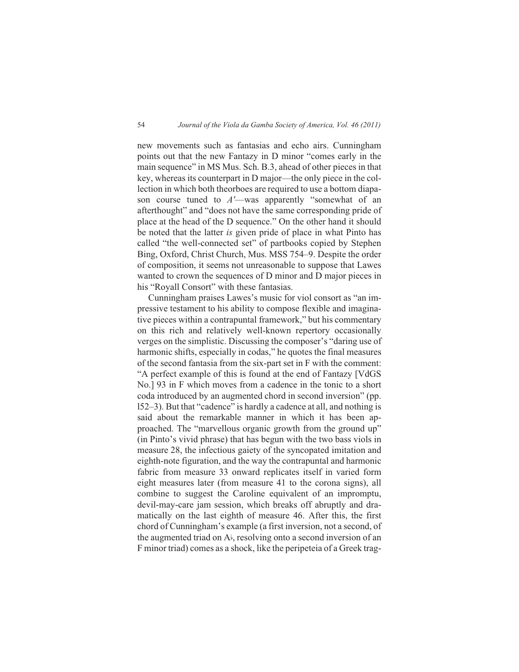new movements such as fantasias and echo airs. Cunningham points out that the new Fantazy in D minor "comes early in the main sequence" in MS Mus. Sch. B.3, ahead of other pieces in that key, whereas its counterpart in D major—the only piece in the collection in which both theorboes are required to use a bottom diapason course tuned to *A'*—was apparently "somewhat of an afterthought" and "does not have the same corresponding pride of place at the head of the D sequence." On the other hand it should be noted that the latter *is* given pride of place in what Pinto has called "the well-connected set" of partbooks copied by Stephen Bing, Oxford, Christ Church, Mus. MSS 754–9. Despite the order of composition, it seems not unreasonable to suppose that Lawes wanted to crown the sequences of D minor and D major pieces in his "Royall Consort" with these fantasias.

Cunningham praises Lawes's music for viol consort as "an impressive testament to his ability to compose flexible and imaginative pieces within a contrapuntal framework," but his commentary on this rich and relatively well-known repertory occasionally verges on the simplistic. Discussing the composer's "daring use of harmonic shifts, especially in codas," he quotes the final measures of the second fantasia from the six-part set in F with the comment: "A perfect example of this is found at the end of Fantazy [VdGS No.] 93 in F which moves from a cadence in the tonic to a short coda introduced by an augmented chord in second inversion" (pp. l52–3). But that "cadence" is hardly a cadence at all, and nothing is said about the remarkable manner in which it has been approached. The "marvellous organic growth from the ground up" (in Pinto's vivid phrase) that has begun with the two bass viols in measure 28, the infectious gaiety of the syncopated imitation and eighth-note figuration, and the way the contrapuntal and harmonic fabric from measure 33 onward replicates itself in varied form eight measures later (from measure 41 to the corona signs), all combine to suggest the Caroline equivalent of an impromptu, devil-may-care jam session, which breaks off abruptly and dramatically on the last eighth of measure 46. After this, the first chord of Cunningham's example (a first inversion, not a second, of the augmented triad on Ai, resolving onto a second inversion of an F minor triad) comes as a shock, like the peripeteia of a Greek trag-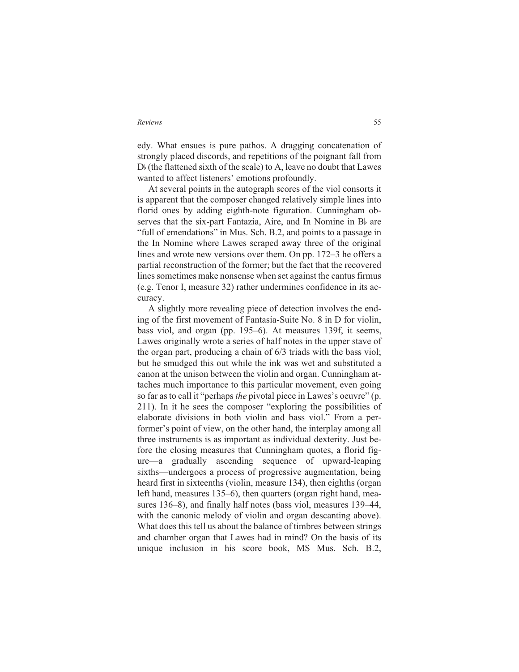edy. What ensues is pure pathos. A dragging concatenation of strongly placed discords, and repetitions of the poignant fall from  $D<sub>b</sub>$  (the flattened sixth of the scale) to A, leave no doubt that Lawes wanted to affect listeners' emotions profoundly.

At several points in the autograph scores of the viol consorts it is apparent that the composer changed relatively simple lines into florid ones by adding eighth-note figuration. Cunningham observes that the six-part Fantazia, Aire, and In Nomine in B<sub>b</sub> are "full of emendations" in Mus. Sch. B.2, and points to a passage in the In Nomine where Lawes scraped away three of the original lines and wrote new versions over them. On pp. 172–3 he offers a partial reconstruction of the former; but the fact that the recovered lines sometimes make nonsense when set against the cantus firmus (e.g. Tenor I, measure 32) rather undermines confidence in its accuracy.

A slightly more revealing piece of detection involves the ending of the first movement of Fantasia-Suite No. 8 in D for violin, bass viol, and organ (pp. 195–6). At measures 139f, it seems, Lawes originally wrote a series of half notes in the upper stave of the organ part, producing a chain of 6/3 triads with the bass viol; but he smudged this out while the ink was wet and substituted a canon at the unison between the violin and organ. Cunningham attaches much importance to this particular movement, even going so far as to call it "perhaps *the* pivotal piece in Lawes's oeuvre" (p. 211). In it he sees the composer "exploring the possibilities of elaborate divisions in both violin and bass viol." From a performer's point of view, on the other hand, the interplay among all three instruments is as important as individual dexterity. Just before the closing measures that Cunningham quotes, a florid figure—a gradually ascending sequence of upward-leaping sixths—undergoes a process of progressive augmentation, being heard first in sixteenths (violin, measure 134), then eighths (organ left hand, measures 135–6), then quarters (organ right hand, measures 136–8), and finally half notes (bass viol, measures 139–44, with the canonic melody of violin and organ descanting above). What does this tell us about the balance of timbres between strings and chamber organ that Lawes had in mind? On the basis of its unique inclusion in his score book, MS Mus. Sch. B.2,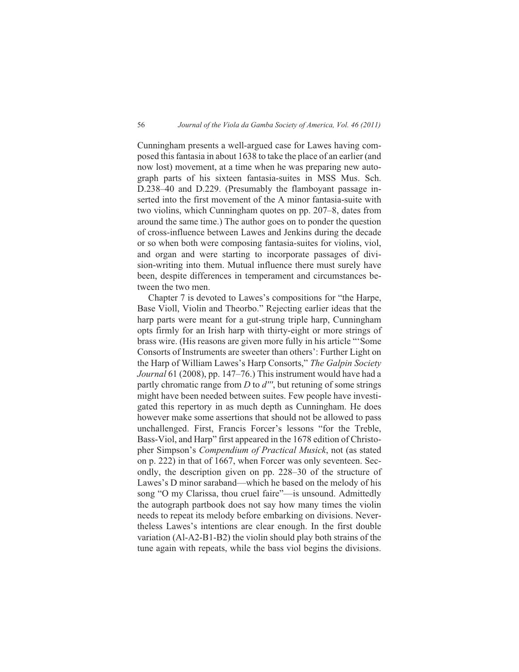Cunningham presents a well-argued case for Lawes having composed this fantasia in about 1638 to take the place of an earlier (and now lost) movement, at a time when he was preparing new autograph parts of his sixteen fantasia-suites in MSS Mus. Sch. D.238–40 and D.229. (Presumably the flamboyant passage inserted into the first movement of the A minor fantasia-suite with two violins, which Cunningham quotes on pp. 207–8, dates from around the same time.) The author goes on to ponder the question of cross-influence between Lawes and Jenkins during the decade or so when both were composing fantasia-suites for violins, viol, and organ and were starting to incorporate passages of division-writing into them. Mutual influence there must surely have been, despite differences in temperament and circumstances between the two men.

Chapter 7 is devoted to Lawes's compositions for "the Harpe, Base Violl, Violin and Theorbo." Rejecting earlier ideas that the harp parts were meant for a gut-strung triple harp, Cunningham opts firmly for an Irish harp with thirty-eight or more strings of brass wire. (His reasons are given more fully in his article "'Some Consorts of Instruments are sweeter than others': Further Light on the Harp of William Lawes's Harp Consorts," *The Galpin Society Journal* 61 (2008), pp. 147–76.) This instrument would have had a partly chromatic range from *D* to *d'''*, but retuning of some strings might have been needed between suites. Few people have investigated this repertory in as much depth as Cunningham. He does however make some assertions that should not be allowed to pass unchallenged. First, Francis Forcer's lessons "for the Treble, Bass-Viol, and Harp" first appeared in the 1678 edition of Christopher Simpson's *Compendium of Practical Musick*, not (as stated on p. 222) in that of 1667, when Forcer was only seventeen. Secondly, the description given on pp. 228–30 of the structure of Lawes's D minor saraband—which he based on the melody of his song "O my Clarissa, thou cruel faire"—is unsound. Admittedly the autograph partbook does not say how many times the violin needs to repeat its melody before embarking on divisions. Nevertheless Lawes's intentions are clear enough. In the first double variation (Al-A2-B1-B2) the violin should play both strains of the tune again with repeats, while the bass viol begins the divisions.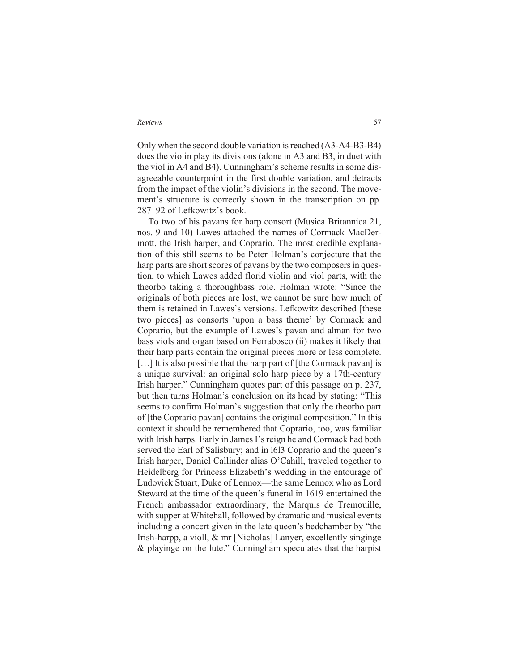Only when the second double variation is reached (A3-A4-B3-B4) does the violin play its divisions (alone in A3 and B3, in duet with the viol in A4 and B4). Cunningham's scheme results in some disagreeable counterpoint in the first double variation, and detracts from the impact of the violin's divisions in the second. The movement's structure is correctly shown in the transcription on pp. 287–92 of Lefkowitz's book.

To two of his pavans for harp consort (Musica Britannica 21, nos. 9 and 10) Lawes attached the names of Cormack MacDermott, the Irish harper, and Coprario. The most credible explanation of this still seems to be Peter Holman's conjecture that the harp parts are short scores of pavans by the two composers in question, to which Lawes added florid violin and viol parts, with the theorbo taking a thoroughbass role. Holman wrote: "Since the originals of both pieces are lost, we cannot be sure how much of them is retained in Lawes's versions. Lefkowitz described [these two pieces] as consorts 'upon a bass theme' by Cormack and Coprario, but the example of Lawes's pavan and alman for two bass viols and organ based on Ferrabosco (ii) makes it likely that their harp parts contain the original pieces more or less complete. [...] It is also possible that the harp part of [the Cormack pavan] is a unique survival: an original solo harp piece by a 17th-century Irish harper." Cunningham quotes part of this passage on p. 237, but then turns Holman's conclusion on its head by stating: "This seems to confirm Holman's suggestion that only the theorbo part of [the Coprario pavan] contains the original composition." In this context it should be remembered that Coprario, too, was familiar with Irish harps. Early in James I's reign he and Cormack had both served the Earl of Salisbury; and in l6l3 Coprario and the queen's Irish harper, Daniel Callinder alias O'Cahill, traveled together to Heidelberg for Princess Elizabeth's wedding in the entourage of Ludovick Stuart, Duke of Lennox—the same Lennox who as Lord Steward at the time of the queen's funeral in 1619 entertained the French ambassador extraordinary, the Marquis de Tremouille, with supper at Whitehall, followed by dramatic and musical events including a concert given in the late queen's bedchamber by "the Irish-harpp, a violl, & mr [Nicholas] Lanyer, excellently singinge & playinge on the lute." Cunningham speculates that the harpist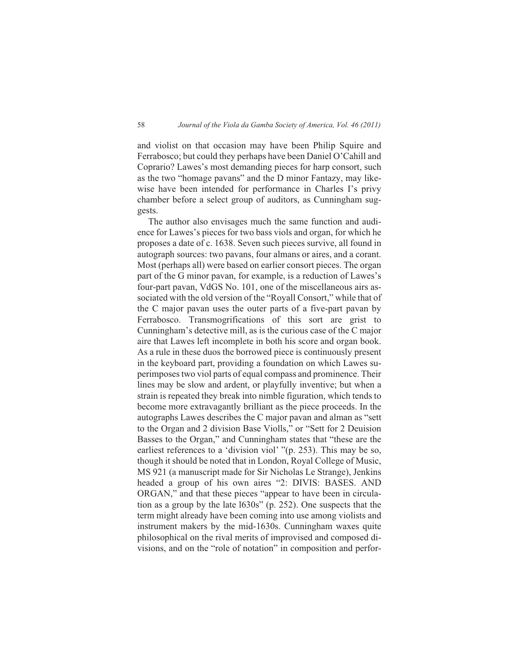and violist on that occasion may have been Philip Squire and Ferrabosco; but could they perhaps have been Daniel O'Cahill and Coprario? Lawes's most demanding pieces for harp consort, such as the two "homage pavans" and the D minor Fantazy, may likewise have been intended for performance in Charles I's privy chamber before a select group of auditors, as Cunningham suggests.

The author also envisages much the same function and audience for Lawes's pieces for two bass viols and organ, for which he proposes a date of c. 1638. Seven such pieces survive, all found in autograph sources: two pavans, four almans or aires, and a corant. Most (perhaps all) were based on earlier consort pieces. The organ part of the G minor pavan, for example, is a reduction of Lawes's four-part pavan, VdGS No. 101, one of the miscellaneous airs associated with the old version of the "Royall Consort," while that of the C major pavan uses the outer parts of a five-part pavan by Ferrabosco. Transmogrifications of this sort are grist to Cunningham's detective mill, as is the curious case of the C major aire that Lawes left incomplete in both his score and organ book. As a rule in these duos the borrowed piece is continuously present in the keyboard part, providing a foundation on which Lawes superimposes two viol parts of equal compass and prominence. Their lines may be slow and ardent, or playfully inventive; but when a strain is repeated they break into nimble figuration, which tends to become more extravagantly brilliant as the piece proceeds. In the autographs Lawes describes the C major pavan and alman as "sett to the Organ and 2 division Base Violls," or "Sett for 2 Deuision Basses to the Organ," and Cunningham states that "these are the earliest references to a 'division viol' "(p. 253). This may be so, though it should be noted that in London, Royal College of Music, MS 921 (a manuscript made for Sir Nicholas Le Strange), Jenkins headed a group of his own aires "2: DIVIS: BASES. AND ORGAN," and that these pieces "appear to have been in circulation as a group by the late l630s" (p. 252). One suspects that the term might already have been coming into use among violists and instrument makers by the mid-1630s. Cunningham waxes quite philosophical on the rival merits of improvised and composed divisions, and on the "role of notation" in composition and perfor-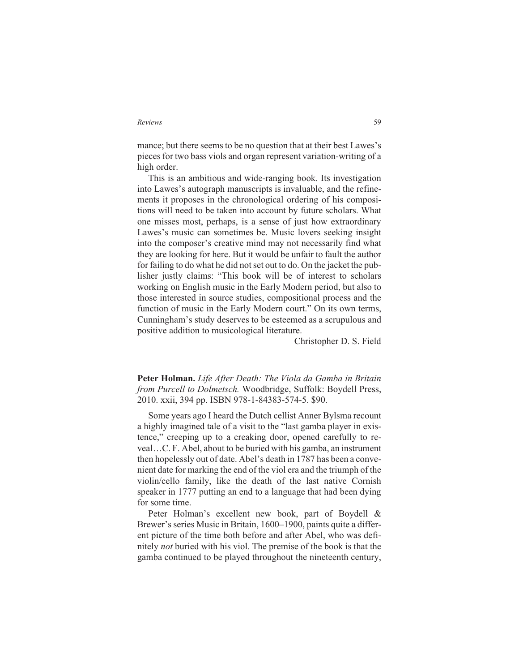mance; but there seems to be no question that at their best Lawes's pieces for two bass viols and organ represent variation-writing of a high order.

This is an ambitious and wide-ranging book. Its investigation into Lawes's autograph manuscripts is invaluable, and the refinements it proposes in the chronological ordering of his compositions will need to be taken into account by future scholars. What one misses most, perhaps, is a sense of just how extraordinary Lawes's music can sometimes be. Music lovers seeking insight into the composer's creative mind may not necessarily find what they are looking for here. But it would be unfair to fault the author for failing to do what he did not set out to do. On the jacket the publisher justly claims: "This book will be of interest to scholars working on English music in the Early Modern period, but also to those interested in source studies, compositional process and the function of music in the Early Modern court." On its own terms, Cunningham's study deserves to be esteemed as a scrupulous and positive addition to musicological literature.

Christopher D. S. Field

**Peter Holman.** *Life After Death: The Viola da Gamba in Britain from Purcell to Dolmetsch.* Woodbridge, Suffolk: Boydell Press, 2010. xxii, 394 pp. ISBN 978-1-84383-574-5. \$90.

Some years ago I heard the Dutch cellist Anner Bylsma recount a highly imagined tale of a visit to the "last gamba player in existence," creeping up to a creaking door, opened carefully to reveal…C. F. Abel, about to be buried with his gamba, an instrument then hopelessly out of date. Abel's death in 1787 has been a convenient date for marking the end of the viol era and the triumph of the violin/cello family, like the death of the last native Cornish speaker in 1777 putting an end to a language that had been dying for some time.

Peter Holman's excellent new book, part of Boydell & Brewer's series Music in Britain, 1600–1900, paints quite a different picture of the time both before and after Abel, who was definitely *not* buried with his viol. The premise of the book is that the gamba continued to be played throughout the nineteenth century,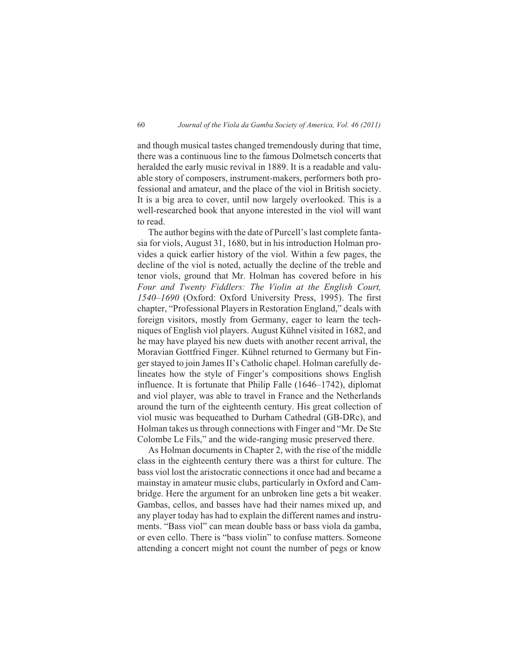and though musical tastes changed tremendously during that time, there was a continuous line to the famous Dolmetsch concerts that heralded the early music revival in 1889. It is a readable and valuable story of composers, instrument-makers, performers both professional and amateur, and the place of the viol in British society. It is a big area to cover, until now largely overlooked. This is a well-researched book that anyone interested in the viol will want to read.

The author begins with the date of Purcell's last complete fantasia for viols, August 31, 1680, but in his introduction Holman provides a quick earlier history of the viol. Within a few pages, the decline of the viol is noted, actually the decline of the treble and tenor viols, ground that Mr. Holman has covered before in his *Four and Twenty Fiddlers: The Violin at the English Court, 1540–1690* (Oxford: Oxford University Press, 1995). The first chapter, "Professional Players in Restoration England," deals with foreign visitors, mostly from Germany, eager to learn the techniques of English viol players. August Kühnel visited in 1682, and he may have played his new duets with another recent arrival, the Moravian Gottfried Finger. Kühnel returned to Germany but Finger stayed to join James II's Catholic chapel. Holman carefully delineates how the style of Finger's compositions shows English influence. It is fortunate that Philip Falle (1646–1742), diplomat and viol player, was able to travel in France and the Netherlands around the turn of the eighteenth century. His great collection of viol music was bequeathed to Durham Cathedral (GB-DRc), and Holman takes us through connections with Finger and "Mr. De Ste Colombe Le Fils," and the wide-ranging music preserved there.

As Holman documents in Chapter 2, with the rise of the middle class in the eighteenth century there was a thirst for culture. The bass viol lost the aristocratic connections it once had and became a mainstay in amateur music clubs, particularly in Oxford and Cambridge. Here the argument for an unbroken line gets a bit weaker. Gambas, cellos, and basses have had their names mixed up, and any player today has had to explain the different names and instruments. "Bass viol" can mean double bass or bass viola da gamba, or even cello. There is "bass violin" to confuse matters. Someone attending a concert might not count the number of pegs or know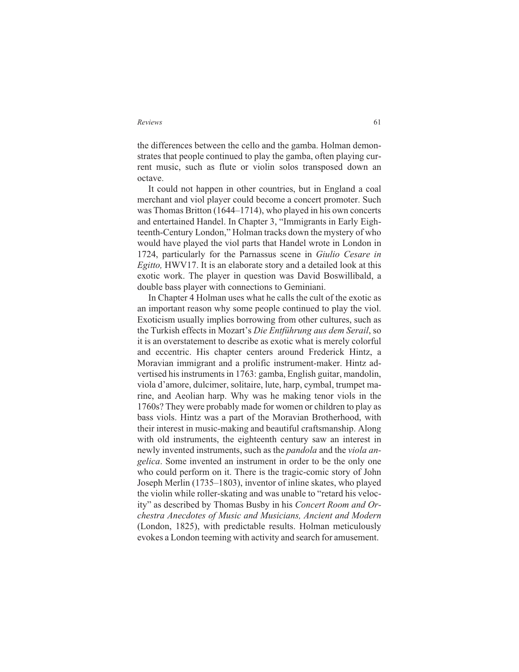the differences between the cello and the gamba. Holman demonstrates that people continued to play the gamba, often playing current music, such as flute or violin solos transposed down an octave.

It could not happen in other countries, but in England a coal merchant and viol player could become a concert promoter. Such was Thomas Britton (1644–1714), who played in his own concerts and entertained Handel. In Chapter 3, "Immigrants in Early Eighteenth-Century London," Holman tracks down the mystery of who would have played the viol parts that Handel wrote in London in 1724, particularly for the Parnassus scene in *Giulio Cesare in Egitto,* HWV17. It is an elaborate story and a detailed look at this exotic work. The player in question was David Boswillibald, a double bass player with connections to Geminiani.

In Chapter 4 Holman uses what he calls the cult of the exotic as an important reason why some people continued to play the viol. Exoticism usually implies borrowing from other cultures, such as the Turkish effects in Mozart's *Die Entführung aus dem Serail*, so it is an overstatement to describe as exotic what is merely colorful and eccentric. His chapter centers around Frederick Hintz, a Moravian immigrant and a prolific instrument-maker. Hintz advertised his instruments in 1763: gamba, English guitar, mandolin, viola d'amore, dulcimer, solitaire, lute, harp, cymbal, trumpet marine, and Aeolian harp. Why was he making tenor viols in the 1760s? They were probably made for women or children to play as bass viols. Hintz was a part of the Moravian Brotherhood, with their interest in music-making and beautiful craftsmanship. Along with old instruments, the eighteenth century saw an interest in newly invented instruments, such as the *pandola* and the *viola angelica*. Some invented an instrument in order to be the only one who could perform on it. There is the tragic-comic story of John Joseph Merlin (1735–1803), inventor of inline skates, who played the violin while roller-skating and was unable to "retard his velocity" as described by Thomas Busby in his *Concert Room and Orchestra Anecdotes of Music and Musicians, Ancient and Modern* (London, 1825), with predictable results. Holman meticulously evokes a London teeming with activity and search for amusement.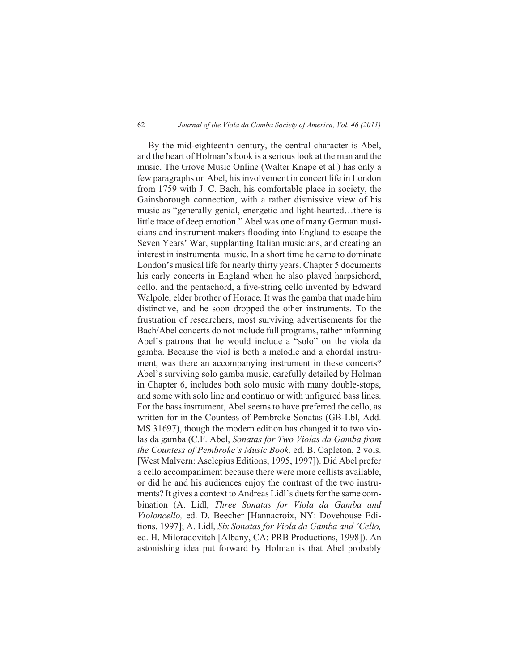### 62 *Journal of the Viola da Gamba Society of America, Vol. 46 (2011)*

By the mid-eighteenth century, the central character is Abel, and the heart of Holman's book is a serious look at the man and the music. The Grove Music Online (Walter Knape et al.) has only a few paragraphs on Abel, his involvement in concert life in London from 1759 with J. C. Bach, his comfortable place in society, the Gainsborough connection, with a rather dismissive view of his music as "generally genial, energetic and light-hearted…there is little trace of deep emotion." Abel was one of many German musicians and instrument-makers flooding into England to escape the Seven Years' War, supplanting Italian musicians, and creating an interest in instrumental music. In a short time he came to dominate London's musical life for nearly thirty years. Chapter 5 documents his early concerts in England when he also played harpsichord, cello, and the pentachord, a five-string cello invented by Edward Walpole, elder brother of Horace. It was the gamba that made him distinctive, and he soon dropped the other instruments. To the frustration of researchers, most surviving advertisements for the Bach/Abel concerts do not include full programs, rather informing Abel's patrons that he would include a "solo" on the viola da gamba. Because the viol is both a melodic and a chordal instrument, was there an accompanying instrument in these concerts? Abel's surviving solo gamba music, carefully detailed by Holman in Chapter 6, includes both solo music with many double-stops, and some with solo line and continuo or with unfigured bass lines. For the bass instrument, Abel seems to have preferred the cello, as written for in the Countess of Pembroke Sonatas (GB-Lbl, Add. MS 31697), though the modern edition has changed it to two violas da gamba (C.F. Abel, *Sonatas for Two Violas da Gamba from the Countess of Pembroke's Music Book,* ed. B. Capleton, 2 vols. [West Malvern: Asclepius Editions, 1995, 1997]). Did Abel prefer a cello accompaniment because there were more cellists available, or did he and his audiences enjoy the contrast of the two instruments? It gives a context to Andreas Lidl's duets for the same combination (A. Lidl, *Three Sonatas for Viola da Gamba and Violoncello,* ed. D. Beecher [Hannacroix, NY: Dovehouse Editions, 1997]; A. Lidl, *Six Sonatas for Viola da Gamba and 'Cello,* ed. H. Miloradovitch [Albany, CA: PRB Productions, 1998]). An astonishing idea put forward by Holman is that Abel probably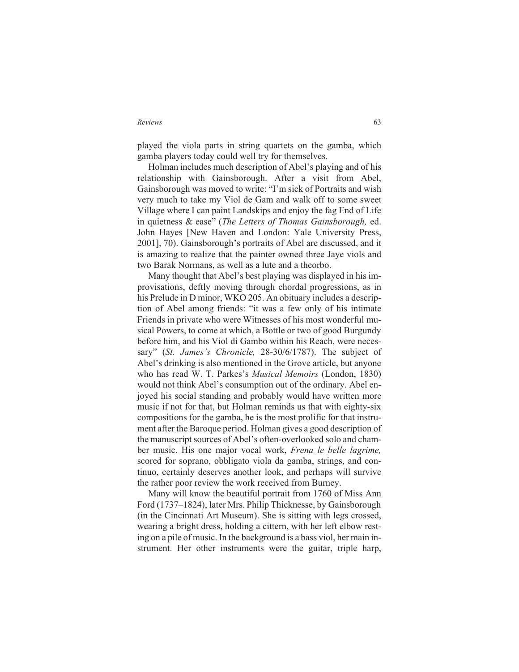played the viola parts in string quartets on the gamba, which gamba players today could well try for themselves.

Holman includes much description of Abel's playing and of his relationship with Gainsborough. After a visit from Abel, Gainsborough was moved to write: "I'm sick of Portraits and wish very much to take my Viol de Gam and walk off to some sweet Village where I can paint Landskips and enjoy the fag End of Life in quietness & ease" (*The Letters of Thomas Gainsborough,* ed. John Hayes [New Haven and London: Yale University Press, 2001], 70). Gainsborough's portraits of Abel are discussed, and it is amazing to realize that the painter owned three Jaye viols and two Barak Normans, as well as a lute and a theorbo.

Many thought that Abel's best playing was displayed in his improvisations, deftly moving through chordal progressions, as in his Prelude in D minor, WKO 205. An obituary includes a description of Abel among friends: "it was a few only of his intimate Friends in private who were Witnesses of his most wonderful musical Powers, to come at which, a Bottle or two of good Burgundy before him, and his Viol di Gambo within his Reach, were necessary" (*St. James's Chronicle,* 28-30/6/1787). The subject of Abel's drinking is also mentioned in the Grove article, but anyone who has read W. T. Parkes's *Musical Memoirs* (London, 1830) would not think Abel's consumption out of the ordinary. Abel enjoyed his social standing and probably would have written more music if not for that, but Holman reminds us that with eighty-six compositions for the gamba, he is the most prolific for that instrument after the Baroque period. Holman gives a good description of the manuscript sources of Abel's often-overlooked solo and chamber music. His one major vocal work, *Frena le belle lagrime,* scored for soprano, obbligato viola da gamba, strings, and continuo, certainly deserves another look, and perhaps will survive the rather poor review the work received from Burney.

Many will know the beautiful portrait from 1760 of Miss Ann Ford (1737–1824), later Mrs. Philip Thicknesse, by Gainsborough (in the Cincinnati Art Museum). She is sitting with legs crossed, wearing a bright dress, holding a cittern, with her left elbow resting on a pile of music. In the background is a bass viol, her main instrument. Her other instruments were the guitar, triple harp,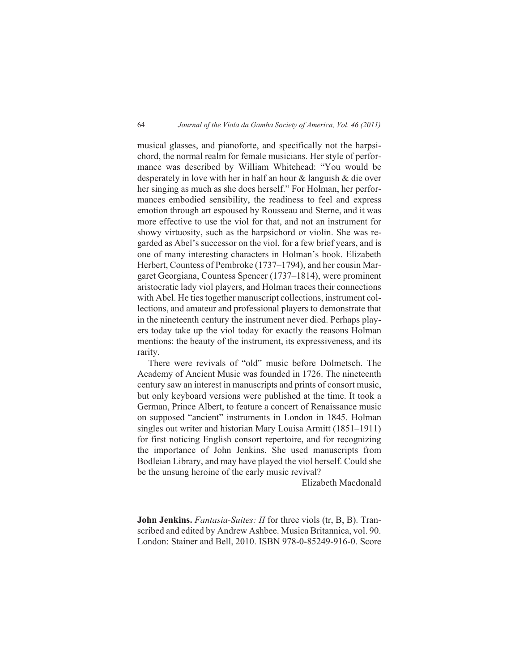musical glasses, and pianoforte, and specifically not the harpsichord, the normal realm for female musicians. Her style of performance was described by William Whitehead: "You would be desperately in love with her in half an hour & languish & die over her singing as much as she does herself." For Holman, her performances embodied sensibility, the readiness to feel and express emotion through art espoused by Rousseau and Sterne, and it was more effective to use the viol for that, and not an instrument for showy virtuosity, such as the harpsichord or violin. She was regarded as Abel's successor on the viol, for a few brief years, and is one of many interesting characters in Holman's book. Elizabeth Herbert, Countess of Pembroke (1737–1794), and her cousin Margaret Georgiana, Countess Spencer (1737–1814), were prominent aristocratic lady viol players, and Holman traces their connections with Abel. He ties together manuscript collections, instrument collections, and amateur and professional players to demonstrate that in the nineteenth century the instrument never died. Perhaps players today take up the viol today for exactly the reasons Holman mentions: the beauty of the instrument, its expressiveness, and its rarity.

There were revivals of "old" music before Dolmetsch. The Academy of Ancient Music was founded in 1726. The nineteenth century saw an interest in manuscripts and prints of consort music, but only keyboard versions were published at the time. It took a German, Prince Albert, to feature a concert of Renaissance music on supposed "ancient" instruments in London in 1845. Holman singles out writer and historian Mary Louisa Armitt (1851–1911) for first noticing English consort repertoire, and for recognizing the importance of John Jenkins. She used manuscripts from Bodleian Library, and may have played the viol herself. Could she be the unsung heroine of the early music revival?

Elizabeth Macdonald

**John Jenkins.** *Fantasia-Suites: II* for three viols (tr, B, B). Transcribed and edited by Andrew Ashbee. Musica Britannica, vol. 90. London: Stainer and Bell, 2010. ISBN 978-0-85249-916-0. Score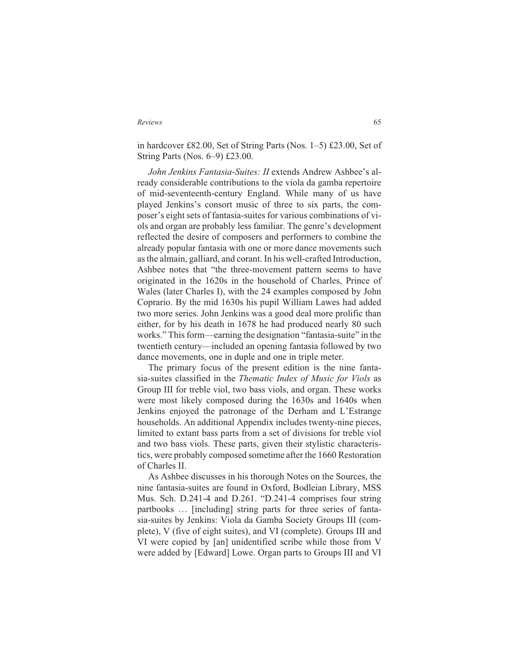in hardcover £82.00, Set of String Parts (Nos. 1–5) £23.00, Set of String Parts (Nos. 6–9) £23.00.

*John Jenkins Fantasia-Suites: II* extends Andrew Ashbee's already considerable contributions to the viola da gamba repertoire of mid-seventeenth-century England. While many of us have played Jenkins's consort music of three to six parts, the composer's eight sets of fantasia-suites for various combinations of viols and organ are probably less familiar. The genre's development reflected the desire of composers and performers to combine the already popular fantasia with one or more dance movements such as the almain, galliard, and corant. In his well-crafted Introduction, Ashbee notes that "the three-movement pattern seems to have originated in the 1620s in the household of Charles, Prince of Wales (later Charles I), with the 24 examples composed by John Coprario. By the mid 1630s his pupil William Lawes had added two more series. John Jenkins was a good deal more prolific than either, for by his death in 1678 he had produced nearly 80 such works." This form—earning the designation "fantasia-suite" in the twentieth century—included an opening fantasia followed by two dance movements, one in duple and one in triple meter.

The primary focus of the present edition is the nine fantasia-suites classified in the *Thematic Index of Music for Viols* as Group III for treble viol, two bass viols, and organ. These works were most likely composed during the 1630s and 1640s when Jenkins enjoyed the patronage of the Derham and L'Estrange households. An additional Appendix includes twenty-nine pieces, limited to extant bass parts from a set of divisions for treble viol and two bass viols. These parts, given their stylistic characteristics, were probably composed sometime after the 1660 Restoration of Charles II.

As Ashbee discusses in his thorough Notes on the Sources, the nine fantasia-suites are found in Oxford, Bodleian Library, MSS Mus. Sch. D.241-4 and D.261. "D.241-4 comprises four string partbooks … [including] string parts for three series of fantasia-suites by Jenkins: Viola da Gamba Society Groups III (complete), V (five of eight suites), and VI (complete). Groups III and VI were copied by [an] unidentified scribe while those from V were added by [Edward] Lowe. Organ parts to Groups III and VI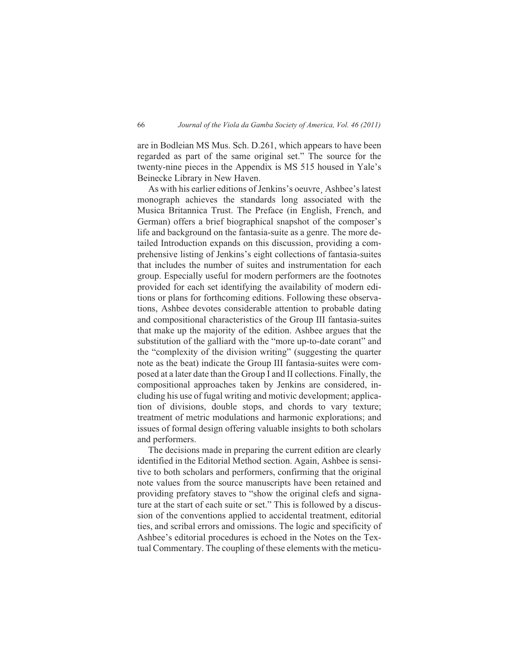are in Bodleian MS Mus. Sch. D.261, which appears to have been regarded as part of the same original set." The source for the twenty-nine pieces in the Appendix is MS 515 housed in Yale's Beinecke Library in New Haven.

As with his earlier editions of Jenkins's oeuvre¸ Ashbee's latest monograph achieves the standards long associated with the Musica Britannica Trust. The Preface (in English, French, and German) offers a brief biographical snapshot of the composer's life and background on the fantasia-suite as a genre. The more detailed Introduction expands on this discussion, providing a comprehensive listing of Jenkins's eight collections of fantasia-suites that includes the number of suites and instrumentation for each group. Especially useful for modern performers are the footnotes provided for each set identifying the availability of modern editions or plans for forthcoming editions. Following these observations, Ashbee devotes considerable attention to probable dating and compositional characteristics of the Group III fantasia-suites that make up the majority of the edition. Ashbee argues that the substitution of the galliard with the "more up-to-date corant" and the "complexity of the division writing" (suggesting the quarter note as the beat) indicate the Group III fantasia-suites were composed at a later date than the Group I and II collections. Finally, the compositional approaches taken by Jenkins are considered, including his use of fugal writing and motivic development; application of divisions, double stops, and chords to vary texture; treatment of metric modulations and harmonic explorations; and issues of formal design offering valuable insights to both scholars and performers.

The decisions made in preparing the current edition are clearly identified in the Editorial Method section. Again, Ashbee is sensitive to both scholars and performers, confirming that the original note values from the source manuscripts have been retained and providing prefatory staves to "show the original clefs and signature at the start of each suite or set." This is followed by a discussion of the conventions applied to accidental treatment, editorial ties, and scribal errors and omissions. The logic and specificity of Ashbee's editorial procedures is echoed in the Notes on the Textual Commentary. The coupling of these elements with the meticu-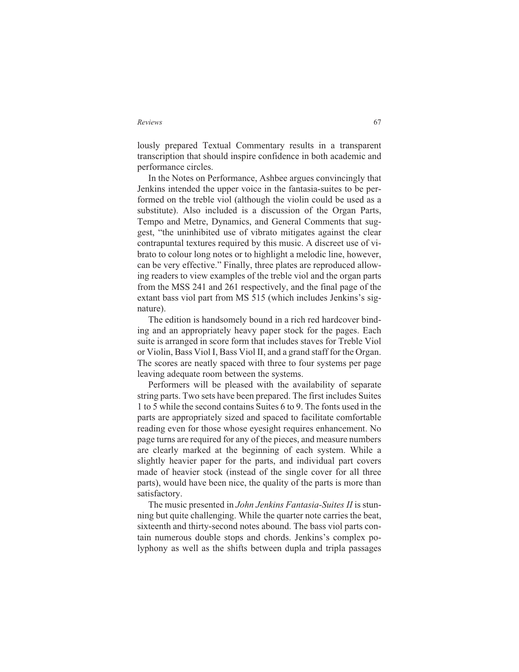lously prepared Textual Commentary results in a transparent transcription that should inspire confidence in both academic and performance circles.

In the Notes on Performance, Ashbee argues convincingly that Jenkins intended the upper voice in the fantasia-suites to be performed on the treble viol (although the violin could be used as a substitute). Also included is a discussion of the Organ Parts, Tempo and Metre, Dynamics, and General Comments that suggest, "the uninhibited use of vibrato mitigates against the clear contrapuntal textures required by this music. A discreet use of vibrato to colour long notes or to highlight a melodic line, however, can be very effective." Finally, three plates are reproduced allowing readers to view examples of the treble viol and the organ parts from the MSS 241 and 261 respectively, and the final page of the extant bass viol part from MS 515 (which includes Jenkins's signature).

The edition is handsomely bound in a rich red hardcover binding and an appropriately heavy paper stock for the pages. Each suite is arranged in score form that includes staves for Treble Viol or Violin, Bass Viol I, Bass Viol II, and a grand staff for the Organ. The scores are neatly spaced with three to four systems per page leaving adequate room between the systems.

Performers will be pleased with the availability of separate string parts. Two sets have been prepared. The first includes Suites 1 to 5 while the second contains Suites 6 to 9. The fonts used in the parts are appropriately sized and spaced to facilitate comfortable reading even for those whose eyesight requires enhancement. No page turns are required for any of the pieces, and measure numbers are clearly marked at the beginning of each system. While a slightly heavier paper for the parts, and individual part covers made of heavier stock (instead of the single cover for all three parts), would have been nice, the quality of the parts is more than satisfactory.

The music presented in *John Jenkins Fantasia-Suites II* is stunning but quite challenging. While the quarter note carries the beat, sixteenth and thirty-second notes abound. The bass viol parts contain numerous double stops and chords. Jenkins's complex polyphony as well as the shifts between dupla and tripla passages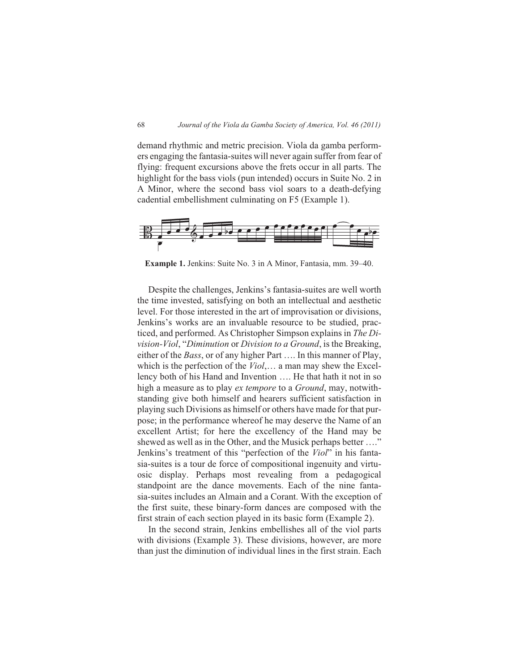demand rhythmic and metric precision. Viola da gamba performers engaging the fantasia-suites will never again suffer from fear of flying: frequent excursions above the frets occur in all parts. The highlight for the bass viols (pun intended) occurs in Suite No. 2 in A Minor, where the second bass viol soars to a death-defying cadential embellishment culminating on F5 (Example 1).



**Example 1.** Jenkins: Suite No. 3 in A Minor, Fantasia, mm. 39–40.

Despite the challenges, Jenkins's fantasia-suites are well worth the time invested, satisfying on both an intellectual and aesthetic level. For those interested in the art of improvisation or divisions, Jenkins's works are an invaluable resource to be studied, practiced, and performed. As Christopher Simpson explains in *The Division-Viol*, "*Diminution* or *Division to a Ground*, is the Breaking, either of the *Bass*, or of any higher Part …. In this manner of Play, which is the perfection of the *Viol*,… a man may shew the Excellency both of his Hand and Invention …. He that hath it not in so high a measure as to play *ex tempore* to a *Ground*, may, notwithstanding give both himself and hearers sufficient satisfaction in playing such Divisions as himself or others have made for that purpose; in the performance whereof he may deserve the Name of an excellent Artist; for here the excellency of the Hand may be shewed as well as in the Other, and the Musick perhaps better ...." Jenkins's treatment of this "perfection of the *Viol*" in his fantasia-suites is a tour de force of compositional ingenuity and virtuosic display. Perhaps most revealing from a pedagogical standpoint are the dance movements. Each of the nine fantasia-suites includes an Almain and a Corant. With the exception of the first suite, these binary-form dances are composed with the first strain of each section played in its basic form (Example 2).

In the second strain, Jenkins embellishes all of the viol parts with divisions (Example 3). These divisions, however, are more than just the diminution of individual lines in the first strain. Each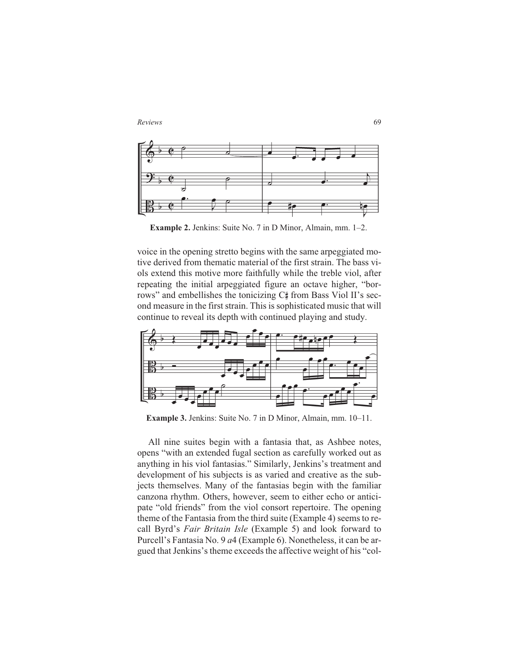



**Example 2.** Jenkins: Suite No. 7 in D Minor, Almain, mm. 1–2.

voice in the opening stretto begins with the same arpeggiated motive derived from thematic material of the first strain. The bass viols extend this motive more faithfully while the treble viol, after repeating the initial arpeggiated figure an octave higher, "borrows" and embellishes the tonicizing C# from Bass Viol II's second measure in the first strain. This is sophisticated music that will continue to reveal its depth with continued playing and study.



**Example 3.** Jenkins: Suite No. 7 in D Minor, Almain, mm. 10–11.

All nine suites begin with a fantasia that, as Ashbee notes, opens "with an extended fugal section as carefully worked out as anything in his viol fantasias." Similarly, Jenkins's treatment and development of his subjects is as varied and creative as the subjects themselves. Many of the fantasias begin with the familiar canzona rhythm. Others, however, seem to either echo or anticipate "old friends" from the viol consort repertoire. The opening theme of the Fantasia from the third suite (Example 4) seems to recall Byrd's *Fair Britain Isle* (Example 5) and look forward to Purcell's Fantasia No. 9 *a*4 (Example 6). Nonetheless, it can be argued that Jenkins's theme exceeds the affective weight of his "col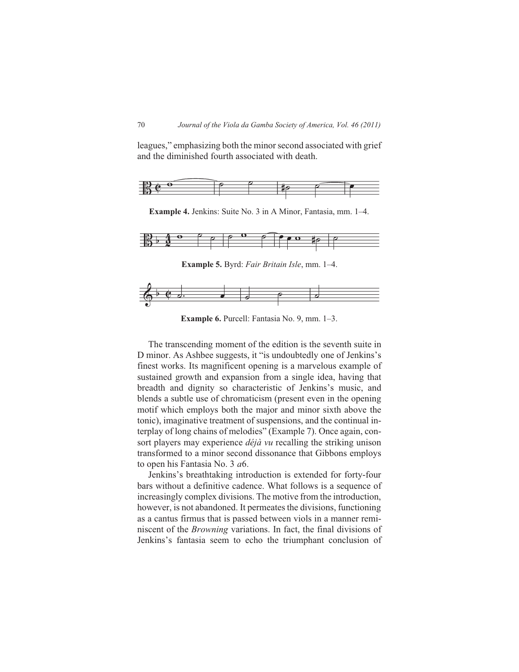leagues," emphasizing both the minor second associated with grief and the diminished fourth associated with death.



**Example 4.** Jenkins: Suite No. 3 in A Minor, Fantasia, mm. 1–4.



**Example 5.** Byrd: *Fair Britain Isle*, mm. 1–4.



**Example 6.** Purcell: Fantasia No. 9, mm. 1–3.

The transcending moment of the edition is the seventh suite in D minor. As Ashbee suggests, it "is undoubtedly one of Jenkins's finest works. Its magnificent opening is a marvelous example of sustained growth and expansion from a single idea, having that breadth and dignity so characteristic of Jenkins's music, and blends a subtle use of chromaticism (present even in the opening motif which employs both the major and minor sixth above the tonic), imaginative treatment of suspensions, and the continual interplay of long chains of melodies" (Example 7). Once again, consort players may experience *déjà vu* recalling the striking unison transformed to a minor second dissonance that Gibbons employs to open his Fantasia No. 3 *a*6.

Jenkins's breathtaking introduction is extended for forty-four bars without a definitive cadence. What follows is a sequence of increasingly complex divisions. The motive from the introduction, however, is not abandoned. It permeates the divisions, functioning as a cantus firmus that is passed between viols in a manner reminiscent of the *Browning* variations. In fact, the final divisions of Jenkins's fantasia seem to echo the triumphant conclusion of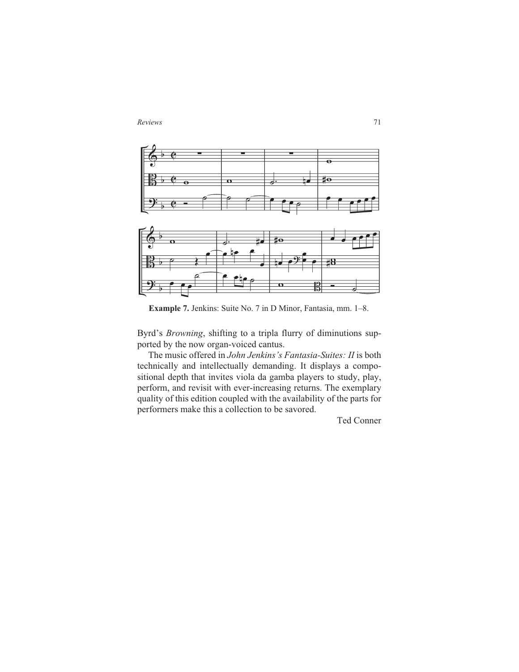*Reviews* 71



**Example 7.** Jenkins: Suite No. 7 in D Minor, Fantasia, mm. 1–8.

Byrd's *Browning*, shifting to a tripla flurry of diminutions supported by the now organ-voiced cantus.

The music offered in *John Jenkins's Fantasia-Suites: II* is both technically and intellectually demanding. It displays a compositional depth that invites viola da gamba players to study, play, perform, and revisit with ever-increasing returns. The exemplary quality of this edition coupled with the availability of the parts for performers make this a collection to be savored.

Ted Conner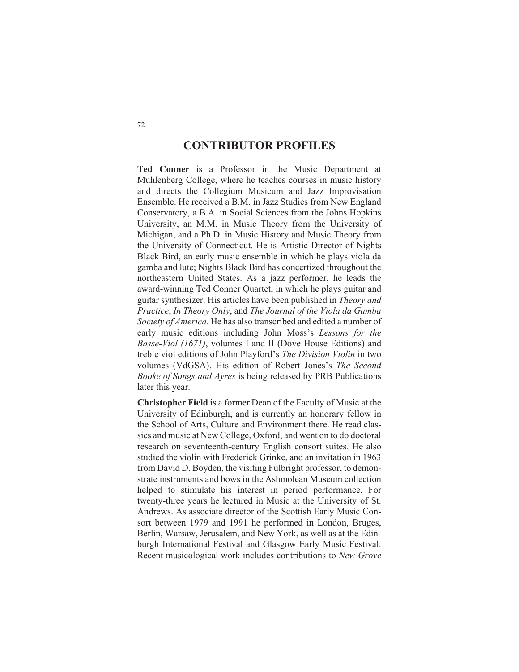## **CONTRIBUTOR PROFILES**

**Ted Conner** is a Professor in the Music Department at Muhlenberg College, where he teaches courses in music history and directs the Collegium Musicum and Jazz Improvisation Ensemble. He received a B.M. in Jazz Studies from New England Conservatory, a B.A. in Social Sciences from the Johns Hopkins University, an M.M. in Music Theory from the University of Michigan, and a Ph.D. in Music History and Music Theory from the University of Connecticut. He is Artistic Director of Nights Black Bird, an early music ensemble in which he plays viola da gamba and lute; Nights Black Bird has concertized throughout the northeastern United States. As a jazz performer, he leads the award-winning Ted Conner Quartet, in which he plays guitar and guitar synthesizer. His articles have been published in *Theory and Practice*, *In Theory Only*, and *The Journal of the Viola da Gamba Society of America*. He has also transcribed and edited a number of early music editions including John Moss's *Lessons for the Basse-Viol (1671)*, volumes I and II (Dove House Editions) and treble viol editions of John Playford's *The Division Violin* in two volumes (VdGSA). His edition of Robert Jones's *The Second Booke of Songs and Ayres* is being released by PRB Publications later this year.

**Christopher Field** is a former Dean of the Faculty of Music at the University of Edinburgh, and is currently an honorary fellow in the School of Arts, Culture and Environment there. He read classics and music at New College, Oxford, and went on to do doctoral research on seventeenth-century English consort suites. He also studied the violin with Frederick Grinke, and an invitation in 1963 from David D. Boyden, the visiting Fulbright professor, to demonstrate instruments and bows in the Ashmolean Museum collection helped to stimulate his interest in period performance. For twenty-three years he lectured in Music at the University of St. Andrews. As associate director of the Scottish Early Music Consort between 1979 and 1991 he performed in London, Bruges, Berlin, Warsaw, Jerusalem, and New York, as well as at the Edinburgh International Festival and Glasgow Early Music Festival. Recent musicological work includes contributions to *New Grove*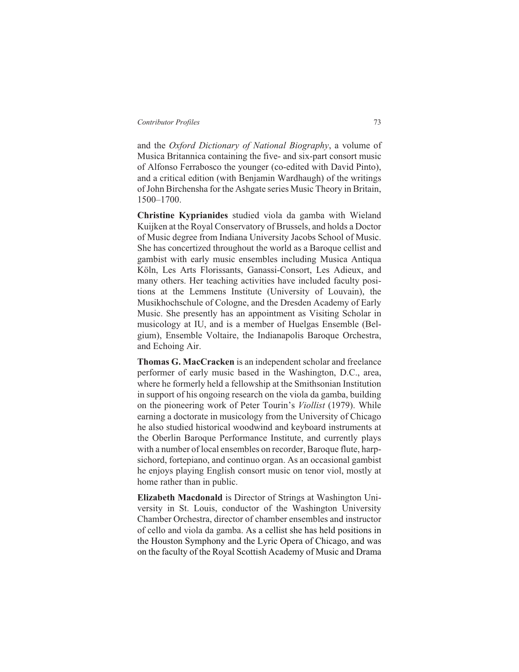and the *Oxford Dictionary of National Biography*, a volume of Musica Britannica containing the five- and six-part consort music of Alfonso Ferrabosco the younger (co-edited with David Pinto), and a critical edition (with Benjamin Wardhaugh) of the writings of John Birchensha for the Ashgate series Music Theory in Britain, 1500–1700.

**Christine Kyprianides** studied viola da gamba with Wieland Kuijken at the Royal Conservatory of Brussels, and holds a Doctor of Music degree from Indiana University Jacobs School of Music. She has concertized throughout the world as a Baroque cellist and gambist with early music ensembles including Musica Antiqua Köln, Les Arts Florissants, Ganassi-Consort, Les Adieux, and many others. Her teaching activities have included faculty positions at the Lemmens Institute (University of Louvain), the Musikhochschule of Cologne, and the Dresden Academy of Early Music. She presently has an appointment as Visiting Scholar in musicology at IU, and is a member of Huelgas Ensemble (Belgium), Ensemble Voltaire, the Indianapolis Baroque Orchestra, and Echoing Air.

**Thomas G. MacCracken** is an independent scholar and freelance performer of early music based in the Washington, D.C., area, where he formerly held a fellowship at the Smithsonian Institution in support of his ongoing research on the viola da gamba, building on the pioneering work of Peter Tourin's *Viollist* (1979). While earning a doctorate in musicology from the University of Chicago he also studied historical woodwind and keyboard instruments at the Oberlin Baroque Performance Institute, and currently plays with a number of local ensembles on recorder, Baroque flute, harpsichord, fortepiano, and continuo organ. As an occasional gambist he enjoys playing English consort music on tenor viol, mostly at home rather than in public.

**Elizabeth Macdonald** is Director of Strings at Washington University in St. Louis, conductor of the Washington University Chamber Orchestra, director of chamber ensembles and instructor of cello and viola da gamba. As a cellist she has held positions in the Houston Symphony and the Lyric Opera of Chicago, and was on the faculty of the Royal Scottish Academy of Music and Drama